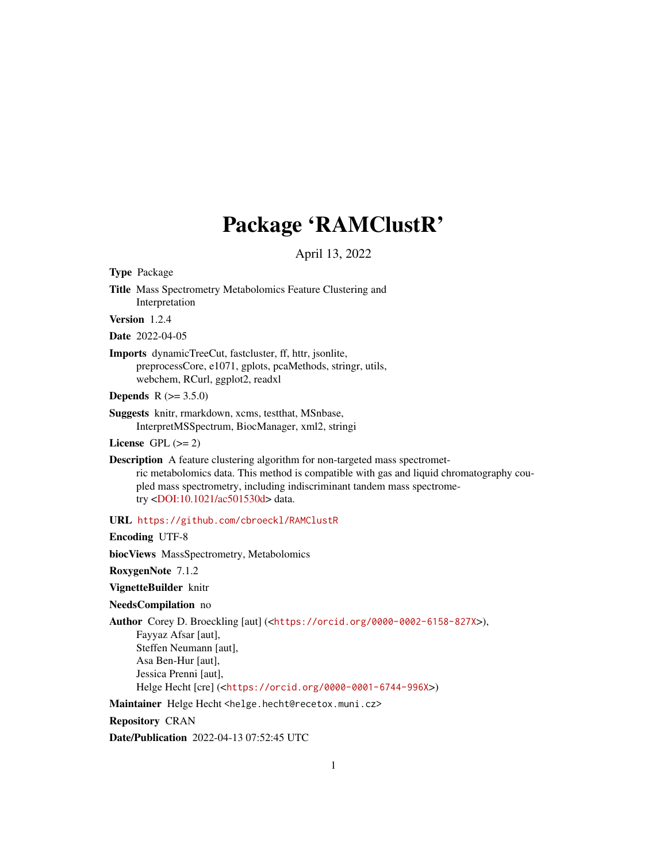# Package 'RAMClustR'

April 13, 2022

Type Package

Title Mass Spectrometry Metabolomics Feature Clustering and Interpretation

Version 1.2.4

Date 2022-04-05

Imports dynamicTreeCut, fastcluster, ff, httr, jsonlite, preprocessCore, e1071, gplots, pcaMethods, stringr, utils, webchem, RCurl, ggplot2, readxl

**Depends** R  $(>= 3.5.0)$ 

Suggests knitr, rmarkdown, xcms, testthat, MSnbase, InterpretMSSpectrum, BiocManager, xml2, stringi

License GPL  $(>= 2)$ 

Description A feature clustering algorithm for non-targeted mass spectrometric metabolomics data. This method is compatible with gas and liquid chromatography coupled mass spectrometry, including indiscriminant tandem mass spectrometry [<DOI:10.1021/ac501530d>](https://doi.org/10.1021/ac501530d) data.

URL <https://github.com/cbroeckl/RAMClustR>

Encoding UTF-8

biocViews MassSpectrometry, Metabolomics

RoxygenNote 7.1.2

VignetteBuilder knitr

NeedsCompilation no

Author Corey D. Broeckling [aut] (<<https://orcid.org/0000-0002-6158-827X>>),

Fayyaz Afsar [aut], Steffen Neumann [aut], Asa Ben-Hur [aut], Jessica Prenni [aut],

Helge Hecht [cre] (<<https://orcid.org/0000-0001-6744-996X>>)

Maintainer Helge Hecht <helge.hecht@recetox.muni.cz>

Repository CRAN

Date/Publication 2022-04-13 07:52:45 UTC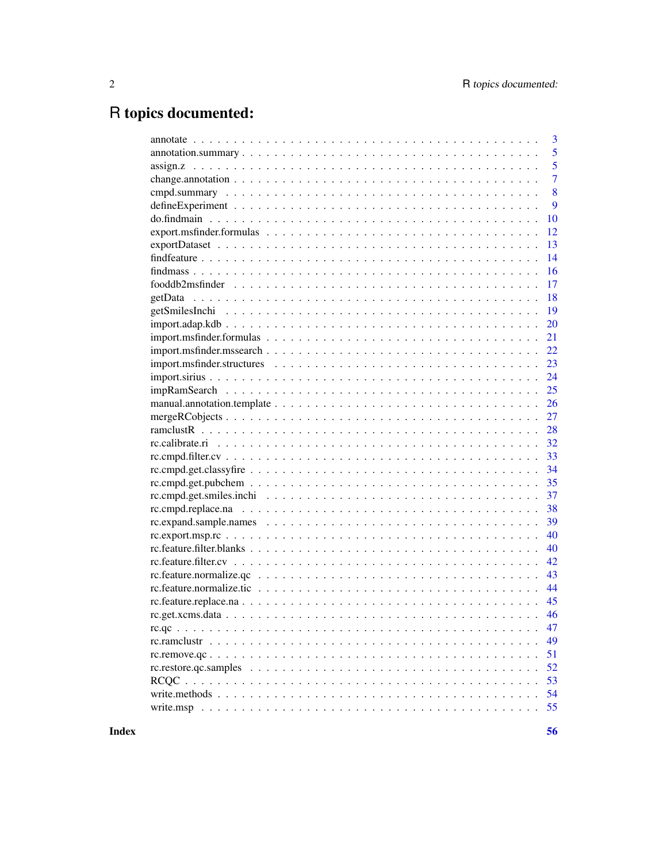# R topics documented:

|                                                                                                               | 3              |
|---------------------------------------------------------------------------------------------------------------|----------------|
|                                                                                                               | 5              |
|                                                                                                               | 5              |
|                                                                                                               | $\overline{7}$ |
|                                                                                                               | 8              |
|                                                                                                               | 9              |
|                                                                                                               | 10             |
|                                                                                                               | 12             |
|                                                                                                               | 13             |
|                                                                                                               | 14             |
|                                                                                                               | 16             |
|                                                                                                               | 17             |
|                                                                                                               | 18             |
|                                                                                                               | 19             |
|                                                                                                               | 20             |
|                                                                                                               | 21             |
|                                                                                                               | 22             |
|                                                                                                               | 23             |
|                                                                                                               | 24             |
|                                                                                                               | 25             |
|                                                                                                               | 26             |
|                                                                                                               | 27             |
|                                                                                                               | 28             |
|                                                                                                               | 32             |
|                                                                                                               | 33             |
|                                                                                                               | 34             |
|                                                                                                               | 35             |
|                                                                                                               | 37             |
|                                                                                                               | 38             |
|                                                                                                               | 39             |
|                                                                                                               | 40             |
|                                                                                                               | 40             |
|                                                                                                               | 42             |
| $rc.feature.normalize.qc \dots \dots \dots \dots \dots \dots \dots \dots \dots \dots \dots \dots \dots \dots$ | 43             |
|                                                                                                               | 44             |
|                                                                                                               |                |
|                                                                                                               |                |
|                                                                                                               | 47             |
|                                                                                                               | 49             |
|                                                                                                               | 51             |
|                                                                                                               | 52             |
|                                                                                                               | 53             |
|                                                                                                               | 54             |
|                                                                                                               | 55             |
|                                                                                                               |                |

**Index**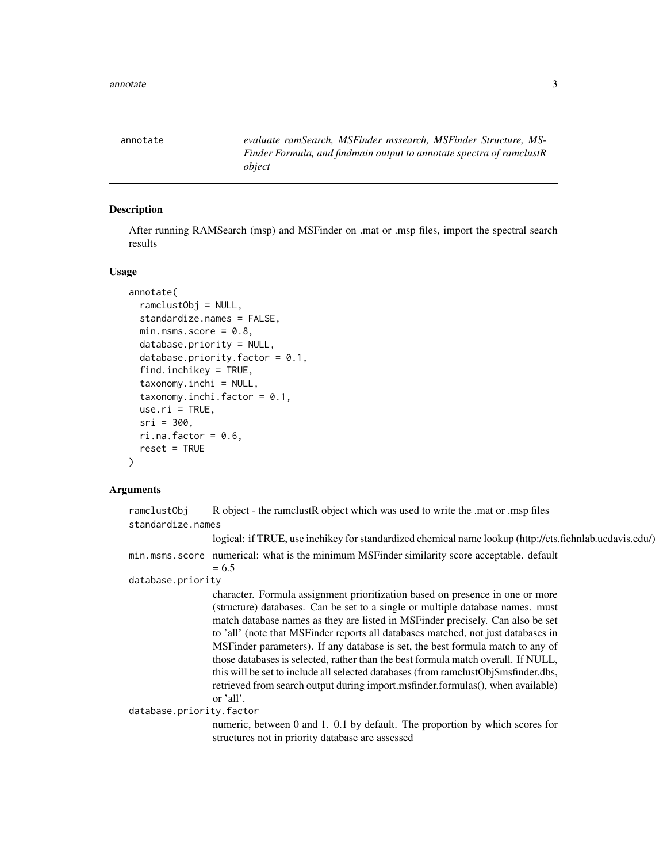<span id="page-2-0"></span>annotate *evaluate ramSearch, MSFinder mssearch, MSFinder Structure, MS-Finder Formula, and findmain output to annotate spectra of ramclustR object*

## Description

After running RAMSearch (msp) and MSFinder on .mat or .msp files, import the spectral search results

#### Usage

```
annotate(
  ramclustObj = NULL,
  standardize.names = FALSE,
 min.msms.score = 0.8,database.priority = NULL,
  database.priority.factor = 0.1,
  find.inchikey = TRUE,
  taxonomy.inchi = NULL,taxonomy.inchi.factor = 0.1,
  use.ri = TRUE,sri = 300,
  ri.na.factor = 0.6,
  reset = TRUE
)
```
## Arguments

ramclustObj R object - the ramclustR object which was used to write the .mat or .msp files standardize.names logical: if TRUE, use inchikey for standardized chemical name lookup (http://cts.fiehnlab.ucdavis.edu/) min.msms.score numerical: what is the minimum MSFinder similarity score acceptable. default  $= 6.5$ database.priority character. Formula assignment prioritization based on presence in one or more (structure) databases. Can be set to a single or multiple database names. must match database names as they are listed in MSFinder precisely. Can also be set to 'all' (note that MSFinder reports all databases matched, not just databases in MSFinder parameters). If any database is set, the best formula match to any of those databases is selected, rather than the best formula match overall. If NULL, this will be set to include all selected databases (from ramclustObj\$msfinder.dbs, retrieved from search output during import.msfinder.formulas(), when available) or 'all'.

database.priority.factor

numeric, between 0 and 1. 0.1 by default. The proportion by which scores for structures not in priority database are assessed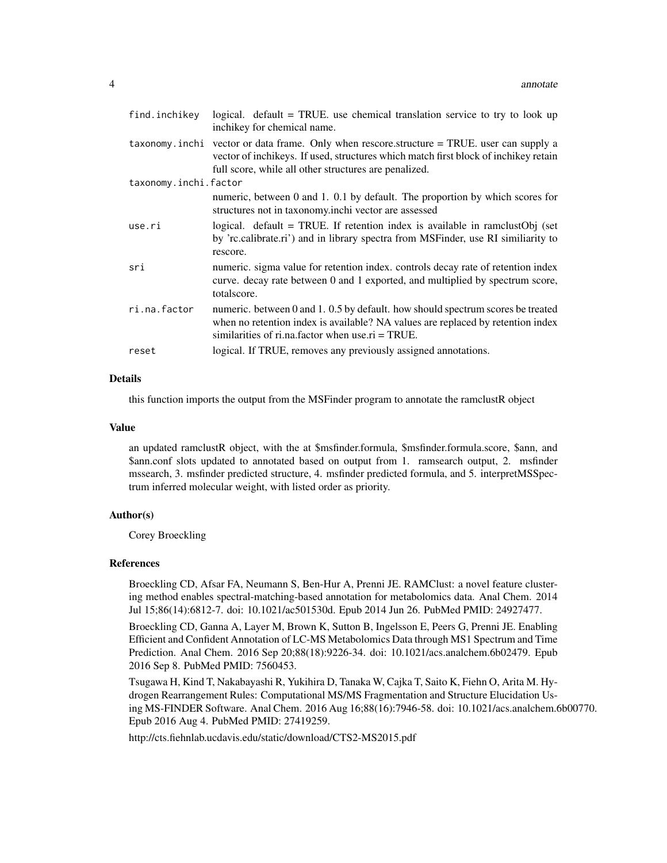| find.inchikey         | logical. $default = TRUE$ . use chemical translation service to try to look up<br>inchikey for chemical name.                                                                                                                                    |
|-----------------------|--------------------------------------------------------------------------------------------------------------------------------------------------------------------------------------------------------------------------------------------------|
|                       | $taxonomy$ . inchi vector or data frame. Only when rescore structure $=$ TRUE, user can supply a<br>vector of inchikeys. If used, structures which match first block of inchikey retain<br>full score, while all other structures are penalized. |
| taxonomy.inchi.factor |                                                                                                                                                                                                                                                  |
|                       | numeric, between 0 and 1. 0.1 by default. The proportion by which scores for<br>structures not in taxonomy.inchi vector are assessed                                                                                                             |
| use.ri                | logical. default = TRUE. If retention index is available in ramclust Obj (set<br>by 'rc.calibrate.ri') and in library spectra from MSFinder, use RI similiarity to<br>rescore.                                                                   |
| sri                   | numeric, sigma value for retention index, controls decay rate of retention index<br>curve. decay rate between 0 and 1 exported, and multiplied by spectrum score,<br>totalscore.                                                                 |
| ri.na.factor          | numeric. between 0 and 1.0.5 by default. how should spectrum scores be treated<br>when no retention index is available? NA values are replaced by retention index<br>similarities of ri.na. factor when use. $ri = TRUE$ .                       |
| reset                 | logical. If TRUE, removes any previously assigned annotations.                                                                                                                                                                                   |

## Details

this function imports the output from the MSFinder program to annotate the ramclustR object

#### Value

an updated ramclustR object, with the at \$msfinder.formula, \$msfinder.formula.score, \$ann, and \$ann.conf slots updated to annotated based on output from 1. ramsearch output, 2. msfinder mssearch, 3. msfinder predicted structure, 4. msfinder predicted formula, and 5. interpretMSSpectrum inferred molecular weight, with listed order as priority.

## Author(s)

Corey Broeckling

### References

Broeckling CD, Afsar FA, Neumann S, Ben-Hur A, Prenni JE. RAMClust: a novel feature clustering method enables spectral-matching-based annotation for metabolomics data. Anal Chem. 2014 Jul 15;86(14):6812-7. doi: 10.1021/ac501530d. Epub 2014 Jun 26. PubMed PMID: 24927477.

Broeckling CD, Ganna A, Layer M, Brown K, Sutton B, Ingelsson E, Peers G, Prenni JE. Enabling Efficient and Confident Annotation of LC-MS Metabolomics Data through MS1 Spectrum and Time Prediction. Anal Chem. 2016 Sep 20;88(18):9226-34. doi: 10.1021/acs.analchem.6b02479. Epub 2016 Sep 8. PubMed PMID: 7560453.

Tsugawa H, Kind T, Nakabayashi R, Yukihira D, Tanaka W, Cajka T, Saito K, Fiehn O, Arita M. Hydrogen Rearrangement Rules: Computational MS/MS Fragmentation and Structure Elucidation Using MS-FINDER Software. Anal Chem. 2016 Aug 16;88(16):7946-58. doi: 10.1021/acs.analchem.6b00770. Epub 2016 Aug 4. PubMed PMID: 27419259.

http://cts.fiehnlab.ucdavis.edu/static/download/CTS2-MS2015.pdf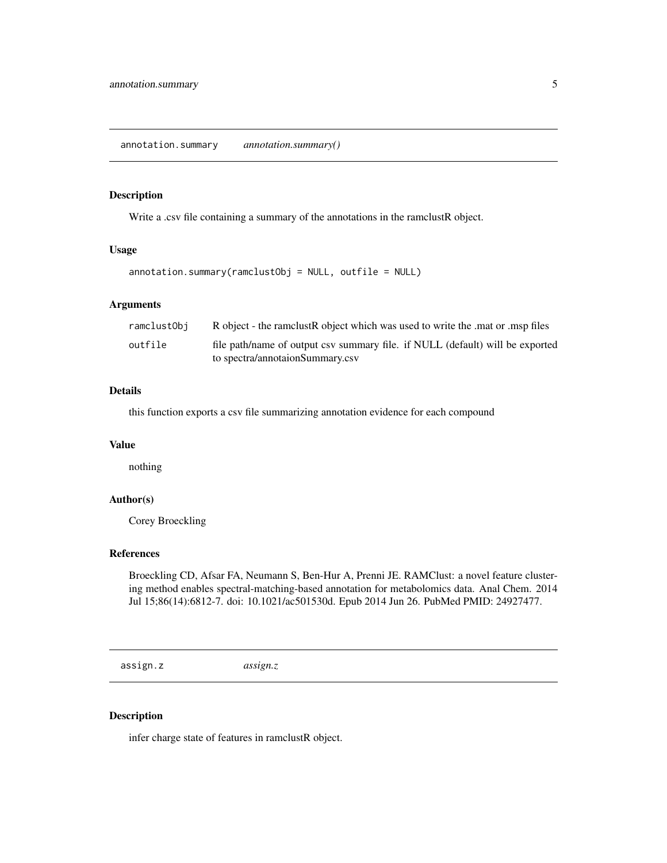#### <span id="page-4-0"></span>Description

Write a .csv file containing a summary of the annotations in the ramclustR object.

#### Usage

annotation.summary(ramclustObj = NULL, outfile = NULL)

## Arguments

| ramclustObi | R object - the ramclust R object which was used to write the mat or msp files |
|-------------|-------------------------------------------------------------------------------|
| outfile     | file path/name of output csv summary file. if NULL (default) will be exported |
|             | to spectra/annotaionSummary.csv                                               |

## Details

this function exports a csv file summarizing annotation evidence for each compound

## Value

nothing

#### Author(s)

Corey Broeckling

## References

Broeckling CD, Afsar FA, Neumann S, Ben-Hur A, Prenni JE. RAMClust: a novel feature clustering method enables spectral-matching-based annotation for metabolomics data. Anal Chem. 2014 Jul 15;86(14):6812-7. doi: 10.1021/ac501530d. Epub 2014 Jun 26. PubMed PMID: 24927477.

assign.z *assign.z*

#### Description

infer charge state of features in ramclustR object.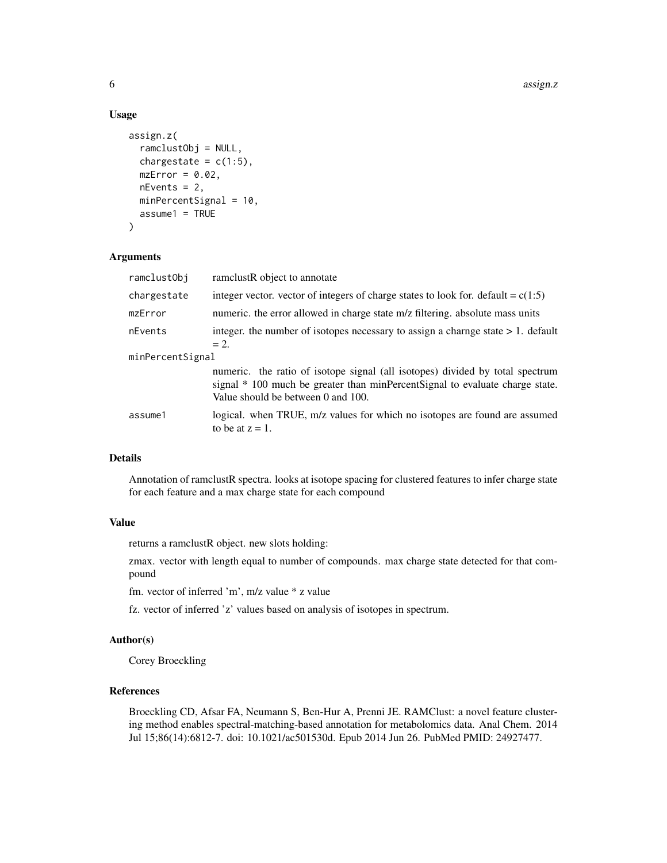#### Usage

```
assign.z(
  ramclustObj = NULL,
  chargestate = c(1:5),
 mzError = 0.02,
  nEvents = 2,
  minPercentSignal = 10,
  assume1 = TRUE)
```
## Arguments

| ramclustObj      | ramelustR object to annotate                                                                                                                                                                        |  |
|------------------|-----------------------------------------------------------------------------------------------------------------------------------------------------------------------------------------------------|--|
| chargestate      | integer vector. vector of integers of charge states to look for. default = $c(1:5)$                                                                                                                 |  |
| mzError          | numeric, the error allowed in charge state m/z filtering, absolute mass units                                                                                                                       |  |
| nEvents          | integer, the number of isotopes necessary to assign a change state $> 1$ . default<br>$= 2$ .                                                                                                       |  |
| minPercentSignal |                                                                                                                                                                                                     |  |
|                  | numeric. the ratio of isotope signal (all isotopes) divided by total spectrum<br>signal * 100 much be greater than minPercentSignal to evaluate charge state.<br>Value should be between 0 and 100. |  |
| assume1          | logical. when TRUE, m/z values for which no isotopes are found are assumed<br>to be at $z = 1$ .                                                                                                    |  |

## Details

Annotation of ramclustR spectra. looks at isotope spacing for clustered features to infer charge state for each feature and a max charge state for each compound

## Value

returns a ramclustR object. new slots holding:

zmax. vector with length equal to number of compounds. max charge state detected for that compound

fm. vector of inferred 'm', m/z value \* z value

fz. vector of inferred 'z' values based on analysis of isotopes in spectrum.

## Author(s)

Corey Broeckling

## References

Broeckling CD, Afsar FA, Neumann S, Ben-Hur A, Prenni JE. RAMClust: a novel feature clustering method enables spectral-matching-based annotation for metabolomics data. Anal Chem. 2014 Jul 15;86(14):6812-7. doi: 10.1021/ac501530d. Epub 2014 Jun 26. PubMed PMID: 24927477.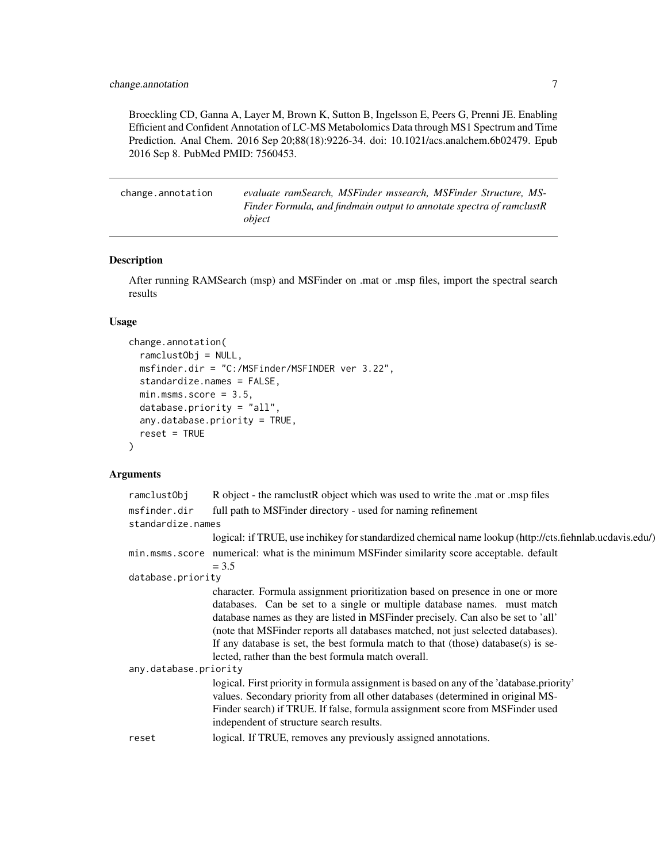<span id="page-6-0"></span>Broeckling CD, Ganna A, Layer M, Brown K, Sutton B, Ingelsson E, Peers G, Prenni JE. Enabling Efficient and Confident Annotation of LC-MS Metabolomics Data through MS1 Spectrum and Time Prediction. Anal Chem. 2016 Sep 20;88(18):9226-34. doi: 10.1021/acs.analchem.6b02479. Epub 2016 Sep 8. PubMed PMID: 7560453.

| change.annotation | evaluate ramSearch, MSFinder mssearch, MSFinder Structure, MS-       |
|-------------------|----------------------------------------------------------------------|
|                   | Finder Formula, and findmain output to annotate spectra of ramclustR |
|                   | object                                                               |

## Description

After running RAMSearch (msp) and MSFinder on .mat or .msp files, import the spectral search results

## Usage

```
change.annotation(
  ramclustObj = NULL,
  msfinder.dir = "C:/MSFinder/MSFINDER ver 3.22",
  standardize.names = FALSE,
  min.msms.score = 3.5,
  database.priority = "all",
  any.database.priority = TRUE,
  reset = TRUE
)
```
## Arguments

| ramclustObj           | R object - the ramclustR object which was used to write the .mat or .msp files                                                                                                                                                                                                                                                                                                                                                                                                 |
|-----------------------|--------------------------------------------------------------------------------------------------------------------------------------------------------------------------------------------------------------------------------------------------------------------------------------------------------------------------------------------------------------------------------------------------------------------------------------------------------------------------------|
| msfinder.dir          | full path to MSFinder directory - used for naming refinement                                                                                                                                                                                                                                                                                                                                                                                                                   |
| standardize.names     |                                                                                                                                                                                                                                                                                                                                                                                                                                                                                |
|                       | logical: if TRUE, use inchikey for standardized chemical name lookup (http://cts.fiehnlab.ucdavis.edu/)                                                                                                                                                                                                                                                                                                                                                                        |
|                       | min. msms. score numerical: what is the minimum MSF inder similarity score acceptable. default<br>$= 3.5$                                                                                                                                                                                                                                                                                                                                                                      |
| database.priority     |                                                                                                                                                                                                                                                                                                                                                                                                                                                                                |
|                       | character. Formula assignment prioritization based on presence in one or more<br>databases. Can be set to a single or multiple database names. must match<br>database names as they are listed in MSFinder precisely. Can also be set to 'all'<br>(note that MSFinder reports all databases matched, not just selected databases).<br>If any database is set, the best formula match to that (those) database(s) is se-<br>lected, rather than the best formula match overall. |
| any.database.priority |                                                                                                                                                                                                                                                                                                                                                                                                                                                                                |
|                       | logical. First priority in formula assignment is based on any of the 'database.priority'<br>values. Secondary priority from all other databases (determined in original MS-<br>Finder search) if TRUE. If false, formula assignment score from MSFinder used<br>independent of structure search results.                                                                                                                                                                       |
| reset                 | logical. If TRUE, removes any previously assigned annotations.                                                                                                                                                                                                                                                                                                                                                                                                                 |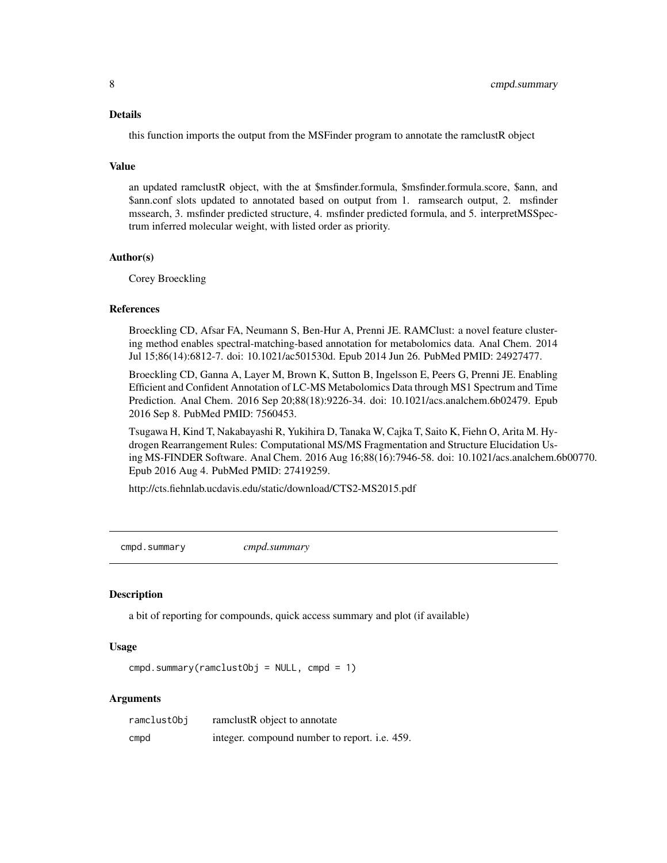#### <span id="page-7-0"></span>Details

this function imports the output from the MSFinder program to annotate the ramclustR object

#### Value

an updated ramclustR object, with the at \$msfinder.formula, \$msfinder.formula.score, \$ann, and \$ann.conf slots updated to annotated based on output from 1. ramsearch output, 2. msfinder mssearch, 3. msfinder predicted structure, 4. msfinder predicted formula, and 5. interpretMSSpectrum inferred molecular weight, with listed order as priority.

## Author(s)

Corey Broeckling

#### References

Broeckling CD, Afsar FA, Neumann S, Ben-Hur A, Prenni JE. RAMClust: a novel feature clustering method enables spectral-matching-based annotation for metabolomics data. Anal Chem. 2014 Jul 15;86(14):6812-7. doi: 10.1021/ac501530d. Epub 2014 Jun 26. PubMed PMID: 24927477.

Broeckling CD, Ganna A, Layer M, Brown K, Sutton B, Ingelsson E, Peers G, Prenni JE. Enabling Efficient and Confident Annotation of LC-MS Metabolomics Data through MS1 Spectrum and Time Prediction. Anal Chem. 2016 Sep 20;88(18):9226-34. doi: 10.1021/acs.analchem.6b02479. Epub 2016 Sep 8. PubMed PMID: 7560453.

Tsugawa H, Kind T, Nakabayashi R, Yukihira D, Tanaka W, Cajka T, Saito K, Fiehn O, Arita M. Hydrogen Rearrangement Rules: Computational MS/MS Fragmentation and Structure Elucidation Using MS-FINDER Software. Anal Chem. 2016 Aug 16;88(16):7946-58. doi: 10.1021/acs.analchem.6b00770. Epub 2016 Aug 4. PubMed PMID: 27419259.

http://cts.fiehnlab.ucdavis.edu/static/download/CTS2-MS2015.pdf

cmpd.summary *cmpd.summary*

#### **Description**

a bit of reporting for compounds, quick access summary and plot (if available)

#### Usage

```
cmpd.summary(ramclustObj = NULL, cmpd = 1)
```
#### Arguments

| ramclustObj | ramelustR object to annotate                         |
|-------------|------------------------------------------------------|
| cmpd        | integer. compound number to report. <i>i.e.</i> 459. |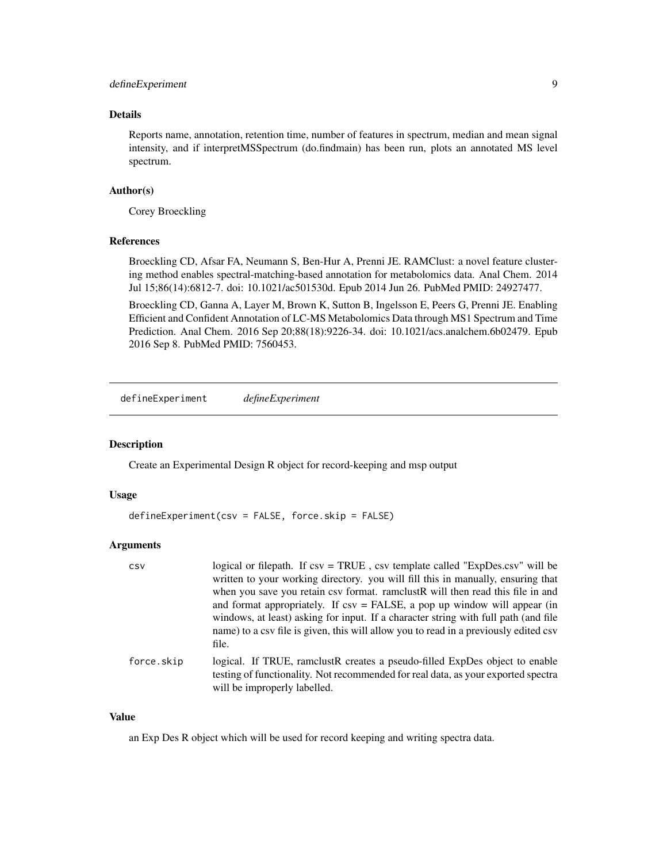## <span id="page-8-0"></span>defineExperiment 9

## Details

Reports name, annotation, retention time, number of features in spectrum, median and mean signal intensity, and if interpretMSSpectrum (do.findmain) has been run, plots an annotated MS level spectrum.

## Author(s)

Corey Broeckling

#### References

Broeckling CD, Afsar FA, Neumann S, Ben-Hur A, Prenni JE. RAMClust: a novel feature clustering method enables spectral-matching-based annotation for metabolomics data. Anal Chem. 2014 Jul 15;86(14):6812-7. doi: 10.1021/ac501530d. Epub 2014 Jun 26. PubMed PMID: 24927477.

Broeckling CD, Ganna A, Layer M, Brown K, Sutton B, Ingelsson E, Peers G, Prenni JE. Enabling Efficient and Confident Annotation of LC-MS Metabolomics Data through MS1 Spectrum and Time Prediction. Anal Chem. 2016 Sep 20;88(18):9226-34. doi: 10.1021/acs.analchem.6b02479. Epub 2016 Sep 8. PubMed PMID: 7560453.

defineExperiment *defineExperiment*

## Description

Create an Experimental Design R object for record-keeping and msp output

#### Usage

```
defineExperiment(csv = FALSE, force.skip = FALSE)
```
## Arguments

| CSV        | logical or filepath. If csv = TRUE, csv template called "ExpDes.csv" will be<br>written to your working directory. you will fill this in manually, ensuring that<br>when you save you retain csv format. ramclustR will then read this file in and<br>and format appropriately. If $\text{csv} = \text{FALSE}$ , a pop up window will appear (in<br>windows, at least) asking for input. If a character string with full path (and file<br>name) to a csv file is given, this will allow you to read in a previously edited csv<br>file. |
|------------|------------------------------------------------------------------------------------------------------------------------------------------------------------------------------------------------------------------------------------------------------------------------------------------------------------------------------------------------------------------------------------------------------------------------------------------------------------------------------------------------------------------------------------------|
| force.skip | logical. If TRUE, ramclustR creates a pseudo-filled ExpDes object to enable<br>testing of functionality. Not recommended for real data, as your exported spectra<br>will be improperly labelled.                                                                                                                                                                                                                                                                                                                                         |

#### Value

an Exp Des R object which will be used for record keeping and writing spectra data.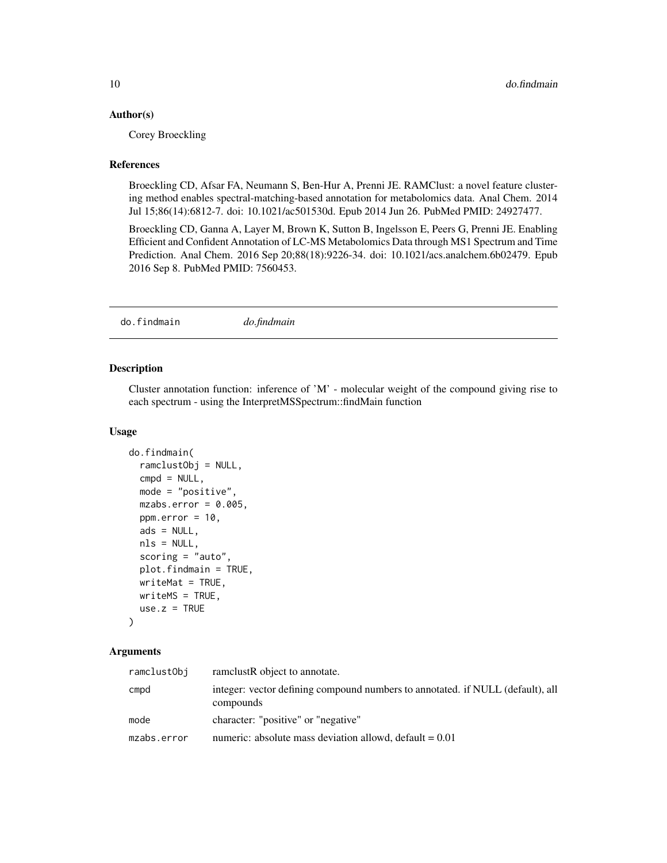#### <span id="page-9-0"></span>Author(s)

Corey Broeckling

#### References

Broeckling CD, Afsar FA, Neumann S, Ben-Hur A, Prenni JE. RAMClust: a novel feature clustering method enables spectral-matching-based annotation for metabolomics data. Anal Chem. 2014 Jul 15;86(14):6812-7. doi: 10.1021/ac501530d. Epub 2014 Jun 26. PubMed PMID: 24927477.

Broeckling CD, Ganna A, Layer M, Brown K, Sutton B, Ingelsson E, Peers G, Prenni JE. Enabling Efficient and Confident Annotation of LC-MS Metabolomics Data through MS1 Spectrum and Time Prediction. Anal Chem. 2016 Sep 20;88(18):9226-34. doi: 10.1021/acs.analchem.6b02479. Epub 2016 Sep 8. PubMed PMID: 7560453.

do.findmain *do.findmain*

#### Description

Cluster annotation function: inference of 'M' - molecular weight of the compound giving rise to each spectrum - using the InterpretMSSpectrum::findMain function

#### Usage

```
do.findmain(
 ramclustObj = NULL,
 cmpd = NULL,mode = "positive",
 mzabs.error = 0.005,
 ppm.error = 10,
 ads = NULL,nls = NULL,scoring = "auto",
 plot.findmain = TRUE,
 writeMat = TRUE,writeMS = TRUE,
 use.z = TRUE)
```
## Arguments

| ramclustObj | ramelustR object to annotate.                                                               |
|-------------|---------------------------------------------------------------------------------------------|
| cmpd        | integer: vector defining compound numbers to annotated. if NULL (default), all<br>compounds |
| mode        | character: "positive" or "negative"                                                         |
| mzabs.error | numeric: absolute mass deviation allowd, default $= 0.01$                                   |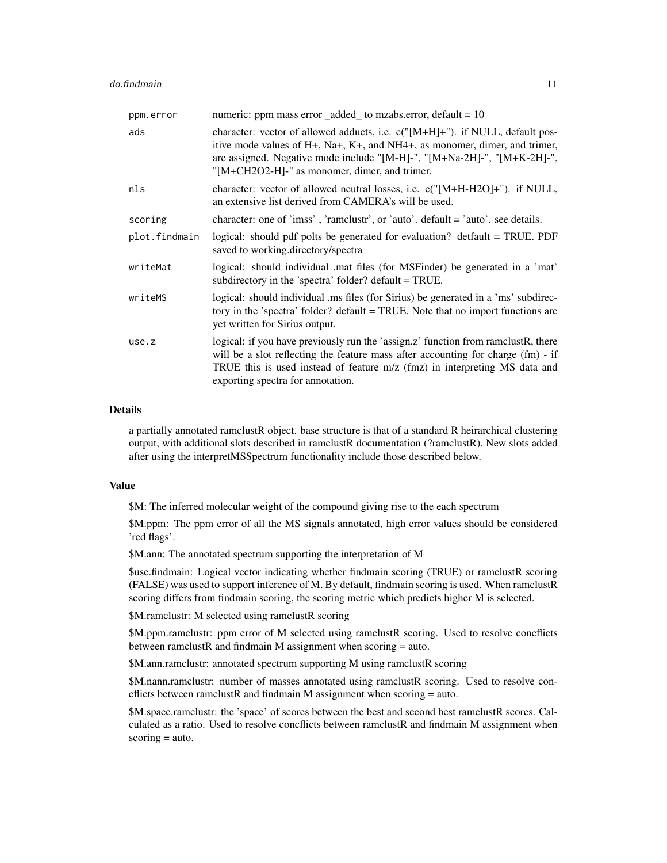| ppm.error     | numeric: ppm mass error _added_ to mzabs.error, default = 10                                                                                                                                                                                                                                |
|---------------|---------------------------------------------------------------------------------------------------------------------------------------------------------------------------------------------------------------------------------------------------------------------------------------------|
| ads           | character: vector of allowed adducts, i.e. $c("[M+H]+")$ . if NULL, default pos-<br>itive mode values of H+, Na+, K+, and NH4+, as monomer, dimer, and trimer,<br>are assigned. Negative mode include "[M-H]-", "[M+Na-2H]-", "[M+K-2H]-",<br>"[M+CH2O2-H]-" as monomer, dimer, and trimer. |
| nls           | character: vector of allowed neutral losses, i.e. c("[M+H-H2O]+"). if NULL,<br>an extensive list derived from CAMERA's will be used.                                                                                                                                                        |
| scoring       | character: one of 'imss', 'ramclustr', or 'auto'. default = 'auto'. see details.                                                                                                                                                                                                            |
| plot.findmain | logical: should pdf polts be generated for evaluation? detfault = TRUE. PDF<br>saved to working.directory/spectra                                                                                                                                                                           |
| writeMat      | logical: should individual .mat files (for MSFinder) be generated in a 'mat'<br>subdirectory in the 'spectra' folder? default = TRUE.                                                                                                                                                       |
| writeMS       | logical: should individual ms files (for Sirius) be generated in a 'ms' subdirec-<br>tory in the 'spectra' folder? default = TRUE. Note that no import functions are<br>yet written for Sirius output.                                                                                      |
| use.z         | logical: if you have previously run the 'assign.z' function from ramclustR, there<br>will be a slot reflecting the feature mass after accounting for charge (fm) - if<br>TRUE this is used instead of feature m/z (fmz) in interpreting MS data and<br>exporting spectra for annotation.    |

#### Details

a partially annotated ramclustR object. base structure is that of a standard R heirarchical clustering output, with additional slots described in ramclustR documentation (?ramclustR). New slots added after using the interpretMSSpectrum functionality include those described below.

#### Value

\$M: The inferred molecular weight of the compound giving rise to the each spectrum

\$M.ppm: The ppm error of all the MS signals annotated, high error values should be considered 'red flags'.

\$M.ann: The annotated spectrum supporting the interpretation of M

\$use.findmain: Logical vector indicating whether findmain scoring (TRUE) or ramclustR scoring (FALSE) was used to support inference of M. By default, findmain scoring is used. When ramclustR scoring differs from findmain scoring, the scoring metric which predicts higher M is selected.

\$M.ramclustr: M selected using ramclustR scoring

\$M.ppm.ramclustr: ppm error of M selected using ramclustR scoring. Used to resolve concflicts between ramclustR and findmain M assignment when scoring = auto.

\$M.ann.ramclustr: annotated spectrum supporting M using ramclustR scoring

\$M.nann.ramclustr: number of masses annotated using ramclustR scoring. Used to resolve concflicts between ramclustR and findmain M assignment when scoring  $=$  auto.

\$M.space.ramclustr: the 'space' of scores between the best and second best ramclustR scores. Calculated as a ratio. Used to resolve concflicts between ramclustR and findmain M assignment when  $scoring = auto.$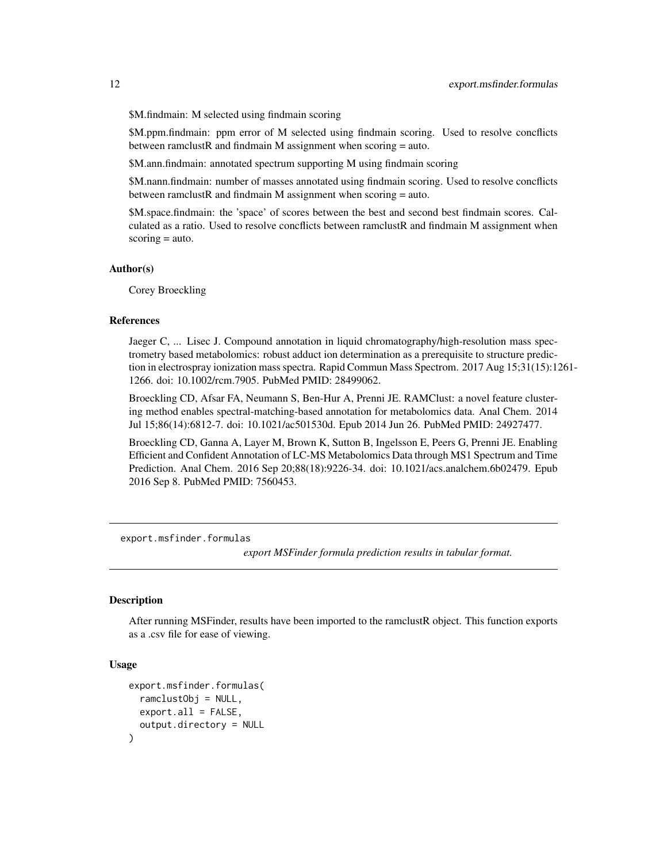<span id="page-11-0"></span>\$M.findmain: M selected using findmain scoring

\$M.ppm.findmain: ppm error of M selected using findmain scoring. Used to resolve concflicts between ramclustR and findmain M assignment when scoring  $=$  auto.

\$M.ann.findmain: annotated spectrum supporting M using findmain scoring

\$M.nann.findmain: number of masses annotated using findmain scoring. Used to resolve concflicts between ramclustR and findmain M assignment when scoring  $=$  auto.

\$M.space.findmain: the 'space' of scores between the best and second best findmain scores. Calculated as a ratio. Used to resolve concflicts between ramclustR and findmain M assignment when  $scoring = auto.$ 

#### Author(s)

Corey Broeckling

#### References

Jaeger C, ... Lisec J. Compound annotation in liquid chromatography/high-resolution mass spectrometry based metabolomics: robust adduct ion determination as a prerequisite to structure prediction in electrospray ionization mass spectra. Rapid Commun Mass Spectrom. 2017 Aug 15;31(15):1261- 1266. doi: 10.1002/rcm.7905. PubMed PMID: 28499062.

Broeckling CD, Afsar FA, Neumann S, Ben-Hur A, Prenni JE. RAMClust: a novel feature clustering method enables spectral-matching-based annotation for metabolomics data. Anal Chem. 2014 Jul 15;86(14):6812-7. doi: 10.1021/ac501530d. Epub 2014 Jun 26. PubMed PMID: 24927477.

Broeckling CD, Ganna A, Layer M, Brown K, Sutton B, Ingelsson E, Peers G, Prenni JE. Enabling Efficient and Confident Annotation of LC-MS Metabolomics Data through MS1 Spectrum and Time Prediction. Anal Chem. 2016 Sep 20;88(18):9226-34. doi: 10.1021/acs.analchem.6b02479. Epub 2016 Sep 8. PubMed PMID: 7560453.

export.msfinder.formulas

*export MSFinder formula prediction results in tabular format.*

#### **Description**

After running MSFinder, results have been imported to the ramclustR object. This function exports as a .csv file for ease of viewing.

#### Usage

```
export.msfinder.formulas(
  ramclustObj = NULL,
  export.all = FALSE,
  output.directory = NULL
)
```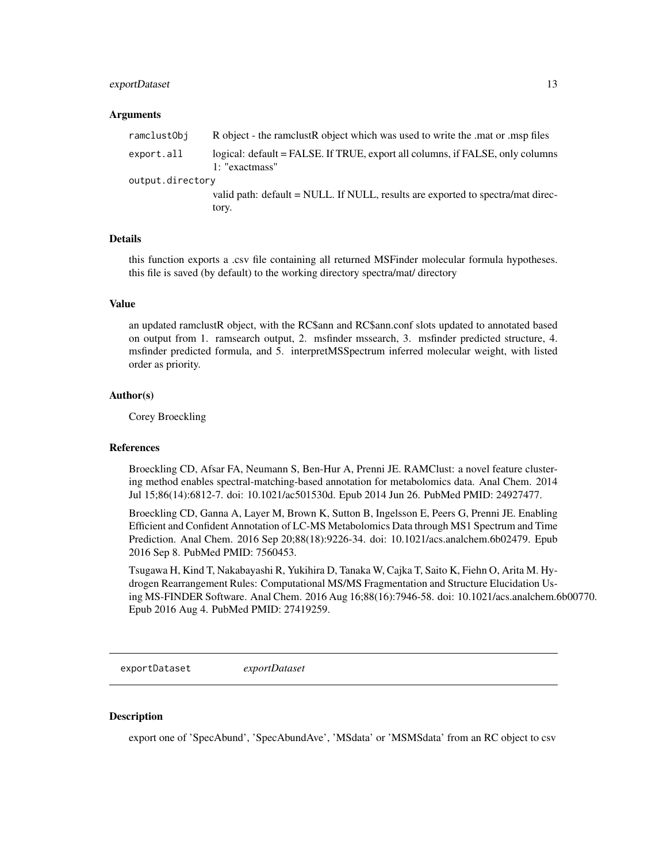#### <span id="page-12-0"></span>exportDataset 13

#### Arguments

| ramclustObj      | R object - the ramclust R object which was used to write the mat or msp files                   |
|------------------|-------------------------------------------------------------------------------------------------|
| export.all       | logical: default = FALSE. If TRUE, export all columns, if FALSE, only columns<br>1: "exactmass" |
| output.directory |                                                                                                 |
|                  | valid path: default = NULL. If NULL, results are exported to spectra/mat direc-                 |
|                  | tory.                                                                                           |

#### Details

this function exports a .csv file containing all returned MSFinder molecular formula hypotheses. this file is saved (by default) to the working directory spectra/mat/ directory

#### Value

an updated ramclustR object, with the RC\$ann and RC\$ann.conf slots updated to annotated based on output from 1. ramsearch output, 2. msfinder mssearch, 3. msfinder predicted structure, 4. msfinder predicted formula, and 5. interpretMSSpectrum inferred molecular weight, with listed order as priority.

#### Author(s)

Corey Broeckling

## References

Broeckling CD, Afsar FA, Neumann S, Ben-Hur A, Prenni JE. RAMClust: a novel feature clustering method enables spectral-matching-based annotation for metabolomics data. Anal Chem. 2014 Jul 15;86(14):6812-7. doi: 10.1021/ac501530d. Epub 2014 Jun 26. PubMed PMID: 24927477.

Broeckling CD, Ganna A, Layer M, Brown K, Sutton B, Ingelsson E, Peers G, Prenni JE. Enabling Efficient and Confident Annotation of LC-MS Metabolomics Data through MS1 Spectrum and Time Prediction. Anal Chem. 2016 Sep 20;88(18):9226-34. doi: 10.1021/acs.analchem.6b02479. Epub 2016 Sep 8. PubMed PMID: 7560453.

Tsugawa H, Kind T, Nakabayashi R, Yukihira D, Tanaka W, Cajka T, Saito K, Fiehn O, Arita M. Hydrogen Rearrangement Rules: Computational MS/MS Fragmentation and Structure Elucidation Using MS-FINDER Software. Anal Chem. 2016 Aug 16;88(16):7946-58. doi: 10.1021/acs.analchem.6b00770. Epub 2016 Aug 4. PubMed PMID: 27419259.

exportDataset *exportDataset*

#### **Description**

export one of 'SpecAbund', 'SpecAbundAve', 'MSdata' or 'MSMSdata' from an RC object to csv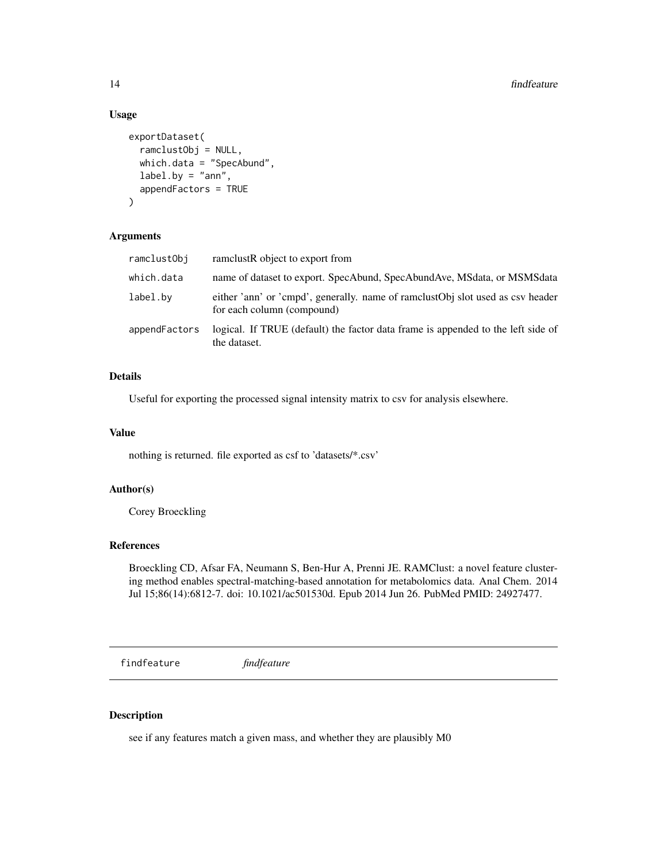## Usage

```
exportDataset(
  ramclustObj = NULL,
  which.data = "SpecAbund",
  label.py = "ann",appendFactors = TRUE
)
```
## Arguments

| ramclustObj   | ramelustR object to export from                                                                              |
|---------------|--------------------------------------------------------------------------------------------------------------|
| which.data    | name of dataset to export. SpecAbund, SpecAbundAve, MSdata, or MSMSdata                                      |
| label.bv      | either 'ann' or 'cmpd', generally, name of ramclustObj slot used as csv header<br>for each column (compound) |
| appendFactors | logical. If TRUE (default) the factor data frame is appended to the left side of<br>the dataset.             |

## Details

Useful for exporting the processed signal intensity matrix to csv for analysis elsewhere.

## Value

nothing is returned. file exported as csf to 'datasets/\*.csv'

#### Author(s)

Corey Broeckling

## References

Broeckling CD, Afsar FA, Neumann S, Ben-Hur A, Prenni JE. RAMClust: a novel feature clustering method enables spectral-matching-based annotation for metabolomics data. Anal Chem. 2014 Jul 15;86(14):6812-7. doi: 10.1021/ac501530d. Epub 2014 Jun 26. PubMed PMID: 24927477.

findfeature *findfeature*

#### Description

see if any features match a given mass, and whether they are plausibly M0

<span id="page-13-0"></span>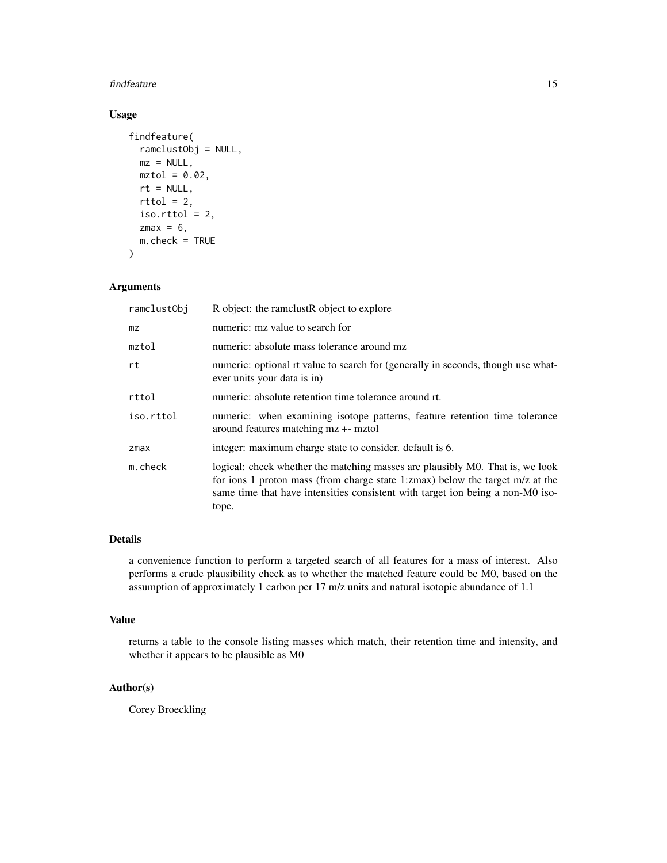#### findfeature 15

## Usage

```
findfeature(
  ramclustObj = NULL,
 mz = NULL,mztol = 0.02,
 rt = NULL,rttol = 2,iso.rttol = 2,
 zmax = 6,
 m.check = TRUE
)
```
## Arguments

| ramclustObi | R object: the ramclustR object to explore                                                                                                                                                                                                                 |  |
|-------------|-----------------------------------------------------------------------------------------------------------------------------------------------------------------------------------------------------------------------------------------------------------|--|
| mz          | numeric: mz value to search for                                                                                                                                                                                                                           |  |
| mztol       | numeric: absolute mass tolerance around mz                                                                                                                                                                                                                |  |
| rt          | numeric: optional rt value to search for (generally in seconds, though use what-<br>ever units your data is in)                                                                                                                                           |  |
| rttol       | numeric: absolute retention time tolerance around rt.                                                                                                                                                                                                     |  |
| iso.rttol   | numeric: when examining isotope patterns, feature retention time tolerance<br>around features matching mz +- mztol                                                                                                                                        |  |
| zmax        | integer: maximum charge state to consider. default is 6.                                                                                                                                                                                                  |  |
| m.check     | logical: check whether the matching masses are plausibly M0. That is, we look<br>for ions 1 proton mass (from charge state 1:zmax) below the target m/z at the<br>same time that have intensities consistent with target ion being a non-M0 iso-<br>tope. |  |

## Details

a convenience function to perform a targeted search of all features for a mass of interest. Also performs a crude plausibility check as to whether the matched feature could be M0, based on the assumption of approximately 1 carbon per 17 m/z units and natural isotopic abundance of 1.1

## Value

returns a table to the console listing masses which match, their retention time and intensity, and whether it appears to be plausible as M0

## Author(s)

Corey Broeckling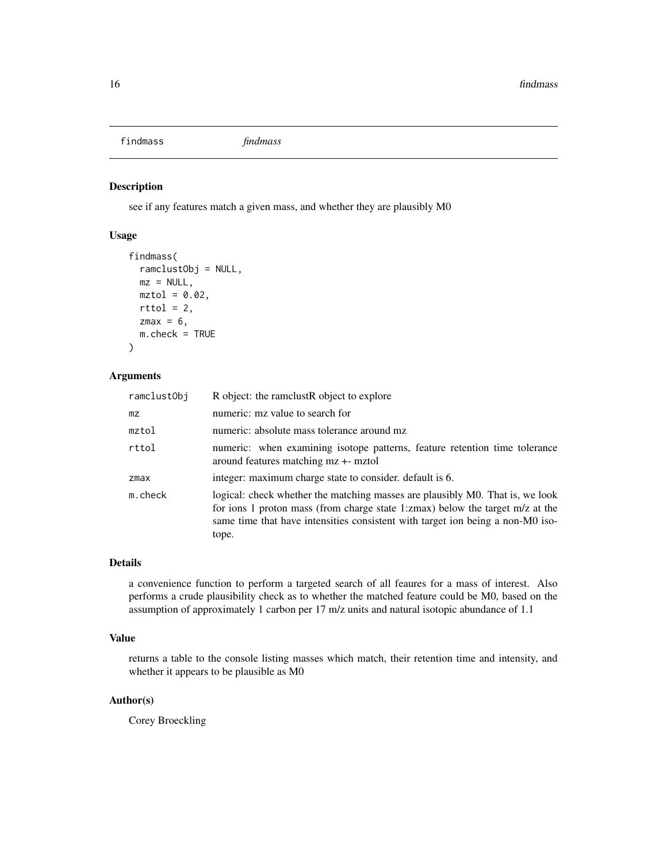<span id="page-15-0"></span>findmass *findmass*

## Description

see if any features match a given mass, and whether they are plausibly M0

## Usage

```
findmass(
  ramclustObj = NULL,
 mz = NULL,mztol = 0.02,
 rttol = 2,
 zmax = 6,
 m.check = TRUE
)
```
#### Arguments

| ramclustObj | R object: the rame lust R object to explore                                                                                                                                                                                                               |  |
|-------------|-----------------------------------------------------------------------------------------------------------------------------------------------------------------------------------------------------------------------------------------------------------|--|
| mz          | numeric: mz value to search for                                                                                                                                                                                                                           |  |
| mztol       | numeric: absolute mass tolerance around mz                                                                                                                                                                                                                |  |
| rttol       | numeric: when examining isotope patterns, feature retention time tolerance<br>around features matching mz +- mztol                                                                                                                                        |  |
| $z$ max     | integer: maximum charge state to consider. default is 6.                                                                                                                                                                                                  |  |
| m.check     | logical: check whether the matching masses are plausibly M0. That is, we look<br>for ions 1 proton mass (from charge state 1:zmax) below the target m/z at the<br>same time that have intensities consistent with target ion being a non-M0 iso-<br>tope. |  |

#### Details

a convenience function to perform a targeted search of all feaures for a mass of interest. Also performs a crude plausibility check as to whether the matched feature could be M0, based on the assumption of approximately 1 carbon per 17 m/z units and natural isotopic abundance of 1.1

#### Value

returns a table to the console listing masses which match, their retention time and intensity, and whether it appears to be plausible as M0

## Author(s)

Corey Broeckling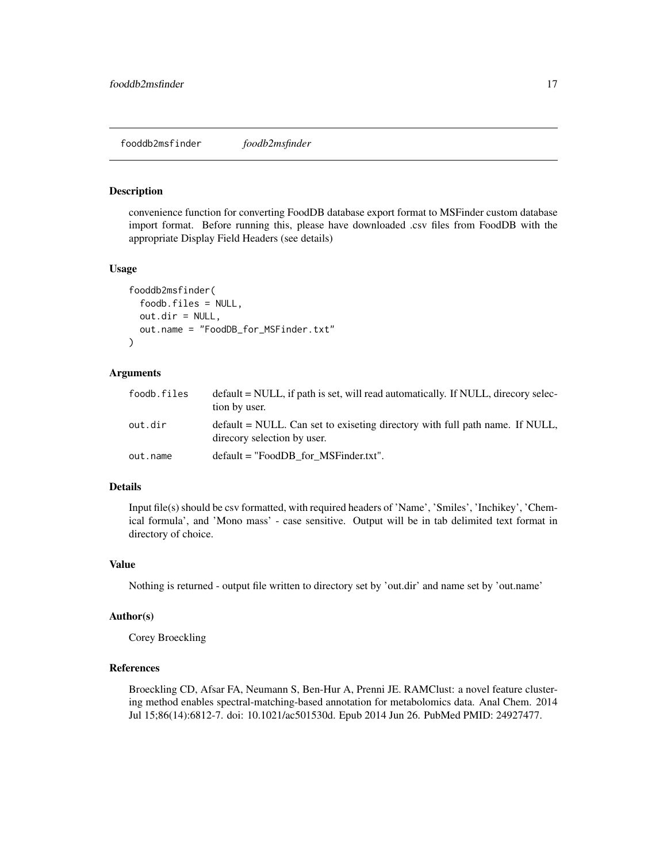## <span id="page-16-0"></span>Description

convenience function for converting FoodDB database export format to MSFinder custom database import format. Before running this, please have downloaded .csv files from FoodDB with the appropriate Display Field Headers (see details)

#### Usage

```
fooddb2msfinder(
  foodb.files = NULL,
  out.dir = NULL,
  out.name = "FoodDB_for_MSFinder.txt"
)
```
#### Arguments

| foodb.files | $default = NULL$ , if path is set, will read automatically. If NULL, direcory selec-<br>tion by user.       |  |
|-------------|-------------------------------------------------------------------------------------------------------------|--|
| out.dir     | default = NULL. Can set to exiseting directory with full path name. If NULL,<br>direcory selection by user. |  |
| out.name    | $default = "FoodDB for MSFinder.txt".$                                                                      |  |

## Details

Input file(s) should be csv formatted, with required headers of 'Name', 'Smiles', 'Inchikey', 'Chemical formula', and 'Mono mass' - case sensitive. Output will be in tab delimited text format in directory of choice.

### Value

Nothing is returned - output file written to directory set by 'out.dir' and name set by 'out.name'

#### Author(s)

Corey Broeckling

## References

Broeckling CD, Afsar FA, Neumann S, Ben-Hur A, Prenni JE. RAMClust: a novel feature clustering method enables spectral-matching-based annotation for metabolomics data. Anal Chem. 2014 Jul 15;86(14):6812-7. doi: 10.1021/ac501530d. Epub 2014 Jun 26. PubMed PMID: 24927477.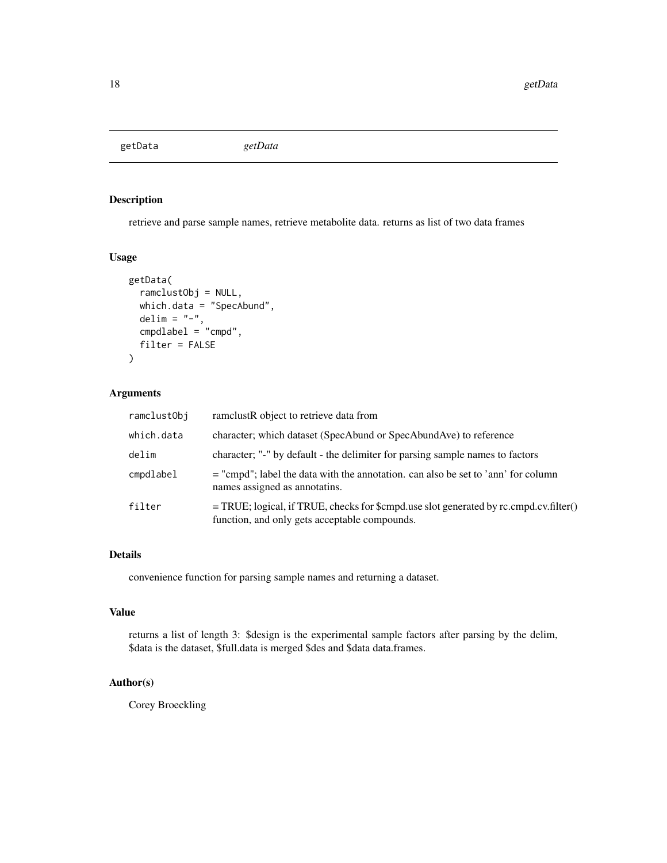<span id="page-17-0"></span>getData *getData*

## Description

retrieve and parse sample names, retrieve metabolite data. returns as list of two data frames

## Usage

```
getData(
  ramclustObj = NULL,
 which.data = "SpecAbund",
 delim = "-",
  cmpdlabel = "cmpd",
  filter = FALSE
)
```
## Arguments

| ramclustObj | ramelustR object to retrieve data from                                                                                                   |
|-------------|------------------------------------------------------------------------------------------------------------------------------------------|
| which.data  | character; which dataset (SpecAbund or SpecAbundAve) to reference                                                                        |
| delim       | character; "-" by default - the delimiter for parsing sample names to factors                                                            |
| cmpdlabel   | $=$ "cmpd"; label the data with the annotation. can also be set to 'ann' for column<br>names assigned as annotatins.                     |
| filter      | $=$ TRUE; logical, if TRUE, checks for \$cmpd.use slot generated by rc.cmpd.cv.filter()<br>function, and only gets acceptable compounds. |

## Details

convenience function for parsing sample names and returning a dataset.

#### Value

returns a list of length 3: \$design is the experimental sample factors after parsing by the delim, \$data is the dataset, \$full.data is merged \$des and \$data data.frames.

## Author(s)

Corey Broeckling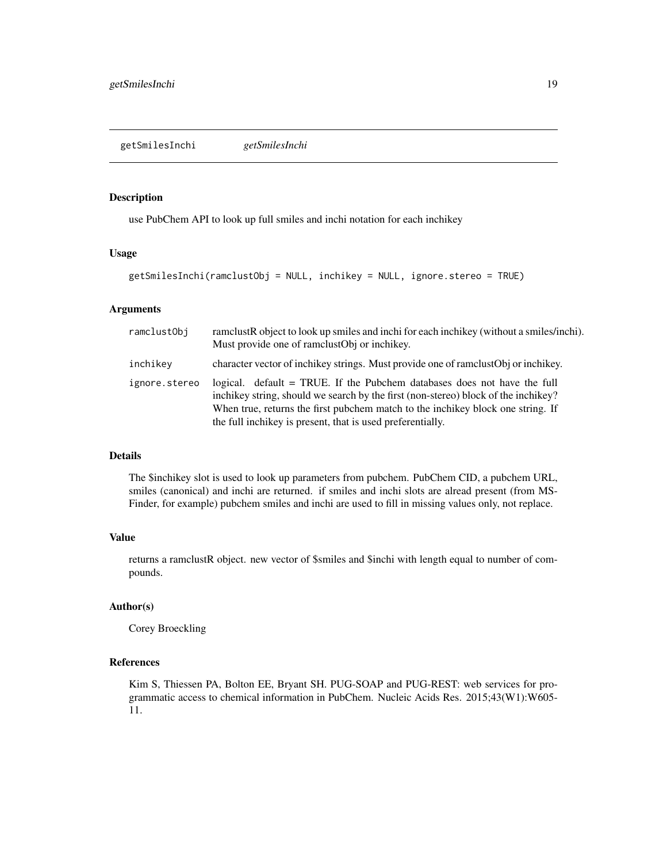## <span id="page-18-0"></span>Description

use PubChem API to look up full smiles and inchi notation for each inchikey

#### Usage

```
getSmilesInchi(ramclustObj = NULL, inchikey = NULL, ignore.stereo = TRUE)
```
#### Arguments

| ramclustObj   | ramclustR object to look up smiles and inchi for each inchikey (without a smiles/inchi).<br>Must provide one of rame stop or inchikey.                                                                                                                                                                          |  |
|---------------|-----------------------------------------------------------------------------------------------------------------------------------------------------------------------------------------------------------------------------------------------------------------------------------------------------------------|--|
| inchikey      | character vector of inchikey strings. Must provide one of ramclust Obj or inchikey.                                                                                                                                                                                                                             |  |
| ignore.stereo | logical. default = TRUE. If the Pubchem databases does not have the full<br>inchikey string, should we search by the first (non-stereo) block of the inchikey?<br>When true, returns the first pubchem match to the inchikey block one string. If<br>the full inchikey is present, that is used preferentially. |  |

## Details

The \$inchikey slot is used to look up parameters from pubchem. PubChem CID, a pubchem URL, smiles (canonical) and inchi are returned. if smiles and inchi slots are alread present (from MS-Finder, for example) pubchem smiles and inchi are used to fill in missing values only, not replace.

#### Value

returns a ramclustR object. new vector of \$smiles and \$inchi with length equal to number of compounds.

## Author(s)

Corey Broeckling

## References

Kim S, Thiessen PA, Bolton EE, Bryant SH. PUG-SOAP and PUG-REST: web services for programmatic access to chemical information in PubChem. Nucleic Acids Res. 2015;43(W1):W605- 11.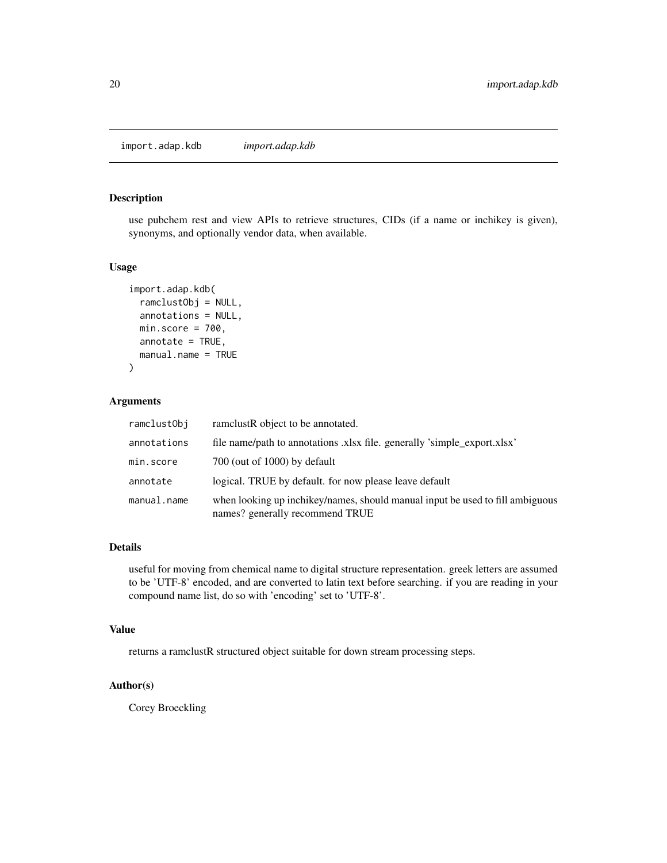<span id="page-19-0"></span>import.adap.kdb *import.adap.kdb*

## Description

use pubchem rest and view APIs to retrieve structures, CIDs (if a name or inchikey is given), synonyms, and optionally vendor data, when available.

#### Usage

```
import.adap.kdb(
 ramclustObj = NULL,
 annotations = NULL,
 min_score = 700,annotate = TRUE,manual.name = TRUE
)
```
## Arguments

| ramclustObj | ramelustR object to be annotated.                                                                                |
|-------------|------------------------------------------------------------------------------------------------------------------|
| annotations | file name/path to annotations xlsx file. generally 'simple_export.xlsx'                                          |
| min.score   | 700 (out of 1000) by default                                                                                     |
| annotate    | logical. TRUE by default, for now please leave default                                                           |
| manual.name | when looking up inchikey/names, should manual input be used to fill ambiguous<br>names? generally recommend TRUE |

## Details

useful for moving from chemical name to digital structure representation. greek letters are assumed to be 'UTF-8' encoded, and are converted to latin text before searching. if you are reading in your compound name list, do so with 'encoding' set to 'UTF-8'.

#### Value

returns a ramclustR structured object suitable for down stream processing steps.

## Author(s)

Corey Broeckling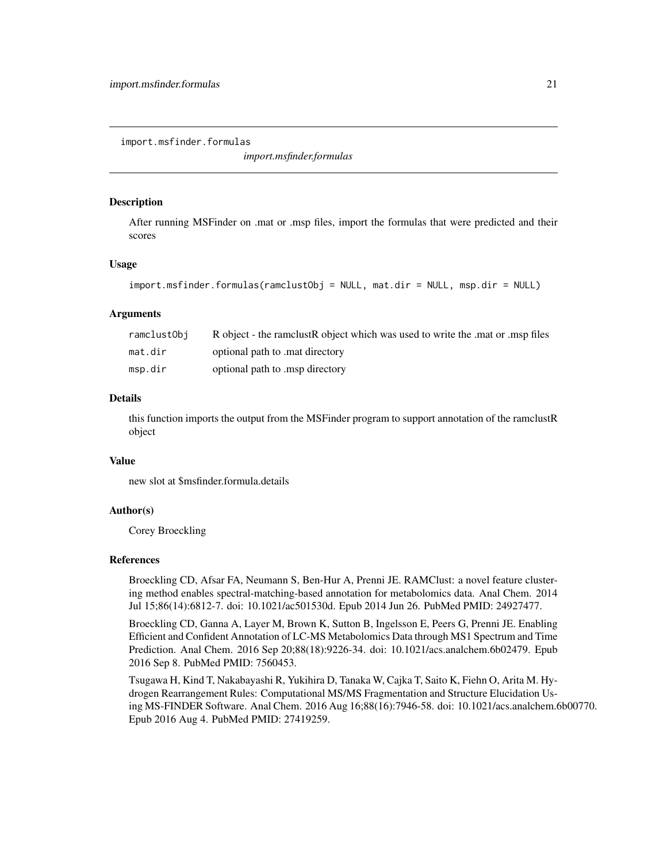<span id="page-20-0"></span>import.msfinder.formulas

*import.msfinder.formulas*

#### **Description**

After running MSFinder on .mat or .msp files, import the formulas that were predicted and their scores

#### Usage

```
import.msfinder.formulas(ramclustObj = NULL, mat.dir = NULL, msp.dir = NULL)
```
#### Arguments

| ramclustObi | R object - the ramclust R object which was used to write the mat or msp files |
|-------------|-------------------------------------------------------------------------------|
| mat.dir     | optional path to mat directory                                                |
| msp.dir     | optional path to msp directory                                                |

## Details

this function imports the output from the MSFinder program to support annotation of the ramclustR object

## Value

new slot at \$msfinder.formula.details

### Author(s)

Corey Broeckling

#### References

Broeckling CD, Afsar FA, Neumann S, Ben-Hur A, Prenni JE. RAMClust: a novel feature clustering method enables spectral-matching-based annotation for metabolomics data. Anal Chem. 2014 Jul 15;86(14):6812-7. doi: 10.1021/ac501530d. Epub 2014 Jun 26. PubMed PMID: 24927477.

Broeckling CD, Ganna A, Layer M, Brown K, Sutton B, Ingelsson E, Peers G, Prenni JE. Enabling Efficient and Confident Annotation of LC-MS Metabolomics Data through MS1 Spectrum and Time Prediction. Anal Chem. 2016 Sep 20;88(18):9226-34. doi: 10.1021/acs.analchem.6b02479. Epub 2016 Sep 8. PubMed PMID: 7560453.

Tsugawa H, Kind T, Nakabayashi R, Yukihira D, Tanaka W, Cajka T, Saito K, Fiehn O, Arita M. Hydrogen Rearrangement Rules: Computational MS/MS Fragmentation and Structure Elucidation Using MS-FINDER Software. Anal Chem. 2016 Aug 16;88(16):7946-58. doi: 10.1021/acs.analchem.6b00770. Epub 2016 Aug 4. PubMed PMID: 27419259.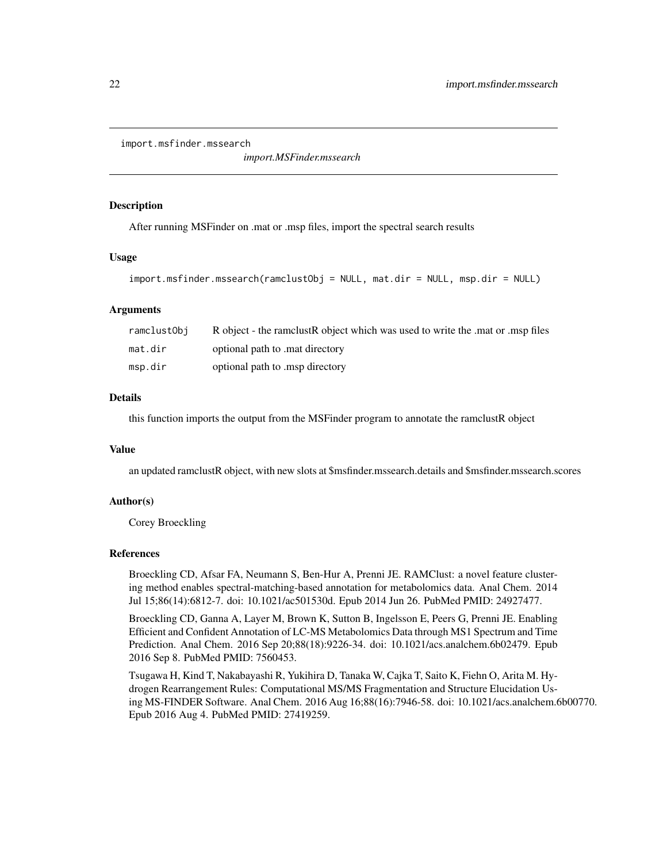```
import.msfinder.mssearch
```
*import.MSFinder.mssearch*

#### **Description**

After running MSFinder on .mat or .msp files, import the spectral search results

#### Usage

```
import.msfinder.mssearch(ramclustObj = NULL, mat.dir = NULL, msp.dir = NULL)
```
#### Arguments

| ramclustObi | R object - the ramclust R object which was used to write the mat or msp files |
|-------------|-------------------------------------------------------------------------------|
| mat.dir     | optional path to mat directory                                                |
| msp.dir     | optional path to msp directory                                                |

## Details

this function imports the output from the MSFinder program to annotate the ramclustR object

#### Value

an updated ramclustR object, with new slots at \$msfinder.mssearch.details and \$msfinder.mssearch.scores

## Author(s)

Corey Broeckling

#### References

Broeckling CD, Afsar FA, Neumann S, Ben-Hur A, Prenni JE. RAMClust: a novel feature clustering method enables spectral-matching-based annotation for metabolomics data. Anal Chem. 2014 Jul 15;86(14):6812-7. doi: 10.1021/ac501530d. Epub 2014 Jun 26. PubMed PMID: 24927477.

Broeckling CD, Ganna A, Layer M, Brown K, Sutton B, Ingelsson E, Peers G, Prenni JE. Enabling Efficient and Confident Annotation of LC-MS Metabolomics Data through MS1 Spectrum and Time Prediction. Anal Chem. 2016 Sep 20;88(18):9226-34. doi: 10.1021/acs.analchem.6b02479. Epub 2016 Sep 8. PubMed PMID: 7560453.

Tsugawa H, Kind T, Nakabayashi R, Yukihira D, Tanaka W, Cajka T, Saito K, Fiehn O, Arita M. Hydrogen Rearrangement Rules: Computational MS/MS Fragmentation and Structure Elucidation Using MS-FINDER Software. Anal Chem. 2016 Aug 16;88(16):7946-58. doi: 10.1021/acs.analchem.6b00770. Epub 2016 Aug 4. PubMed PMID: 27419259.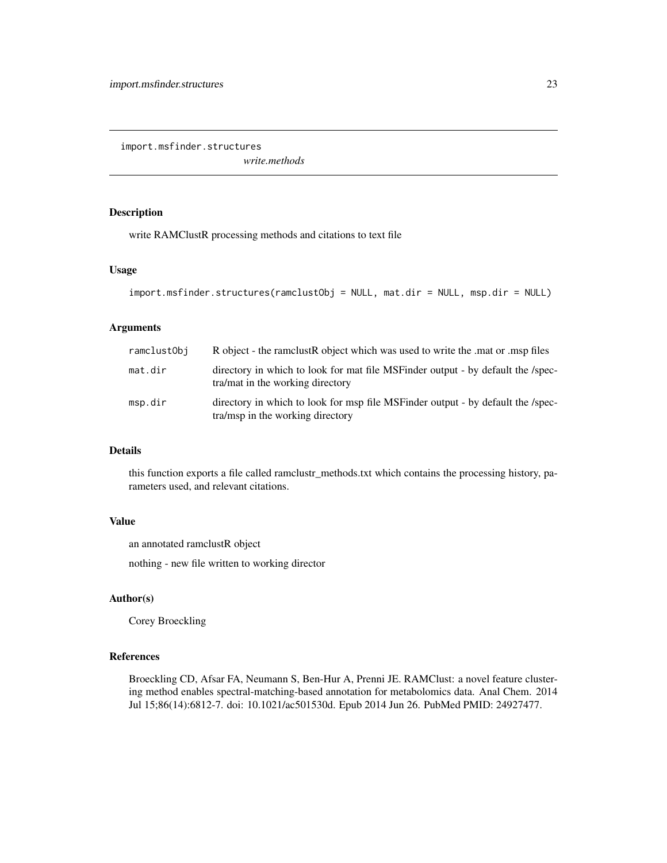<span id="page-22-0"></span>import.msfinder.structures

*write.methods*

## Description

write RAMClustR processing methods and citations to text file

#### Usage

```
import.msfinder.structures(ramclustObj = NULL, mat.dir = NULL, msp.dir = NULL)
```
#### Arguments

| ramclustObi | R object - the ramclust R object which was used to write the mat or msp files                                        |  |
|-------------|----------------------------------------------------------------------------------------------------------------------|--|
| mat.dir     | directory in which to look for mat file MSF inder output - by default the /spec-<br>tra/mat in the working directory |  |
| msp.dir     | directory in which to look for msp file MSFinder output - by default the /spec-<br>tra/msp in the working directory  |  |

#### Details

this function exports a file called ramclustr\_methods.txt which contains the processing history, parameters used, and relevant citations.

#### Value

an annotated ramclustR object

nothing - new file written to working director

## Author(s)

Corey Broeckling

#### References

Broeckling CD, Afsar FA, Neumann S, Ben-Hur A, Prenni JE. RAMClust: a novel feature clustering method enables spectral-matching-based annotation for metabolomics data. Anal Chem. 2014 Jul 15;86(14):6812-7. doi: 10.1021/ac501530d. Epub 2014 Jun 26. PubMed PMID: 24927477.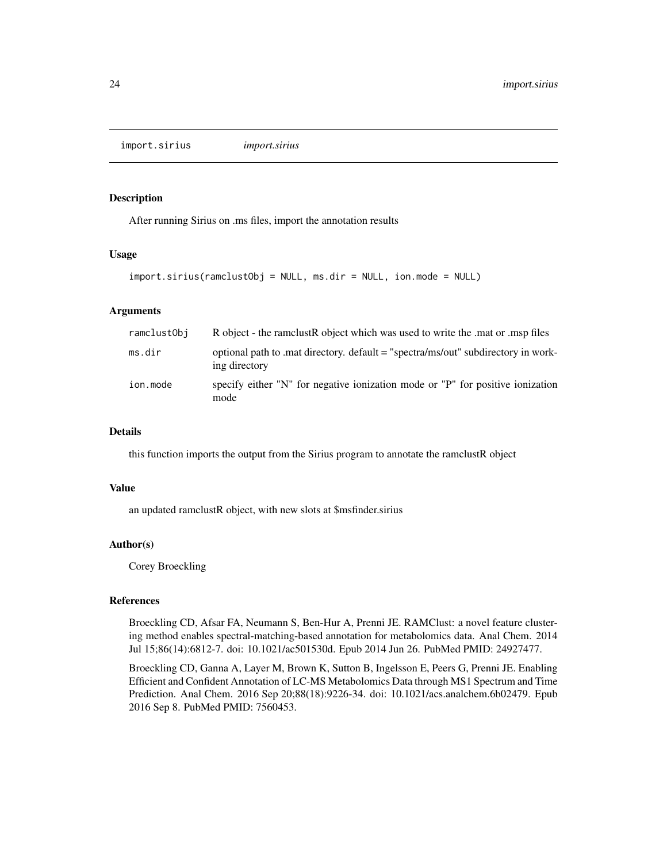<span id="page-23-0"></span>import.sirius *import.sirius*

#### Description

After running Sirius on .ms files, import the annotation results

#### Usage

```
import.sirius(ramclustObj = NULL, ms.dir = NULL, ion.mode = NULL)
```
## Arguments

| ramclustObj | R object - the ramclust R object which was used to write the mat or msp files                     |
|-------------|---------------------------------------------------------------------------------------------------|
| ms.dir      | optional path to mat directory, default = "spectra/ms/out" subdirectory in work-<br>ing directory |
| ion.mode    | specify either "N" for negative ionization mode or "P" for positive ionization<br>mode            |

## Details

this function imports the output from the Sirius program to annotate the ramclustR object

#### Value

an updated ramclustR object, with new slots at \$msfinder.sirius

#### Author(s)

Corey Broeckling

#### References

Broeckling CD, Afsar FA, Neumann S, Ben-Hur A, Prenni JE. RAMClust: a novel feature clustering method enables spectral-matching-based annotation for metabolomics data. Anal Chem. 2014 Jul 15;86(14):6812-7. doi: 10.1021/ac501530d. Epub 2014 Jun 26. PubMed PMID: 24927477.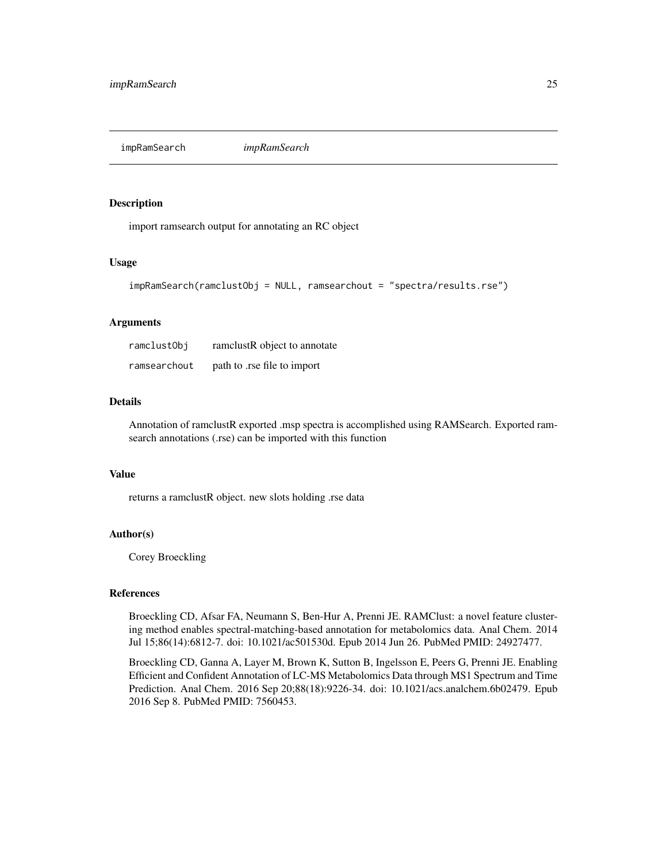<span id="page-24-0"></span>impRamSearch *impRamSearch*

#### Description

import ramsearch output for annotating an RC object

## Usage

```
impRamSearch(ramclustObj = NULL, ramsearchout = "spectra/results.rse")
```
## Arguments

| ramclustObj  | ramelustR object to annotate |
|--------------|------------------------------|
| ramsearchout | path to .rse file to import  |

## Details

Annotation of ramclustR exported .msp spectra is accomplished using RAMSearch. Exported ramsearch annotations (.rse) can be imported with this function

#### Value

returns a ramclustR object. new slots holding .rse data

## Author(s)

Corey Broeckling

## References

Broeckling CD, Afsar FA, Neumann S, Ben-Hur A, Prenni JE. RAMClust: a novel feature clustering method enables spectral-matching-based annotation for metabolomics data. Anal Chem. 2014 Jul 15;86(14):6812-7. doi: 10.1021/ac501530d. Epub 2014 Jun 26. PubMed PMID: 24927477.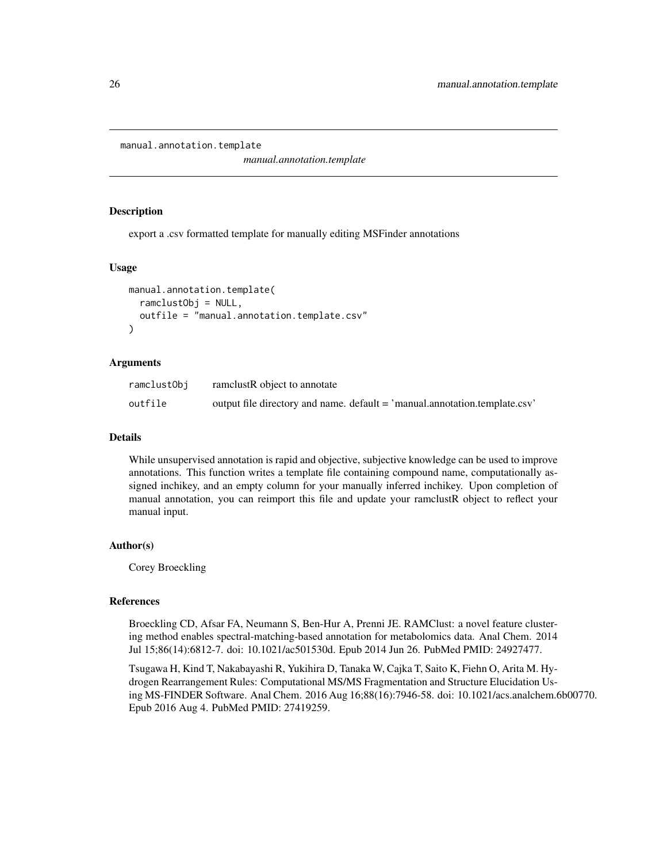```
manual.annotation.template
```
*manual.annotation.template*

#### Description

export a .csv formatted template for manually editing MSFinder annotations

#### Usage

```
manual.annotation.template(
  ramclustObj = NULL,
  outfile = "manual.annotation.template.csv"
)
```
#### Arguments

| ramclustObj | ramelustR object to annotate                                               |
|-------------|----------------------------------------------------------------------------|
| outfile     | output file directory and name. default = 'manual.annotation.template.csv' |

## Details

While unsupervised annotation is rapid and objective, subjective knowledge can be used to improve annotations. This function writes a template file containing compound name, computationally assigned inchikey, and an empty column for your manually inferred inchikey. Upon completion of manual annotation, you can reimport this file and update your ramclustR object to reflect your manual input.

#### Author(s)

Corey Broeckling

#### References

Broeckling CD, Afsar FA, Neumann S, Ben-Hur A, Prenni JE. RAMClust: a novel feature clustering method enables spectral-matching-based annotation for metabolomics data. Anal Chem. 2014 Jul 15;86(14):6812-7. doi: 10.1021/ac501530d. Epub 2014 Jun 26. PubMed PMID: 24927477.

Tsugawa H, Kind T, Nakabayashi R, Yukihira D, Tanaka W, Cajka T, Saito K, Fiehn O, Arita M. Hydrogen Rearrangement Rules: Computational MS/MS Fragmentation and Structure Elucidation Using MS-FINDER Software. Anal Chem. 2016 Aug 16;88(16):7946-58. doi: 10.1021/acs.analchem.6b00770. Epub 2016 Aug 4. PubMed PMID: 27419259.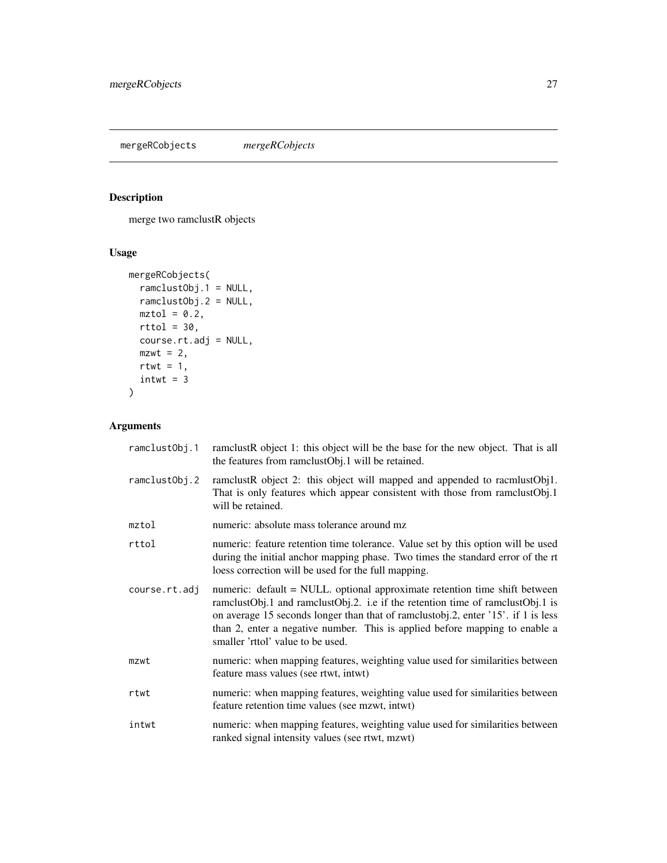<span id="page-26-0"></span>mergeRCobjects *mergeRCobjects*

## Description

merge two ramclustR objects

## Usage

```
mergeRCobjects(
 ramclustObj.1 = NULL,
 ramclustObj.2 = NULL,
 mztol = 0.2,
 rttol = 30,course.rt.adj = NULL,
 mzwt = 2,
 rtwt = 1,
  intwt = 3)
```
## Arguments

| ramclustObj.1 | ramclustR object 1: this object will be the base for the new object. That is all<br>the features from ramclustObj.1 will be retained.                                                                                                                                                                                                                                 |
|---------------|-----------------------------------------------------------------------------------------------------------------------------------------------------------------------------------------------------------------------------------------------------------------------------------------------------------------------------------------------------------------------|
| ramclustObj.2 | ramclustR object 2: this object will mapped and appended to racmlustObj1.<br>That is only features which appear consistent with those from ramclustObj.1<br>will be retained.                                                                                                                                                                                         |
| mztol         | numeric: absolute mass tolerance around mz                                                                                                                                                                                                                                                                                                                            |
| rttol         | numeric: feature retention time tolerance. Value set by this option will be used<br>during the initial anchor mapping phase. Two times the standard error of the rt<br>loess correction will be used for the full mapping.                                                                                                                                            |
| course.rt.adj | numeric: default = NULL. optional approximate retention time shift between<br>ramclustObj.1 and ramclustObj.2. i.e if the retention time of ramclustObj.1 is<br>on average 15 seconds longer than that of ramclustobj.2, enter '15'. if 1 is less<br>than 2, enter a negative number. This is applied before mapping to enable a<br>smaller 'rttol' value to be used. |
| mzwt          | numeric: when mapping features, weighting value used for similarities between<br>feature mass values (see rtwt, intwt)                                                                                                                                                                                                                                                |
| rtwt          | numeric: when mapping features, weighting value used for similarities between<br>feature retention time values (see mzwt, intwt)                                                                                                                                                                                                                                      |
| intwt         | numeric: when mapping features, weighting value used for similarities between<br>ranked signal intensity values (see rtwt, mzwt)                                                                                                                                                                                                                                      |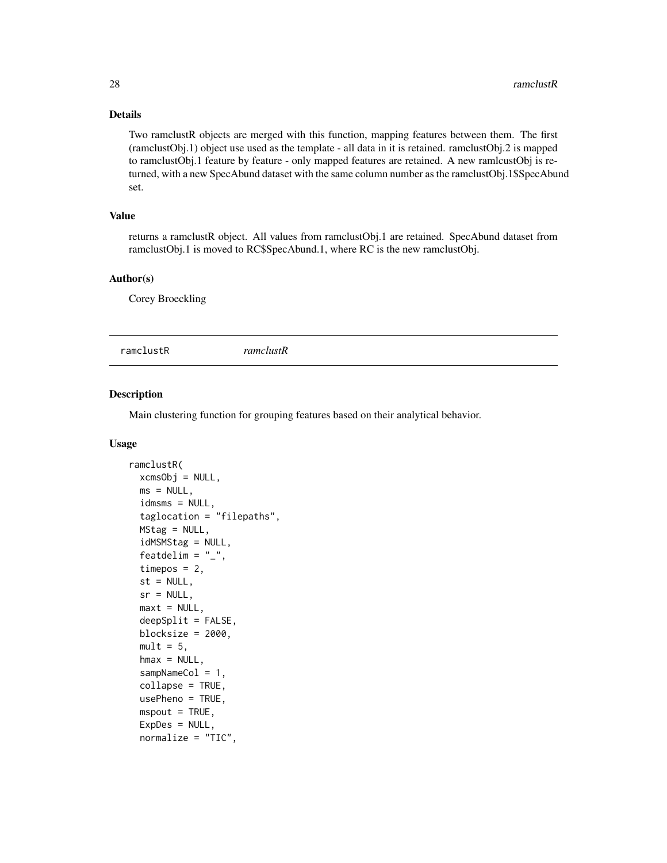## Details

Two ramclustR objects are merged with this function, mapping features between them. The first (ramclustObj.1) object use used as the template - all data in it is retained. ramclustObj.2 is mapped to ramclustObj.1 feature by feature - only mapped features are retained. A new ramlcustObj is returned, with a new SpecAbund dataset with the same column number as the ramclustObj.1\$SpecAbund set.

## Value

returns a ramclustR object. All values from ramclustObj.1 are retained. SpecAbund dataset from ramclustObj.1 is moved to RC\$SpecAbund.1, where RC is the new ramclustObj.

#### Author(s)

Corey Broeckling

ramclustR *ramclustR*

## Description

Main clustering function for grouping features based on their analytical behavior.

#### Usage

```
ramclustR(
 xcmsObi = NULL,
 ms = NULL,idmsms = NULL,taglocation = "filepaths",
 MStag = NULL,
  idMSMStag = NULL,
 featdelim = "_",
  timepos = 2,
  st = NULL,sr = NULL,maxt = NULL,deepSplit = FALSE,blocksize = 2000,
 mult = 5,
 hmax = NULL,
  sampleCol = 1,
  collapse = TRUE,
  usePheno = TRUE,
 msput = TRUE,ExpDes = NULL,
 normalize = "TIC",
```
<span id="page-27-0"></span>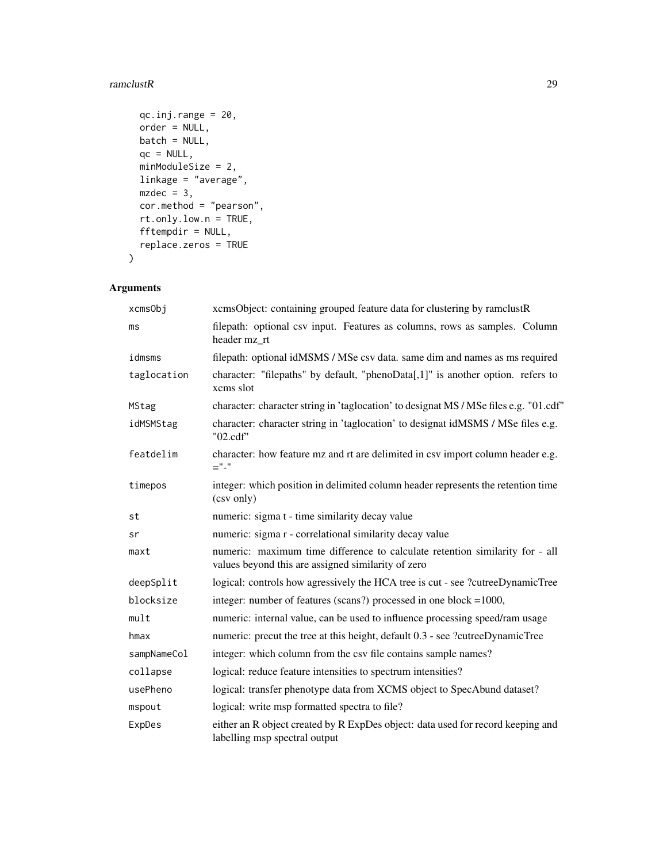#### ramclustR 29

```
qc.inj.random = 20,order = NULL,
 batch = NULL,
 qc = NULL,minModuleSize = 2,
 linkage = "average",
 mzdec = 3,
 cor.method = "pearson",
 rt.only.low.n = TRUE,
 fftempdir = NULL,
 replace.zeros = TRUE
\mathcal{L}
```
## Arguments

| xcmsObj     | xcmsObject: containing grouped feature data for clustering by ramclustR                                                            |
|-------------|------------------------------------------------------------------------------------------------------------------------------------|
| ms          | filepath: optional csv input. Features as columns, rows as samples. Column<br>header mz rt                                         |
| idmsms      | filepath: optional idMSMS / MSe csv data. same dim and names as ms required                                                        |
| taglocation | character: "filepaths" by default, "phenoData[,1]" is another option. refers to<br>xcms slot                                       |
| MStag       | character: character string in 'taglocation' to designat MS / MSe files e.g. "01.cdf"                                              |
| idMSMStag   | character: character string in 'taglocation' to designat idMSMS / MSe files e.g.<br>"02.cdf"                                       |
| featdelim   | character: how feature mz and rt are delimited in csv import column header e.g.<br>$=$ "-"                                         |
| timepos     | integer: which position in delimited column header represents the retention time<br>(csv only)                                     |
| st          | numeric: sigma t - time similarity decay value                                                                                     |
| sr          | numeric: sigma r - correlational similarity decay value                                                                            |
| maxt        | numeric: maximum time difference to calculate retention similarity for - all<br>values beyond this are assigned similarity of zero |
| deepSplit   | logical: controls how agressively the HCA tree is cut - see ?cutreeDynamicTree                                                     |
| blocksize   | integer: number of features (scans?) processed in one block $=1000$ ,                                                              |
| mult        | numeric: internal value, can be used to influence processing speed/ram usage                                                       |
| hmax        | numeric: precut the tree at this height, default 0.3 - see ?cutreeDynamicTree                                                      |
| sampNameCol | integer: which column from the csv file contains sample names?                                                                     |
| collapse    | logical: reduce feature intensities to spectrum intensities?                                                                       |
| usePheno    | logical: transfer phenotype data from XCMS object to SpecAbund dataset?                                                            |
| mspout      | logical: write msp formatted spectra to file?                                                                                      |
| ExpDes      | either an R object created by R ExpDes object: data used for record keeping and<br>labelling msp spectral output                   |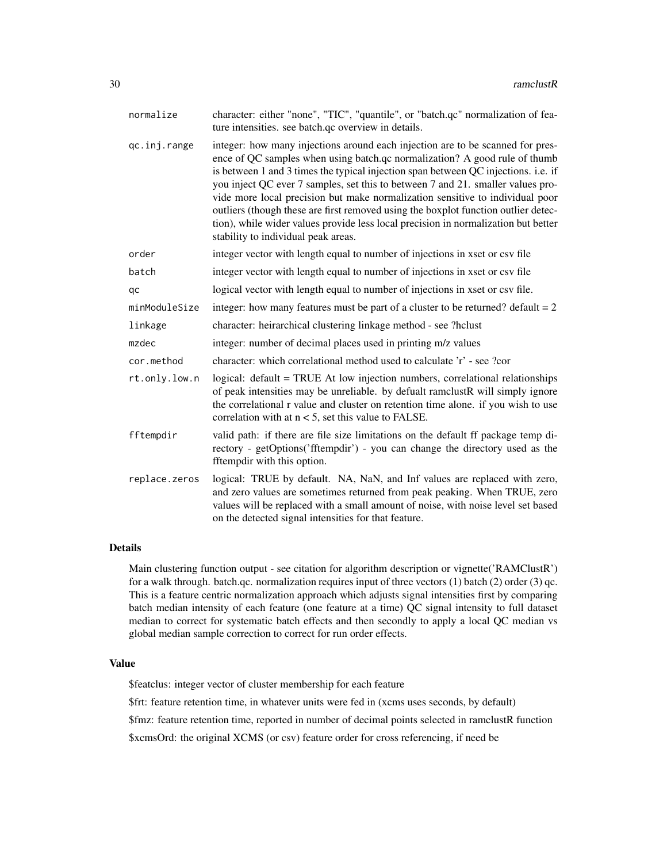| normalize     | character: either "none", "TIC", "quantile", or "batch.qc" normalization of fea-<br>ture intensities. see batch.qc overview in details.                                                                                                                                                                                                                                                                                                                                                                                                                                                                                                   |
|---------------|-------------------------------------------------------------------------------------------------------------------------------------------------------------------------------------------------------------------------------------------------------------------------------------------------------------------------------------------------------------------------------------------------------------------------------------------------------------------------------------------------------------------------------------------------------------------------------------------------------------------------------------------|
| qc.inj.range  | integer: how many injections around each injection are to be scanned for pres-<br>ence of QC samples when using batch.qc normalization? A good rule of thumb<br>is between 1 and 3 times the typical injection span between QC injections. i.e. if<br>you inject QC ever 7 samples, set this to between 7 and 21. smaller values pro-<br>vide more local precision but make normalization sensitive to individual poor<br>outliers (though these are first removed using the boxplot function outlier detec-<br>tion), while wider values provide less local precision in normalization but better<br>stability to individual peak areas. |
| order         | integer vector with length equal to number of injections in xset or csv file                                                                                                                                                                                                                                                                                                                                                                                                                                                                                                                                                              |
| batch         | integer vector with length equal to number of injections in xset or csv file                                                                                                                                                                                                                                                                                                                                                                                                                                                                                                                                                              |
| qc            | logical vector with length equal to number of injections in xset or csv file.                                                                                                                                                                                                                                                                                                                                                                                                                                                                                                                                                             |
| minModuleSize | integer: how many features must be part of a cluster to be returned? default $= 2$                                                                                                                                                                                                                                                                                                                                                                                                                                                                                                                                                        |
| linkage       | character: heirarchical clustering linkage method - see ?hclust                                                                                                                                                                                                                                                                                                                                                                                                                                                                                                                                                                           |
| mzdec         | integer: number of decimal places used in printing m/z values                                                                                                                                                                                                                                                                                                                                                                                                                                                                                                                                                                             |
| cor.method    | character: which correlational method used to calculate 'r' - see ?cor                                                                                                                                                                                                                                                                                                                                                                                                                                                                                                                                                                    |
| rt.only.low.n | logical: default = TRUE At low injection numbers, correlational relationships<br>of peak intensities may be unreliable. by defualt ramclustR will simply ignore<br>the correlational r value and cluster on retention time alone. if you wish to use<br>correlation with at $n < 5$ , set this value to FALSE.                                                                                                                                                                                                                                                                                                                            |
| fftempdir     | valid path: if there are file size limitations on the default ff package temp di-<br>rectory - getOptions('fftempdir') - you can change the directory used as the<br>fftempdir with this option.                                                                                                                                                                                                                                                                                                                                                                                                                                          |
| replace.zeros | logical: TRUE by default. NA, NaN, and Inf values are replaced with zero,<br>and zero values are sometimes returned from peak peaking. When TRUE, zero<br>values will be replaced with a small amount of noise, with noise level set based<br>on the detected signal intensities for that feature.                                                                                                                                                                                                                                                                                                                                        |

## Details

Main clustering function output - see citation for algorithm description or vignette('RAMClustR') for a walk through. batch.qc. normalization requires input of three vectors (1) batch (2) order (3) qc. This is a feature centric normalization approach which adjusts signal intensities first by comparing batch median intensity of each feature (one feature at a time) QC signal intensity to full dataset median to correct for systematic batch effects and then secondly to apply a local QC median vs global median sample correction to correct for run order effects.

## Value

\$featclus: integer vector of cluster membership for each feature

\$frt: feature retention time, in whatever units were fed in (xcms uses seconds, by default)

\$fmz: feature retention time, reported in number of decimal points selected in ramclustR function

\$xcmsOrd: the original XCMS (or csv) feature order for cross referencing, if need be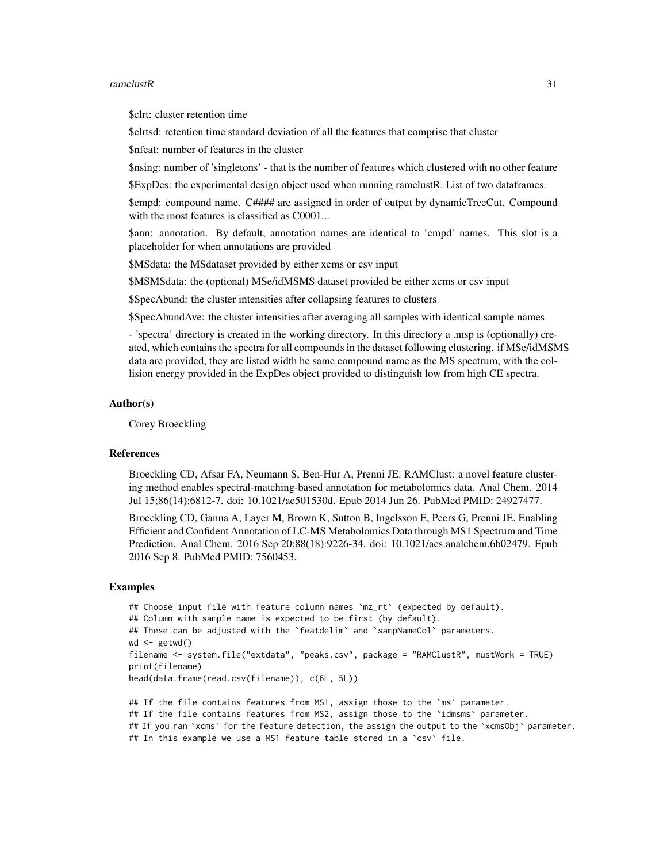#### ramclustR 31

\$clrt: cluster retention time

\$clrtsd: retention time standard deviation of all the features that comprise that cluster

\$nfeat: number of features in the cluster

\$nsing: number of 'singletons' - that is the number of features which clustered with no other feature

\$ExpDes: the experimental design object used when running ramclustR. List of two dataframes.

\$cmpd: compound name. C#### are assigned in order of output by dynamicTreeCut. Compound with the most features is classified as  $C0001...$ 

\$ann: annotation. By default, annotation names are identical to 'cmpd' names. This slot is a placeholder for when annotations are provided

\$MSdata: the MSdataset provided by either xcms or csv input

\$MSMSdata: the (optional) MSe/idMSMS dataset provided be either xcms or csv input

\$SpecAbund: the cluster intensities after collapsing features to clusters

\$SpecAbundAve: the cluster intensities after averaging all samples with identical sample names

- 'spectra' directory is created in the working directory. In this directory a .msp is (optionally) created, which contains the spectra for all compounds in the dataset following clustering. if MSe/idMSMS data are provided, they are listed width he same compound name as the MS spectrum, with the collision energy provided in the ExpDes object provided to distinguish low from high CE spectra.

#### Author(s)

Corey Broeckling

#### References

Broeckling CD, Afsar FA, Neumann S, Ben-Hur A, Prenni JE. RAMClust: a novel feature clustering method enables spectral-matching-based annotation for metabolomics data. Anal Chem. 2014 Jul 15;86(14):6812-7. doi: 10.1021/ac501530d. Epub 2014 Jun 26. PubMed PMID: 24927477.

Broeckling CD, Ganna A, Layer M, Brown K, Sutton B, Ingelsson E, Peers G, Prenni JE. Enabling Efficient and Confident Annotation of LC-MS Metabolomics Data through MS1 Spectrum and Time Prediction. Anal Chem. 2016 Sep 20;88(18):9226-34. doi: 10.1021/acs.analchem.6b02479. Epub 2016 Sep 8. PubMed PMID: 7560453.

#### Examples

```
## Choose input file with feature column names `mz_rt` (expected by default).
## Column with sample name is expected to be first (by default).
## These can be adjusted with the `featdelim` and `sampNameCol` parameters.
wd < - getwd()
filename <- system.file("extdata", "peaks.csv", package = "RAMClustR", mustWork = TRUE)
print(filename)
head(data.frame(read.csv(filename)), c(6L, 5L))
## If the file contains features from MS1, assign those to the `ms` parameter.
```
## If the file contains features from MS2, assign those to the `idmsms` parameter.

## If you ran `xcms` for the feature detection, the assign the output to the `xcmsObj` parameter.

```
## In this example we use a MS1 feature table stored in a `csv` file.
```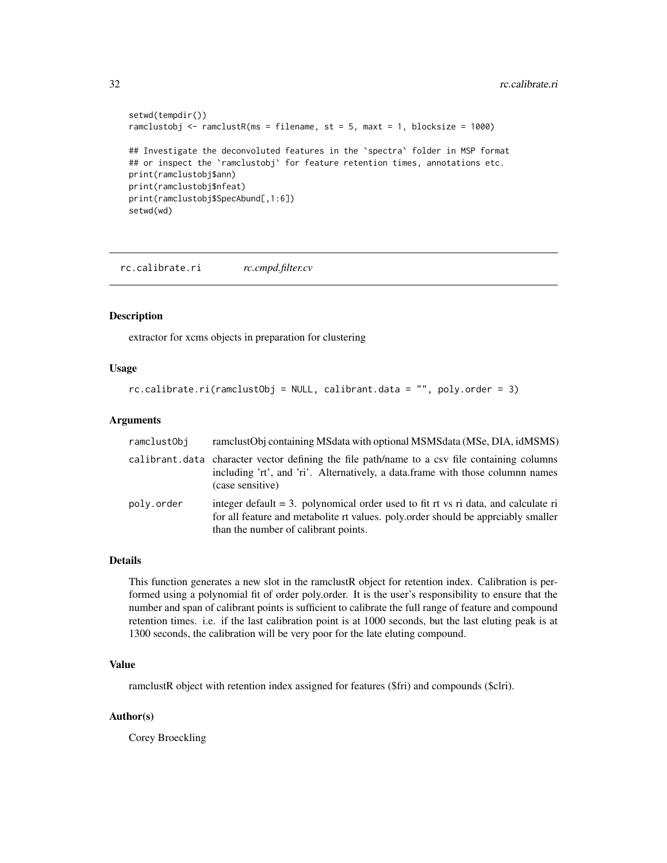```
setwd(tempdir())
ramclustobj <- ramclustR(ms = filename, st = 5, maxt = 1, blocksize = 1000)
## Investigate the deconvoluted features in the 'spectra' folder in MSP format
## or inspect the `ramclustobj` for feature retention times, annotations etc.
print(ramclustobj$ann)
print(ramclustobj$nfeat)
print(ramclustobj$SpecAbund[,1:6])
setwd(wd)
```
rc.calibrate.ri *rc.cmpd.filter.cv*

#### Description

extractor for xcms objects in preparation for clustering

#### Usage

```
rc.calibrate.ri(ramclustObj = NULL, calibrant.data = "", poly.order = 3)
```
## Arguments

| ramclustObi | ramelustObj containing MSdata with optional MSMSdata (MSe, DIA, idMSMS)                                                                                                                                               |
|-------------|-----------------------------------------------------------------------------------------------------------------------------------------------------------------------------------------------------------------------|
|             | calibrant data character vector defining the file path/name to a csv file containing columns<br>including 'rt', and 'ri'. Alternatively, a data.frame with those columnn names<br>(case sensitive)                    |
| polv.order  | integer default $= 3$ . polynomical order used to fit rt vs ri data, and calculate ri<br>for all feature and metabolite rt values, poly, order should be approximally smaller<br>than the number of calibrant points. |

## Details

This function generates a new slot in the ramclustR object for retention index. Calibration is performed using a polynomial fit of order poly.order. It is the user's responsibility to ensure that the number and span of calibrant points is sufficient to calibrate the full range of feature and compound retention times. i.e. if the last calibration point is at 1000 seconds, but the last eluting peak is at 1300 seconds, the calibration will be very poor for the late eluting compound.

## Value

ramclustR object with retention index assigned for features (\$fri) and compounds (\$clri).

#### Author(s)

Corey Broeckling

<span id="page-31-0"></span>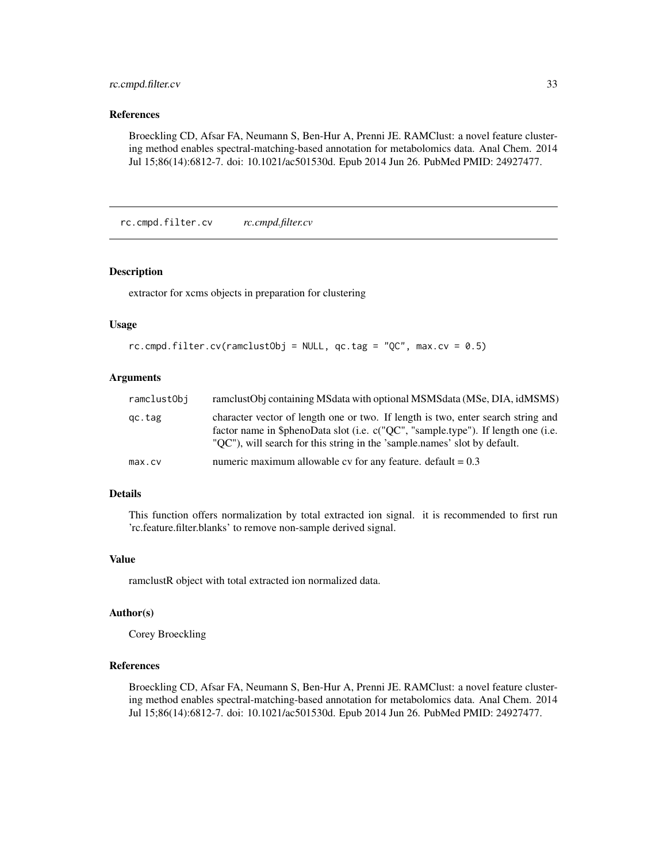## <span id="page-32-0"></span>rc.cmpd.filter.cv 33

## References

Broeckling CD, Afsar FA, Neumann S, Ben-Hur A, Prenni JE. RAMClust: a novel feature clustering method enables spectral-matching-based annotation for metabolomics data. Anal Chem. 2014 Jul 15;86(14):6812-7. doi: 10.1021/ac501530d. Epub 2014 Jun 26. PubMed PMID: 24927477.

rc.cmpd.filter.cv *rc.cmpd.filter.cv*

#### Description

extractor for xcms objects in preparation for clustering

#### Usage

```
rc.cmpd.filter.cv(ramclustObj = NULL, qc.tag = "QC", max(cv = 0.5)
```
## Arguments

| ramclustObj | ramelustObj containing MSdata with optional MSMSdata (MSe, DIA, idMSMS)                                                                                                                                                                            |
|-------------|----------------------------------------------------------------------------------------------------------------------------------------------------------------------------------------------------------------------------------------------------|
| qc.tag      | character vector of length one or two. If length is two, enter search string and<br>factor name in \$phenoData slot (i.e. c("OC", "sample.type"). If length one (i.e.<br>"QC"), will search for this string in the 'sample.names' slot by default. |
| max.cv      | numeric maximum allowable cv for any feature, default $= 0.3$                                                                                                                                                                                      |

## Details

This function offers normalization by total extracted ion signal. it is recommended to first run 'rc.feature.filter.blanks' to remove non-sample derived signal.

#### Value

ramclustR object with total extracted ion normalized data.

#### Author(s)

Corey Broeckling

## References

Broeckling CD, Afsar FA, Neumann S, Ben-Hur A, Prenni JE. RAMClust: a novel feature clustering method enables spectral-matching-based annotation for metabolomics data. Anal Chem. 2014 Jul 15;86(14):6812-7. doi: 10.1021/ac501530d. Epub 2014 Jun 26. PubMed PMID: 24927477.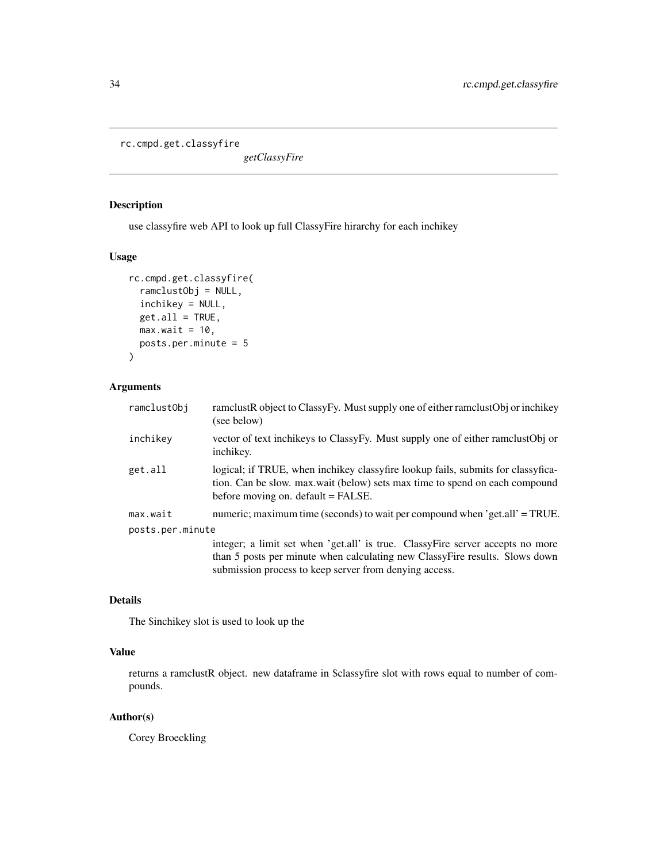<span id="page-33-0"></span>rc.cmpd.get.classyfire

*getClassyFire*

## Description

use classyfire web API to look up full ClassyFire hirarchy for each inchikey

## Usage

```
rc.cmpd.get.classyfire(
 ramclustObj = NULL,
 inchikey = NULL,
 get.al1 = TRUE,max.wait = 10,
 posts.per.minute = 5
)
```
## Arguments

| ramclustObj      | ramclustR object to ClassyFy. Must supply one of either ramclustObj or inchikey<br>(see below)                                                                                                                          |
|------------------|-------------------------------------------------------------------------------------------------------------------------------------------------------------------------------------------------------------------------|
| inchikey         | vector of text inchikeys to ClassyFy. Must supply one of either ramclustObj or<br>inchikey.                                                                                                                             |
| get.all          | logical; if TRUE, when inchikey classyfire lookup fails, submits for classyfica-<br>tion. Can be slow, max, wait (below) sets max time to spend on each compound<br>before moving on. default = FALSE.                  |
| max.wait         | numeric; maximum time (seconds) to wait per compound when 'get.all' = TRUE.                                                                                                                                             |
| posts.per.minute |                                                                                                                                                                                                                         |
|                  | integer; a limit set when 'get.all' is true. ClassyFire server accepts no more<br>than 5 posts per minute when calculating new ClassyFire results. Slows down<br>submission process to keep server from denying access. |

## Details

The \$inchikey slot is used to look up the

## Value

returns a ramclustR object. new dataframe in \$classyfire slot with rows equal to number of compounds.

## Author(s)

Corey Broeckling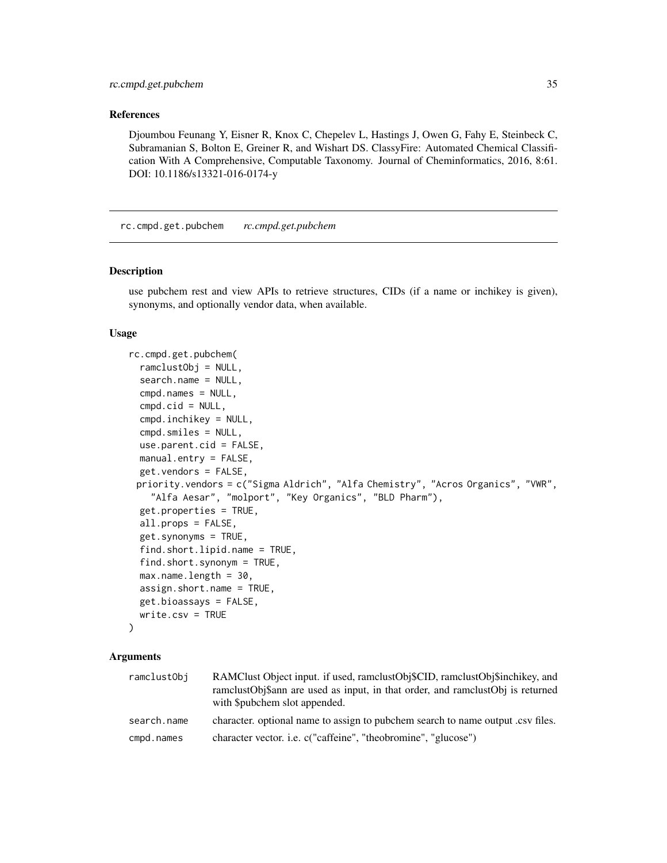#### <span id="page-34-0"></span>References

Djoumbou Feunang Y, Eisner R, Knox C, Chepelev L, Hastings J, Owen G, Fahy E, Steinbeck C, Subramanian S, Bolton E, Greiner R, and Wishart DS. ClassyFire: Automated Chemical Classification With A Comprehensive, Computable Taxonomy. Journal of Cheminformatics, 2016, 8:61. DOI: 10.1186/s13321-016-0174-y

rc.cmpd.get.pubchem *rc.cmpd.get.pubchem*

## Description

use pubchem rest and view APIs to retrieve structures, CIDs (if a name or inchikey is given), synonyms, and optionally vendor data, when available.

#### Usage

```
rc.cmpd.get.pubchem(
  ramclustObj = NULL,
  search.name = NULL,
  cmpd.names = NULL,
  cmd.cid = NULL,cmpd.inchikey = NULL,
  cmpd.smiles = NULL,
  use.parent.cid = FALSE,
 manual.entry = FALSE,
  get.vendors = FALSE,
 priority.vendors = c("Sigma Aldrich", "Alfa Chemistry", "Acros Organics", "VWR",
    "Alfa Aesar", "molport", "Key Organics", "BLD Pharm"),
  get.properties = TRUE,
  all.props = FALSE,
  get.synonyms = TRUE,
  find.short.lipid.name = TRUE,
  find.short.synonym = TRUE,
  max.name.length = 30,
  assign.short.name = TRUE,
 get.bioassays = FALSE,
 write.csv = TRUE
)
```
#### Arguments

| ramclustObi | RAMClust Object input. if used, ramclustObj\$CID, ramclustObj\$inchikey, and<br>ramclustObj\$ann are used as input, in that order, and ramclustObj is returned<br>with \$pubchem slot appended. |
|-------------|-------------------------------------------------------------------------------------------------------------------------------------------------------------------------------------------------|
| search.name | character, optional name to assign to pubchem search to name output .csv files.                                                                                                                 |
| cmpd.names  | character vector. <i>i.e.</i> c("caffeine", "theobromine", "glucose")                                                                                                                           |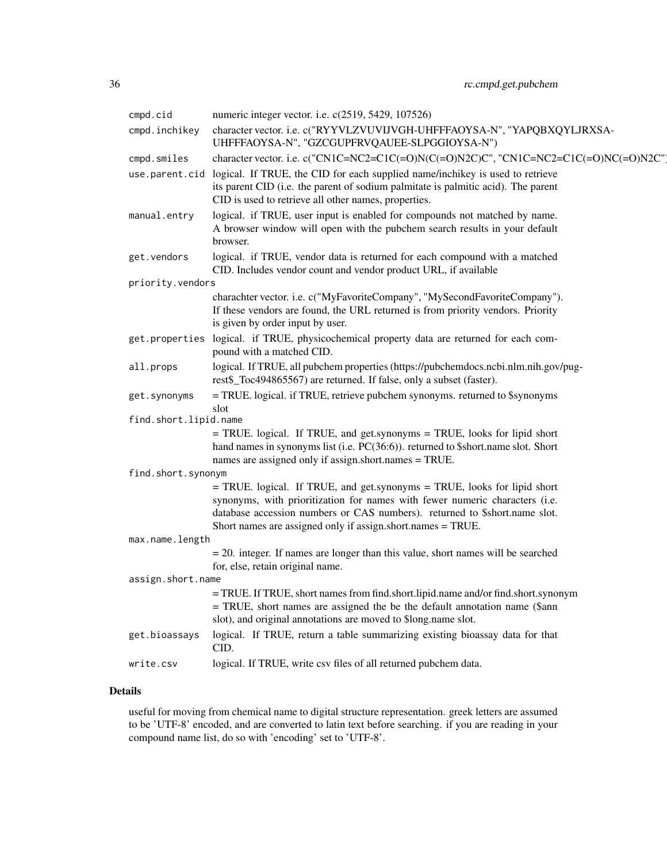| cmpd.cid              | numeric integer vector. i.e. c(2519, 5429, 107526)                                                                                                                                                                                                                                                   |  |
|-----------------------|------------------------------------------------------------------------------------------------------------------------------------------------------------------------------------------------------------------------------------------------------------------------------------------------------|--|
| cmpd.inchikey         | character vector. i.e. c("RYYVLZVUVIJVGH-UHFFFAOYSA-N", "YAPQBXQYLJRXSA-<br>UHFFFAOYSA-N", "GZCGUPFRVQAUEE-SLPGGIOYSA-N")                                                                                                                                                                            |  |
| cmpd.smiles           | character vector. i.e. c("CN1C=NC2=C1C(=O)N(C(=O)N2C)C", "CN1C=NC2=C1C(=O)NC(=O)N2C"                                                                                                                                                                                                                 |  |
|                       | use.parent.cid logical. If TRUE, the CID for each supplied name/inchikey is used to retrieve<br>its parent CID (i.e. the parent of sodium palmitate is palmitic acid). The parent<br>CID is used to retrieve all other names, properties.                                                            |  |
| manual.entry          | logical. if TRUE, user input is enabled for compounds not matched by name.<br>A browser window will open with the pubchem search results in your default<br>browser.                                                                                                                                 |  |
| get.vendors           | logical. if TRUE, vendor data is returned for each compound with a matched<br>CID. Includes vendor count and vendor product URL, if available                                                                                                                                                        |  |
| priority.vendors      |                                                                                                                                                                                                                                                                                                      |  |
|                       | charachter vector. i.e. c("MyFavoriteCompany", "MySecondFavoriteCompany").<br>If these vendors are found, the URL returned is from priority vendors. Priority<br>is given by order input by user.                                                                                                    |  |
|                       | get.properties logical. if TRUE, physicochemical property data are returned for each com-<br>pound with a matched CID.                                                                                                                                                                               |  |
| all.props             | logical. If TRUE, all pubchem properties (https://pubchemdocs.ncbi.nlm.nih.gov/pug-<br>rest\$_Toc494865567) are returned. If false, only a subset (faster).                                                                                                                                          |  |
| get.synonyms          | = TRUE. logical. if TRUE, retrieve pubchem synonyms. returned to \$synonyms<br>slot                                                                                                                                                                                                                  |  |
| find.short.lipid.name |                                                                                                                                                                                                                                                                                                      |  |
|                       | = TRUE. logical. If TRUE, and get.synonyms = TRUE, looks for lipid short<br>hand names in synonyms list (i.e. PC(36:6)). returned to \$short.name slot. Short<br>names are assigned only if assign.short.names = TRUE.                                                                               |  |
| find.short.synonym    |                                                                                                                                                                                                                                                                                                      |  |
|                       | = TRUE. logical. If TRUE, and get.synonyms = TRUE, looks for lipid short<br>synonyms, with prioritization for names with fewer numeric characters (i.e.<br>database accession numbers or CAS numbers). returned to \$short.name slot.<br>Short names are assigned only if assign.short.names = TRUE. |  |
| max.name.length       |                                                                                                                                                                                                                                                                                                      |  |
|                       | $=$ 20. integer. If names are longer than this value, short names will be searched<br>for, else, retain original name.                                                                                                                                                                               |  |
| assign.short.name     |                                                                                                                                                                                                                                                                                                      |  |
|                       | = TRUE. If TRUE, short names from find.short.lipid.name and/or find.short.synonym<br>= TRUE, short names are assigned the be the default annotation name (\$ann<br>slot), and original annotations are moved to \$long.name slot.                                                                    |  |
| get.bioassays         | logical. If TRUE, return a table summarizing existing bioassay data for that<br>CID.                                                                                                                                                                                                                 |  |
| write.csv             | logical. If TRUE, write csv files of all returned pubchem data.                                                                                                                                                                                                                                      |  |

## Details

useful for moving from chemical name to digital structure representation. greek letters are assumed to be 'UTF-8' encoded, and are converted to latin text before searching. if you are reading in your compound name list, do so with 'encoding' set to 'UTF-8'.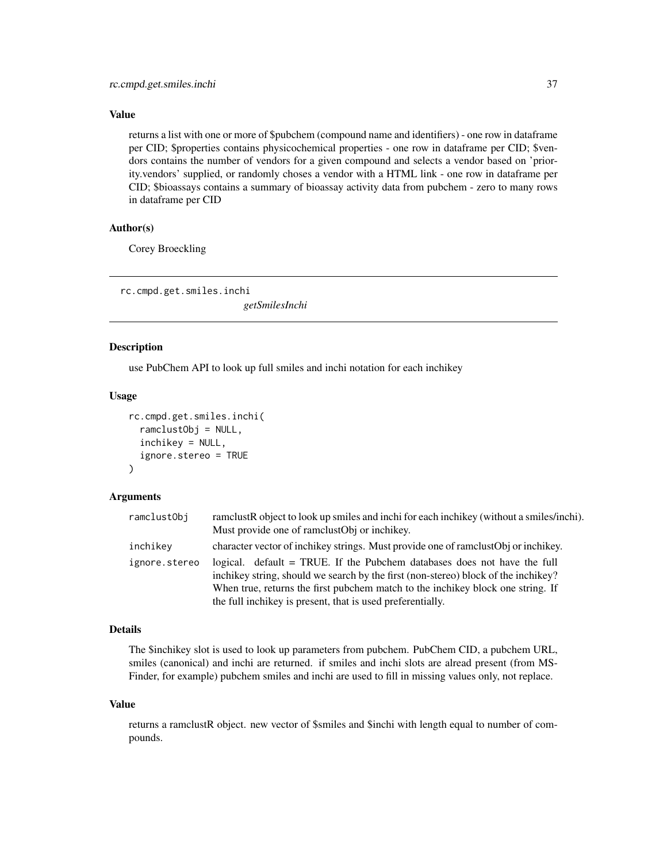## <span id="page-36-0"></span>Value

returns a list with one or more of \$pubchem (compound name and identifiers) - one row in dataframe per CID; \$properties contains physicochemical properties - one row in dataframe per CID; \$vendors contains the number of vendors for a given compound and selects a vendor based on 'priority.vendors' supplied, or randomly choses a vendor with a HTML link - one row in dataframe per CID; \$bioassays contains a summary of bioassay activity data from pubchem - zero to many rows in dataframe per CID

## Author(s)

Corey Broeckling

rc.cmpd.get.smiles.inchi

*getSmilesInchi*

#### Description

use PubChem API to look up full smiles and inchi notation for each inchikey

#### Usage

```
rc.cmpd.get.smiles.inchi(
  ramclustObj = NULL,
  inchikey = NULL,
  ignore.stereo = TRUE
)
```
#### Arguments

| ramclustObj   | ramelustR object to look up smiles and inchi for each inchikey (without a smiles/inchi).                                                                                                                                                                                                                        |
|---------------|-----------------------------------------------------------------------------------------------------------------------------------------------------------------------------------------------------------------------------------------------------------------------------------------------------------------|
|               | Must provide one of ramelustObj or inchikey.                                                                                                                                                                                                                                                                    |
| inchikev      | character vector of inchikey strings. Must provide one of rame ust Obj or inchikey.                                                                                                                                                                                                                             |
| ignore.stereo | logical. default = TRUE. If the Pubchem databases does not have the full<br>inchikey string, should we search by the first (non-stereo) block of the inchikey?<br>When true, returns the first pubchem match to the inchikey block one string. If<br>the full inchikey is present, that is used preferentially. |

## Details

The \$inchikey slot is used to look up parameters from pubchem. PubChem CID, a pubchem URL, smiles (canonical) and inchi are returned. if smiles and inchi slots are alread present (from MS-Finder, for example) pubchem smiles and inchi are used to fill in missing values only, not replace.

#### Value

returns a ramclustR object. new vector of \$smiles and \$inchi with length equal to number of compounds.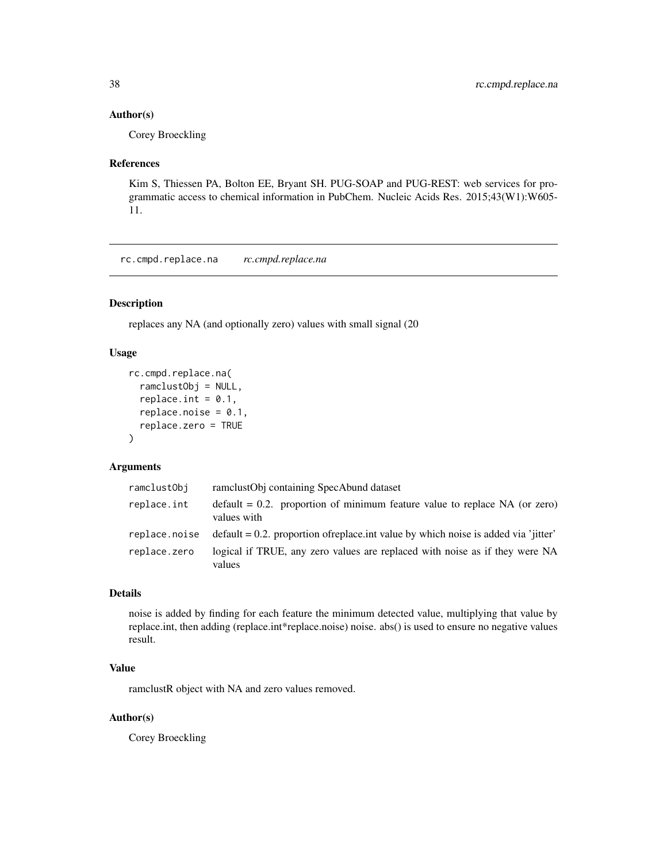#### <span id="page-37-0"></span>Author(s)

Corey Broeckling

#### References

Kim S, Thiessen PA, Bolton EE, Bryant SH. PUG-SOAP and PUG-REST: web services for programmatic access to chemical information in PubChem. Nucleic Acids Res. 2015;43(W1):W605- 11.

rc.cmpd.replace.na *rc.cmpd.replace.na*

## Description

replaces any NA (and optionally zero) values with small signal (20

## Usage

```
rc.cmpd.replace.na(
  ramclustObj = NULL,
  replace.int = 0.1,
  replace.noise = 0.1,
  replace.zero = TRUE
)
```
## Arguments

| ramclustObj   | ramclustObj containing SpecAbund dataset                                                     |
|---------------|----------------------------------------------------------------------------------------------|
| replace.int   | $default = 0.2$ . proportion of minimum feature value to replace NA (or zero)<br>values with |
| replace.noise | $\delta$ default = 0.2. proportion of replace int value by which noise is added via 'iitter' |
| replace.zero  | logical if TRUE, any zero values are replaced with noise as if they were NA<br>values        |

## Details

noise is added by finding for each feature the minimum detected value, multiplying that value by replace.int, then adding (replace.int\*replace.noise) noise. abs() is used to ensure no negative values result.

## Value

ramclustR object with NA and zero values removed.

#### Author(s)

Corey Broeckling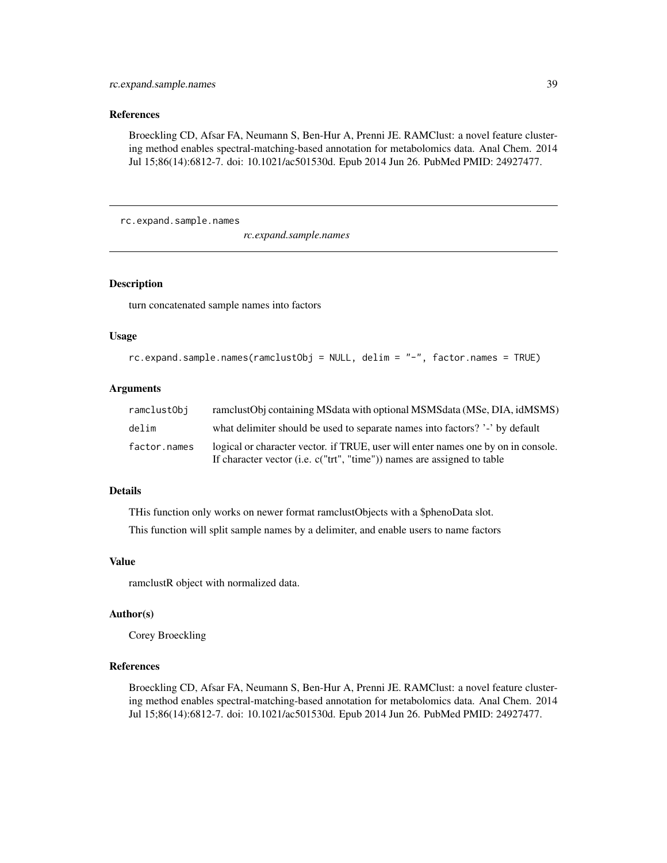## <span id="page-38-0"></span>References

Broeckling CD, Afsar FA, Neumann S, Ben-Hur A, Prenni JE. RAMClust: a novel feature clustering method enables spectral-matching-based annotation for metabolomics data. Anal Chem. 2014 Jul 15;86(14):6812-7. doi: 10.1021/ac501530d. Epub 2014 Jun 26. PubMed PMID: 24927477.

rc.expand.sample.names

*rc.expand.sample.names*

## Description

turn concatenated sample names into factors

## Usage

```
rc.expand.sample.names(ramclustObj = NULL, delim = "-", factor.names = TRUE)
```
## Arguments

| ramclustObi  | ramclustObj containing MSdata with optional MSMSdata (MSe, DIA, idMSMS)                                                                                          |
|--------------|------------------------------------------------------------------------------------------------------------------------------------------------------------------|
| delim        | what delimiter should be used to separate names into factors? '-' by default                                                                                     |
| factor.names | logical or character vector. if TRUE, user will enter names one by on in console.<br>If character vector (i.e. $c("trt", "time"))$ ) names are assigned to table |

## Details

THis function only works on newer format ramclustObjects with a \$phenoData slot.

This function will split sample names by a delimiter, and enable users to name factors

#### Value

ramclustR object with normalized data.

#### Author(s)

Corey Broeckling

## References

Broeckling CD, Afsar FA, Neumann S, Ben-Hur A, Prenni JE. RAMClust: a novel feature clustering method enables spectral-matching-based annotation for metabolomics data. Anal Chem. 2014 Jul 15;86(14):6812-7. doi: 10.1021/ac501530d. Epub 2014 Jun 26. PubMed PMID: 24927477.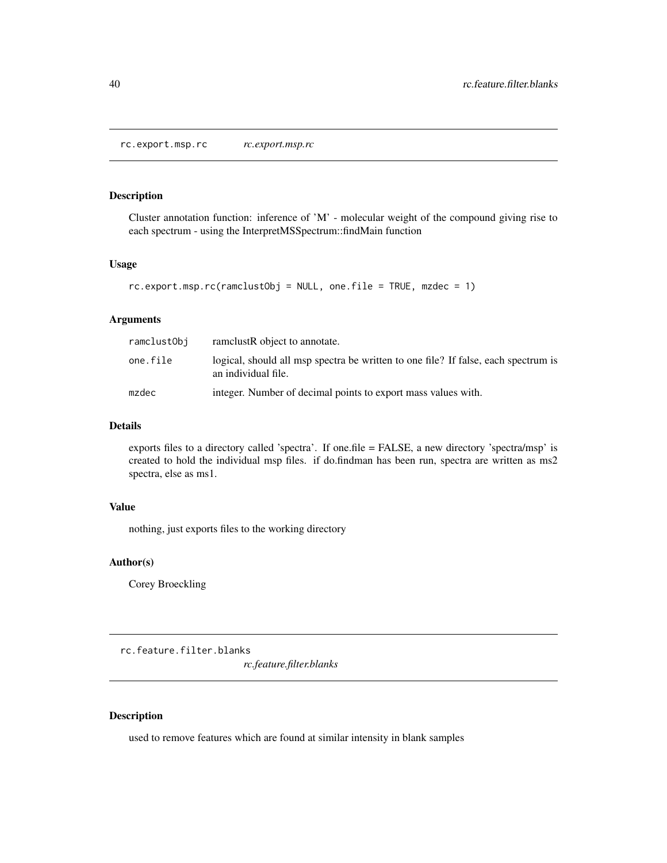<span id="page-39-0"></span>rc.export.msp.rc *rc.export.msp.rc*

## Description

Cluster annotation function: inference of 'M' - molecular weight of the compound giving rise to each spectrum - using the InterpretMSSpectrum::findMain function

## Usage

```
rc.export.msp.rc(ramclustObj = NULL, one.file = TRUE, mzdec = 1)
```
## Arguments

| ramclustObj | ramelustR object to annotate.                                                                             |
|-------------|-----------------------------------------------------------------------------------------------------------|
| one.file    | logical, should all msp spectra be written to one file? If false, each spectrum is<br>an individual file. |
| mzdec       | integer. Number of decimal points to export mass values with.                                             |

## Details

exports files to a directory called 'spectra'. If one.file = FALSE, a new directory 'spectra/msp' is created to hold the individual msp files. if do.findman has been run, spectra are written as ms2 spectra, else as ms1.

## Value

nothing, just exports files to the working directory

#### Author(s)

Corey Broeckling

rc.feature.filter.blanks

*rc.feature.filter.blanks*

## Description

used to remove features which are found at similar intensity in blank samples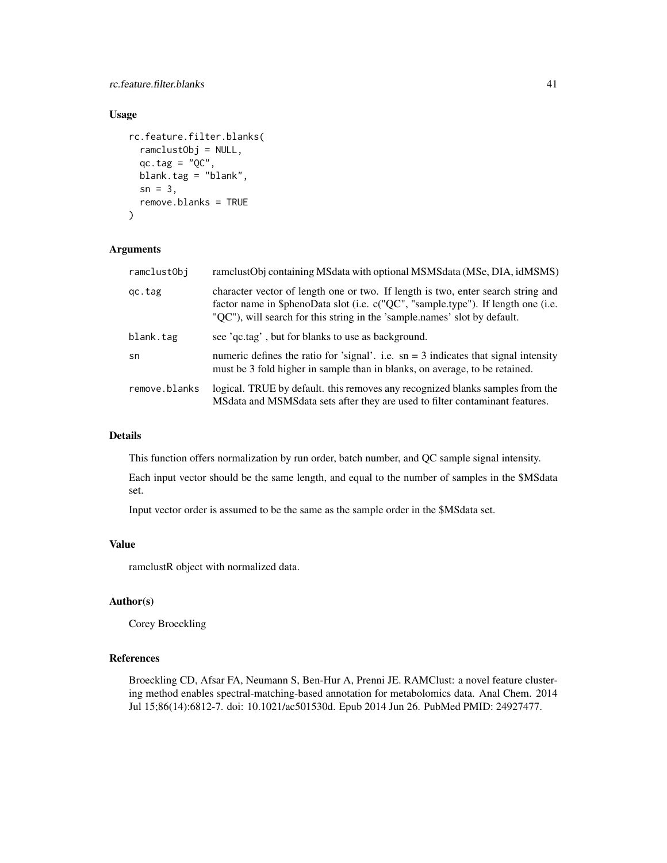rc.feature.filter.blanks 41

## Usage

```
rc.feature.filter.blanks(
  ramclustObj = NULL,
  qc.tag = "QC",blank.tag = "blank",
 sn = 3,
 remove.blanks = TRUE
)
```
## Arguments

| ramclustObj   | ramclustObj containing MSdata with optional MSMSdata (MSe, DIA, idMSMS)                                                                                                                                                                            |
|---------------|----------------------------------------------------------------------------------------------------------------------------------------------------------------------------------------------------------------------------------------------------|
| qc.tag        | character vector of length one or two. If length is two, enter search string and<br>factor name in \$phenoData slot (i.e. c("QC", "sample.type"). If length one (i.e.<br>"QC"), will search for this string in the 'sample.names' slot by default. |
| blank.tag     | see 'qc.tag', but for blanks to use as background.                                                                                                                                                                                                 |
| sn            | numeric defines the ratio for 'signal'. i.e. $sn = 3$ indicates that signal intensity<br>must be 3 fold higher in sample than in blanks, on average, to be retained.                                                                               |
| remove.blanks | logical. TRUE by default, this removes any recognized blanks samples from the<br>MSdata and MSMSdata sets after they are used to filter contaminant features.                                                                                      |

## Details

This function offers normalization by run order, batch number, and QC sample signal intensity.

Each input vector should be the same length, and equal to the number of samples in the \$MSdata set.

Input vector order is assumed to be the same as the sample order in the \$MSdata set.

## Value

ramclustR object with normalized data.

#### Author(s)

Corey Broeckling

## References

Broeckling CD, Afsar FA, Neumann S, Ben-Hur A, Prenni JE. RAMClust: a novel feature clustering method enables spectral-matching-based annotation for metabolomics data. Anal Chem. 2014 Jul 15;86(14):6812-7. doi: 10.1021/ac501530d. Epub 2014 Jun 26. PubMed PMID: 24927477.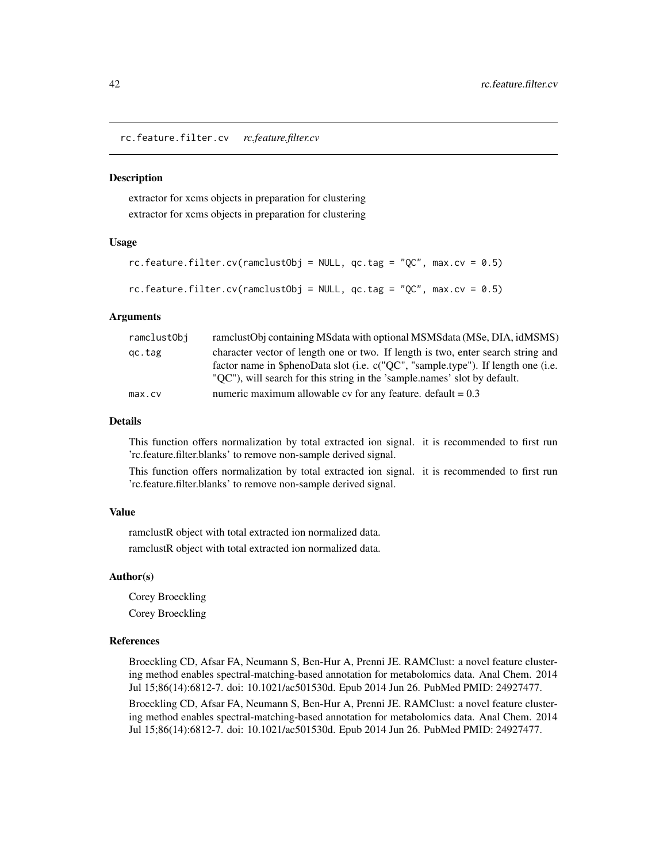<span id="page-41-0"></span>rc.feature.filter.cv *rc.feature.filter.cv*

#### **Description**

extractor for xcms objects in preparation for clustering extractor for xcms objects in preparation for clustering

#### Usage

```
rc.feature.filter.cv(ramclustObj = NULL, qc.tag = "QC", max(cv = 0.5)rc.feature.filter.cv(ramclustObj = NULL, qc.tag = "QC", max(cv = 0.5)
```
## Arguments

| ramclustObj | ramclustObj containing MSdata with optional MSMSdata (MSe, DIA, idMSMS)           |
|-------------|-----------------------------------------------------------------------------------|
| gc.tag      | character vector of length one or two. If length is two, enter search string and  |
|             | factor name in \$phenoData slot (i.e. c("QC", "sample.type"). If length one (i.e. |
|             | "QC"), will search for this string in the 'sample.names' slot by default.         |
| max.cv      | numeric maximum allowable cv for any feature. default = $0.3$                     |

## Details

This function offers normalization by total extracted ion signal. it is recommended to first run 'rc.feature.filter.blanks' to remove non-sample derived signal.

This function offers normalization by total extracted ion signal. it is recommended to first run 'rc.feature.filter.blanks' to remove non-sample derived signal.

## Value

ramclustR object with total extracted ion normalized data. ramclustR object with total extracted ion normalized data.

#### Author(s)

Corey Broeckling Corey Broeckling

#### References

Broeckling CD, Afsar FA, Neumann S, Ben-Hur A, Prenni JE. RAMClust: a novel feature clustering method enables spectral-matching-based annotation for metabolomics data. Anal Chem. 2014 Jul 15;86(14):6812-7. doi: 10.1021/ac501530d. Epub 2014 Jun 26. PubMed PMID: 24927477.

Broeckling CD, Afsar FA, Neumann S, Ben-Hur A, Prenni JE. RAMClust: a novel feature clustering method enables spectral-matching-based annotation for metabolomics data. Anal Chem. 2014 Jul 15;86(14):6812-7. doi: 10.1021/ac501530d. Epub 2014 Jun 26. PubMed PMID: 24927477.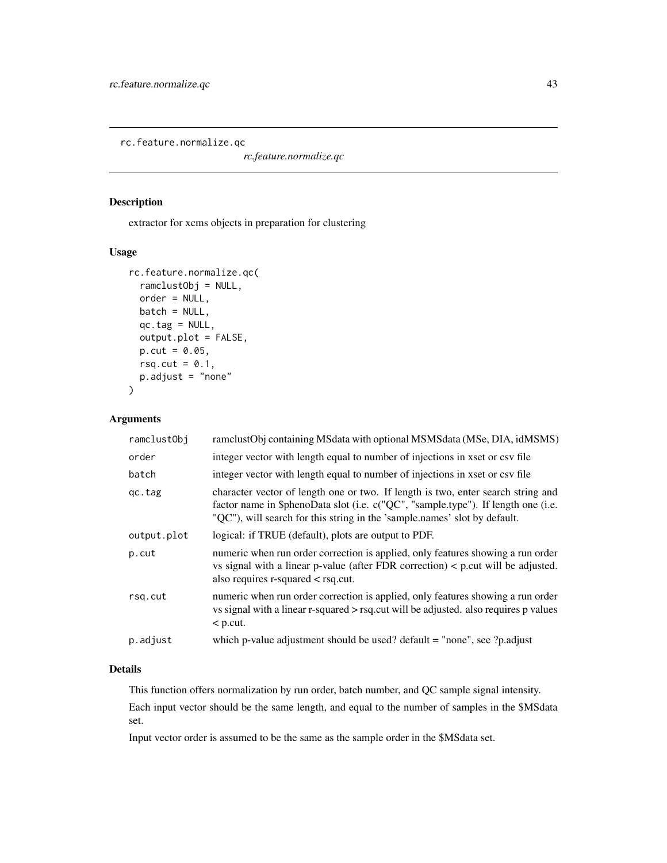<span id="page-42-0"></span>rc.feature.normalize.qc

*rc.feature.normalize.qc*

## Description

extractor for xcms objects in preparation for clustering

## Usage

```
rc.feature.normalize.qc(
  ramclustObj = NULL,
  order = NULL,
 batch = NULL,
  qc.tag = NULL,output.plot = FALSE,
 p.cut = 0.05,
 rsq.cut = 0.1,
 p.adjust = "none"
\mathcal{E}
```
## Arguments

| ramclustObj | ramclustObj containing MSdata with optional MSMSdata (MSe, DIA, idMSMS)                                                                                                                                                                            |
|-------------|----------------------------------------------------------------------------------------------------------------------------------------------------------------------------------------------------------------------------------------------------|
| order       | integer vector with length equal to number of injections in xset or csv file                                                                                                                                                                       |
| batch       | integer vector with length equal to number of injections in xset or csv file                                                                                                                                                                       |
| qc.tag      | character vector of length one or two. If length is two, enter search string and<br>factor name in \$phenoData slot (i.e. c("QC", "sample.type"). If length one (i.e.<br>"QC"), will search for this string in the 'sample.names' slot by default. |
| output.plot | logical: if TRUE (default), plots are output to PDF.                                                                                                                                                                                               |
| p.cut       | numeric when run order correction is applied, only features showing a run order<br>vs signal with a linear p-value (after FDR correction) $\lt$ p.cut will be adjusted.<br>also requires $r$ -squared $\lt$ rsq.cut.                               |
| rsq.cut     | numeric when run order correction is applied, only features showing a run order<br>vs signal with a linear r-squared > rsq.cut will be adjusted. also requires p values<br>$\leq$ p.cut.                                                           |
| p.adjust    | which p-value adjustment should be used? default $=$ "none", see ?p.adjust                                                                                                                                                                         |

## Details

This function offers normalization by run order, batch number, and QC sample signal intensity.

Each input vector should be the same length, and equal to the number of samples in the \$MSdata set.

Input vector order is assumed to be the same as the sample order in the \$MSdata set.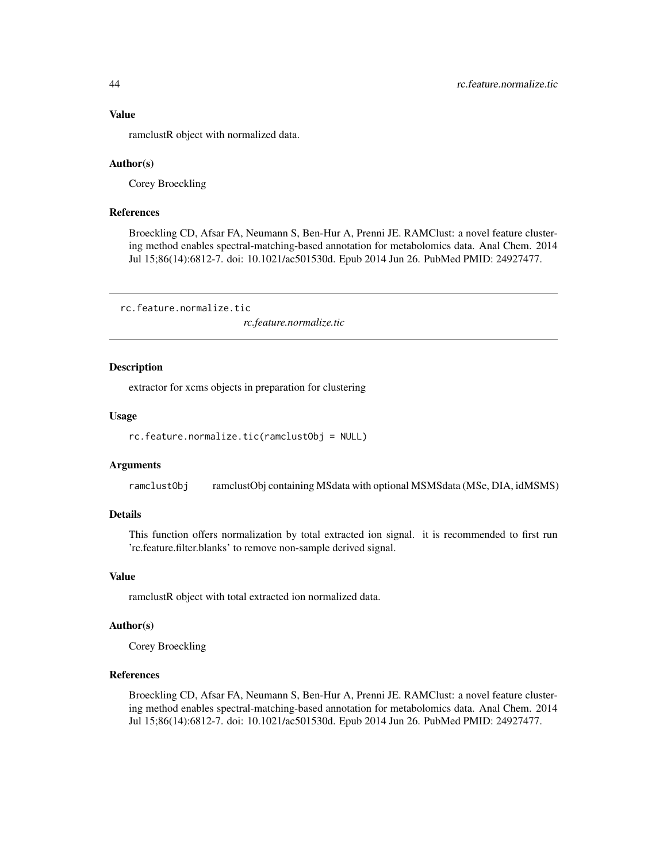#### Value

ramclustR object with normalized data.

#### Author(s)

Corey Broeckling

## References

Broeckling CD, Afsar FA, Neumann S, Ben-Hur A, Prenni JE. RAMClust: a novel feature clustering method enables spectral-matching-based annotation for metabolomics data. Anal Chem. 2014 Jul 15;86(14):6812-7. doi: 10.1021/ac501530d. Epub 2014 Jun 26. PubMed PMID: 24927477.

rc.feature.normalize.tic

*rc.feature.normalize.tic*

#### Description

extractor for xcms objects in preparation for clustering

#### Usage

```
rc.feature.normalize.tic(ramclustObj = NULL)
```
#### Arguments

ramclustObj ramclustObj containing MSdata with optional MSMSdata (MSe, DIA, idMSMS)

## Details

This function offers normalization by total extracted ion signal. it is recommended to first run 'rc.feature.filter.blanks' to remove non-sample derived signal.

## Value

ramclustR object with total extracted ion normalized data.

#### Author(s)

Corey Broeckling

## References

Broeckling CD, Afsar FA, Neumann S, Ben-Hur A, Prenni JE. RAMClust: a novel feature clustering method enables spectral-matching-based annotation for metabolomics data. Anal Chem. 2014 Jul 15;86(14):6812-7. doi: 10.1021/ac501530d. Epub 2014 Jun 26. PubMed PMID: 24927477.

<span id="page-43-0"></span>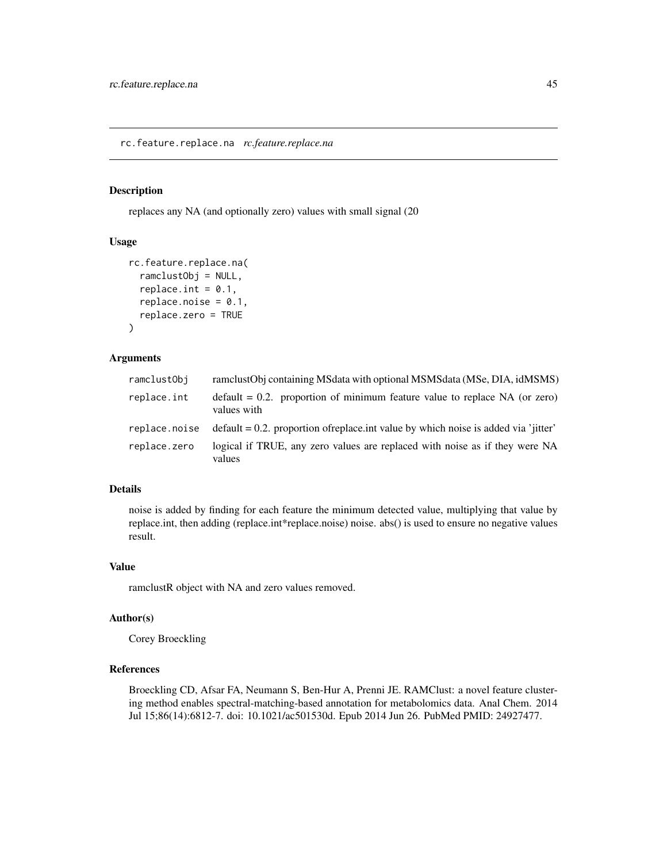<span id="page-44-0"></span>rc.feature.replace.na *rc.feature.replace.na*

## Description

replaces any NA (and optionally zero) values with small signal (20

#### Usage

```
rc.feature.replace.na(
  ramclustObj = NULL,
  replace.int = 0.1,
  replace.noise = 0.1,replace.zero = TRUE
)
```
## Arguments

| ramclustObj   | ramclustObj containing MSdata with optional MSMSdata (MSe, DIA, idMSMS)                      |
|---------------|----------------------------------------------------------------------------------------------|
| replace.int   | $default = 0.2$ . proportion of minimum feature value to replace NA (or zero)<br>values with |
| replace.noise | $\delta$ default = 0.2. proportion of replace int value by which noise is added via 'iitter' |
| replace.zero  | logical if TRUE, any zero values are replaced with noise as if they were NA<br>values        |

#### Details

noise is added by finding for each feature the minimum detected value, multiplying that value by replace.int, then adding (replace.int\*replace.noise) noise. abs() is used to ensure no negative values result.

#### Value

ramclustR object with NA and zero values removed.

#### Author(s)

Corey Broeckling

## References

Broeckling CD, Afsar FA, Neumann S, Ben-Hur A, Prenni JE. RAMClust: a novel feature clustering method enables spectral-matching-based annotation for metabolomics data. Anal Chem. 2014 Jul 15;86(14):6812-7. doi: 10.1021/ac501530d. Epub 2014 Jun 26. PubMed PMID: 24927477.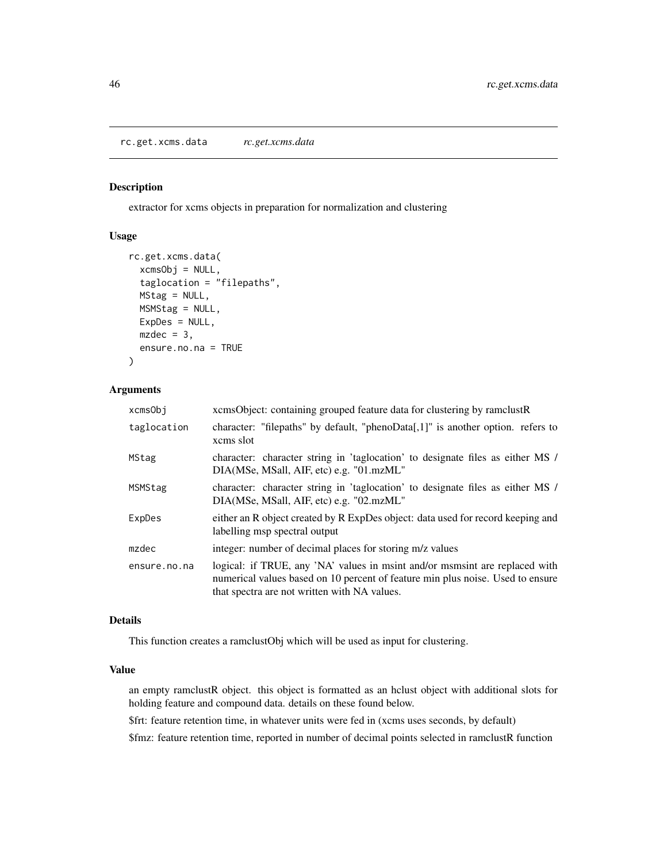<span id="page-45-0"></span>rc.get.xcms.data *rc.get.xcms.data*

#### Description

extractor for xcms objects in preparation for normalization and clustering

#### Usage

```
rc.get.xcms.data(
  xcmsObj = NULL,taglocation = "filepaths",
 MStag = NULL,
 MSMStag = NULL,
 ExpDes = NULL,
 mzdec = 3,
  ensure.no.na = TRUE
)
```
## Arguments

| xcmsObi      | xcmsObject: containing grouped feature data for clustering by ramclustR                                                                                                                                       |  |
|--------------|---------------------------------------------------------------------------------------------------------------------------------------------------------------------------------------------------------------|--|
| taglocation  | character: "filepaths" by default, "phenoData[,1]" is another option. refers to<br>xcms slot                                                                                                                  |  |
| MStag        | character: character string in 'taglocation' to designate files as either MS /<br>DIA(MSe, MSall, AIF, etc) e.g. "01.mzML"                                                                                    |  |
| MSMStag      | character: character string in 'taglocation' to designate files as either MS /<br>DIA(MSe, MSall, AIF, etc) e.g. "02.mzML"                                                                                    |  |
| ExpDes       | either an R object created by R ExpDes object: data used for record keeping and<br>labelling msp spectral output                                                                                              |  |
| mzdec        | integer: number of decimal places for storing m/z values                                                                                                                                                      |  |
| ensure.no.na | logical: if TRUE, any 'NA' values in msint and/or msmsint are replaced with<br>numerical values based on 10 percent of feature min plus noise. Used to ensure<br>that spectra are not written with NA values. |  |

#### Details

This function creates a ramclustObj which will be used as input for clustering.

#### Value

an empty ramclustR object. this object is formatted as an hclust object with additional slots for holding feature and compound data. details on these found below.

\$frt: feature retention time, in whatever units were fed in (xcms uses seconds, by default)

\$fmz: feature retention time, reported in number of decimal points selected in ramclustR function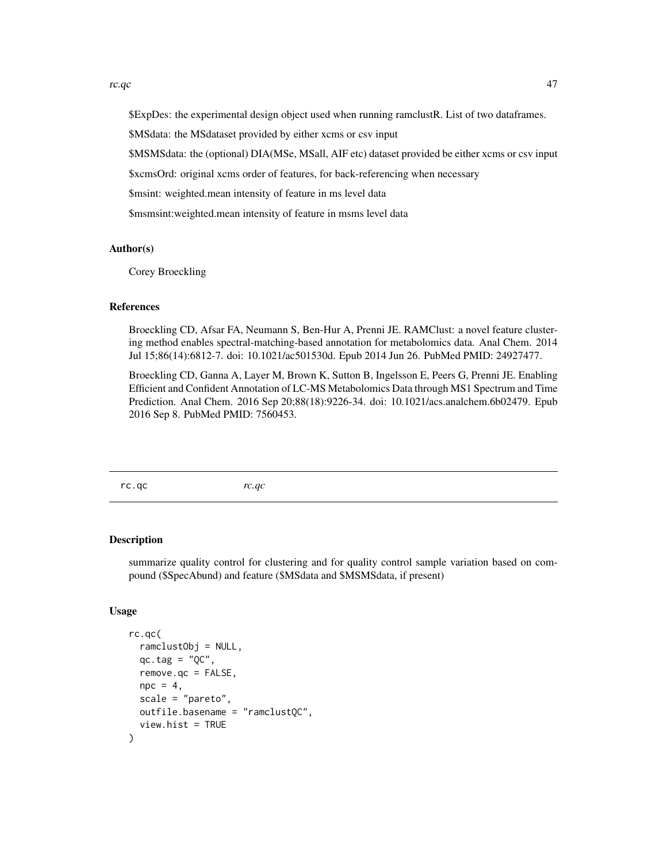<span id="page-46-0"></span>\$ExpDes: the experimental design object used when running ramclustR. List of two dataframes.

\$MSdata: the MSdataset provided by either xcms or csv input

\$MSMSdata: the (optional) DIA(MSe, MSall, AIF etc) dataset provided be either xcms or csv input

\$xcmsOrd: original xcms order of features, for back-referencing when necessary

\$msint: weighted.mean intensity of feature in ms level data

\$msmsint:weighted.mean intensity of feature in msms level data

## Author(s)

Corey Broeckling

#### References

Broeckling CD, Afsar FA, Neumann S, Ben-Hur A, Prenni JE. RAMClust: a novel feature clustering method enables spectral-matching-based annotation for metabolomics data. Anal Chem. 2014 Jul 15;86(14):6812-7. doi: 10.1021/ac501530d. Epub 2014 Jun 26. PubMed PMID: 24927477.

Broeckling CD, Ganna A, Layer M, Brown K, Sutton B, Ingelsson E, Peers G, Prenni JE. Enabling Efficient and Confident Annotation of LC-MS Metabolomics Data through MS1 Spectrum and Time Prediction. Anal Chem. 2016 Sep 20;88(18):9226-34. doi: 10.1021/acs.analchem.6b02479. Epub 2016 Sep 8. PubMed PMID: 7560453.

rc.qc *rc.qc*

#### Description

summarize quality control for clustering and for quality control sample variation based on compound (\$SpecAbund) and feature (\$MSdata and \$MSMSdata, if present)

#### Usage

```
rc.qc(
  ramclustObj = NULL,
  qc.tag = "QC",remove.qc = FALSE,
 \text{npc} = 4.
  scale = "parento".outfile.basename = "ramclustQC",
  view.hist = TRUE
)
```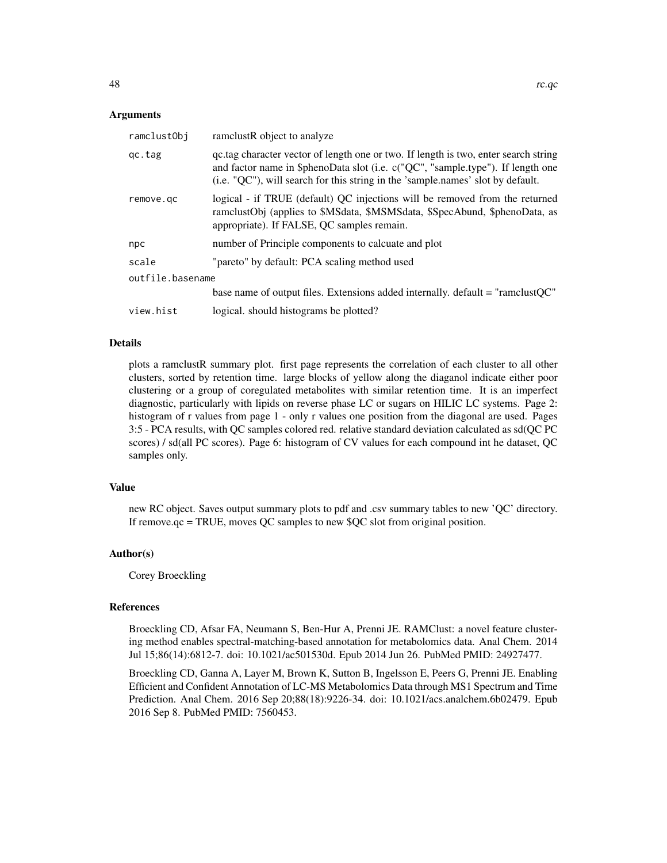#### Arguments

| ramclustObj      | ramelustR object to analyze                                                                                                                                                                                                                               |
|------------------|-----------------------------------------------------------------------------------------------------------------------------------------------------------------------------------------------------------------------------------------------------------|
| gc.tag           | gettag character vector of length one or two. If length is two, enter search string<br>and factor name in \$phenoData slot (i.e. c("QC", "sample.type"). If length one<br>(i.e. "QC"), will search for this string in the 'sample.names' slot by default. |
| remove.gc        | logical - if TRUE (default) QC injections will be removed from the returned<br>ramclustObj (applies to \$MSdata, \$MSMSdata, \$SpecAbund, \$phenoData, as<br>appropriate). If FALSE, QC samples remain.                                                   |
| npc              | number of Principle components to calcuate and plot                                                                                                                                                                                                       |
| scale            | "pareto" by default: PCA scaling method used                                                                                                                                                                                                              |
| outfile.basename |                                                                                                                                                                                                                                                           |
|                  | base name of output files. Extensions added internally. default = "ramclustQC"                                                                                                                                                                            |
| view.hist        | logical. should histograms be plotted?                                                                                                                                                                                                                    |

## Details

plots a ramclustR summary plot. first page represents the correlation of each cluster to all other clusters, sorted by retention time. large blocks of yellow along the diaganol indicate either poor clustering or a group of coregulated metabolites with similar retention time. It is an imperfect diagnostic, particularly with lipids on reverse phase LC or sugars on HILIC LC systems. Page 2: histogram of r values from page 1 - only r values one position from the diagonal are used. Pages 3:5 - PCA results, with QC samples colored red. relative standard deviation calculated as sd(QC PC scores) / sd(all PC scores). Page 6: histogram of CV values for each compound int he dataset, QC samples only.

#### Value

new RC object. Saves output summary plots to pdf and .csv summary tables to new 'QC' directory. If remove.qc = TRUE, moves QC samples to new \$QC slot from original position.

#### Author(s)

Corey Broeckling

#### References

Broeckling CD, Afsar FA, Neumann S, Ben-Hur A, Prenni JE. RAMClust: a novel feature clustering method enables spectral-matching-based annotation for metabolomics data. Anal Chem. 2014 Jul 15;86(14):6812-7. doi: 10.1021/ac501530d. Epub 2014 Jun 26. PubMed PMID: 24927477.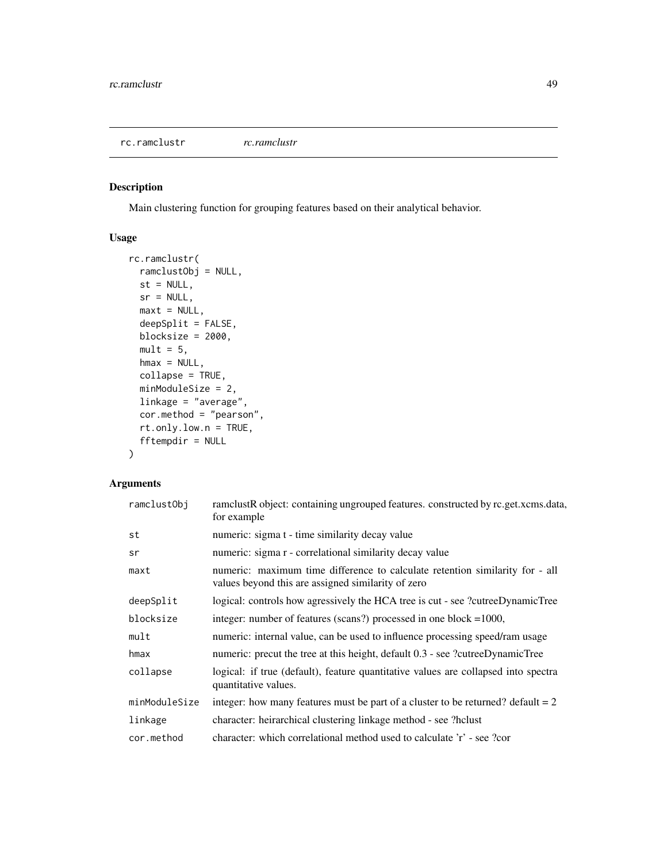<span id="page-48-0"></span>rc.ramclustr *rc.ramclustr*

## Description

Main clustering function for grouping features based on their analytical behavior.

## Usage

```
rc.ramclustr(
  ramclustObj = NULL,
 st = NULL,sr = NULL,maxt = NULL,deepSplit = FALSE,
 blocksize = 2000,
 mult = 5,
 hmax = NULL,
 collapse = TRUE,
 minModuleSize = 2,
 linkage = "average",
 cor.method = "pearson",
  rt.only.low.n = TRUE,
  fftempdir = NULL
\mathcal{L}
```
## Arguments

| ramclustObj   | ramclustR object: containing ungrouped features. constructed by rc.get.xcms.data,<br>for example                                   |
|---------------|------------------------------------------------------------------------------------------------------------------------------------|
| st            | numeric: sigma t - time similarity decay value                                                                                     |
| sr            | numeric: sigma r - correlational similarity decay value                                                                            |
| maxt          | numeric: maximum time difference to calculate retention similarity for - all<br>values beyond this are assigned similarity of zero |
| deepSplit     | logical: controls how agressively the HCA tree is cut - see ?cutreeDynamicTree                                                     |
| blocksize     | integer: number of features (scans?) processed in one block $=1000$ ,                                                              |
| mult          | numeric: internal value, can be used to influence processing speed/ram usage                                                       |
| hmax          | numeric: precut the tree at this height, default 0.3 - see ?cutreeDynamicTree                                                      |
| collapse      | logical: if true (default), feature quantitative values are collapsed into spectra<br>quantitative values.                         |
| minModuleSize | integer: how many features must be part of a cluster to be returned? default $= 2$                                                 |
| linkage       | character: heirarchical clustering linkage method - see ?hclust                                                                    |
| cor.method    | character: which correlational method used to calculate 'r' - see ?cor                                                             |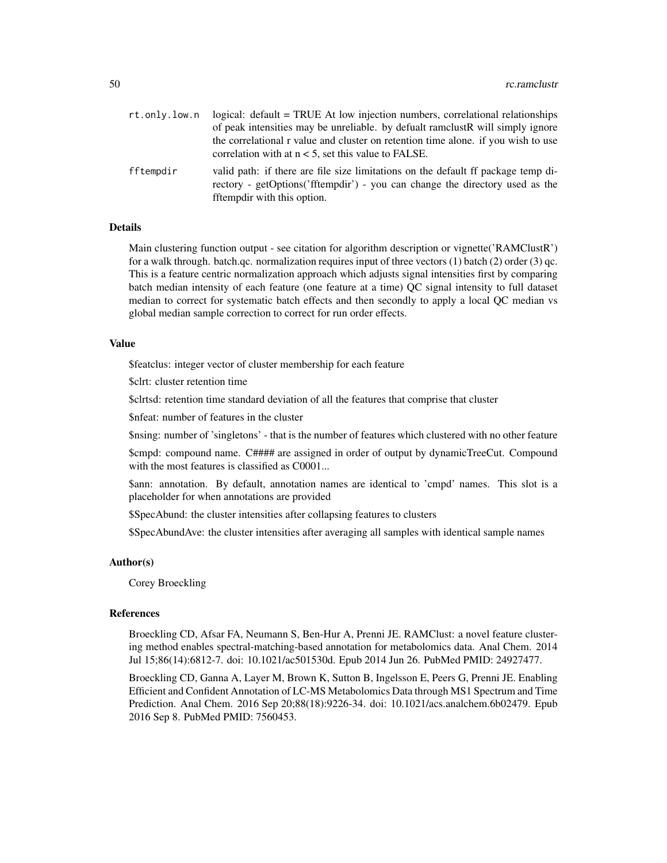| rt.only.low.n | logical: default = TRUE At low injection numbers, correlational relationships                                                                                                                    |
|---------------|--------------------------------------------------------------------------------------------------------------------------------------------------------------------------------------------------|
|               | of peak intensities may be unreliable. by defualt ramclust R will simply ignore                                                                                                                  |
|               | the correlational r value and cluster on retention time alone, if you wish to use<br>correlation with at $n < 5$ , set this value to FALSE.                                                      |
| fftempdir     | valid path: if there are file size limitations on the default ff package temp di-<br>rectory - getOptions('fftempdir') - you can change the directory used as the<br>fftempdir with this option. |

## Details

Main clustering function output - see citation for algorithm description or vignette('RAMClustR') for a walk through. batch.qc. normalization requires input of three vectors (1) batch (2) order (3) qc. This is a feature centric normalization approach which adjusts signal intensities first by comparing batch median intensity of each feature (one feature at a time) QC signal intensity to full dataset median to correct for systematic batch effects and then secondly to apply a local QC median vs global median sample correction to correct for run order effects.

#### Value

\$featclus: integer vector of cluster membership for each feature

\$clrt: cluster retention time

\$clrtsd: retention time standard deviation of all the features that comprise that cluster

\$nfeat: number of features in the cluster

\$nsing: number of 'singletons' - that is the number of features which clustered with no other feature

\$cmpd: compound name. C#### are assigned in order of output by dynamicTreeCut. Compound with the most features is classified as C0001...

\$ann: annotation. By default, annotation names are identical to 'cmpd' names. This slot is a placeholder for when annotations are provided

\$SpecAbund: the cluster intensities after collapsing features to clusters

\$SpecAbundAve: the cluster intensities after averaging all samples with identical sample names

#### Author(s)

Corey Broeckling

#### References

Broeckling CD, Afsar FA, Neumann S, Ben-Hur A, Prenni JE. RAMClust: a novel feature clustering method enables spectral-matching-based annotation for metabolomics data. Anal Chem. 2014 Jul 15;86(14):6812-7. doi: 10.1021/ac501530d. Epub 2014 Jun 26. PubMed PMID: 24927477.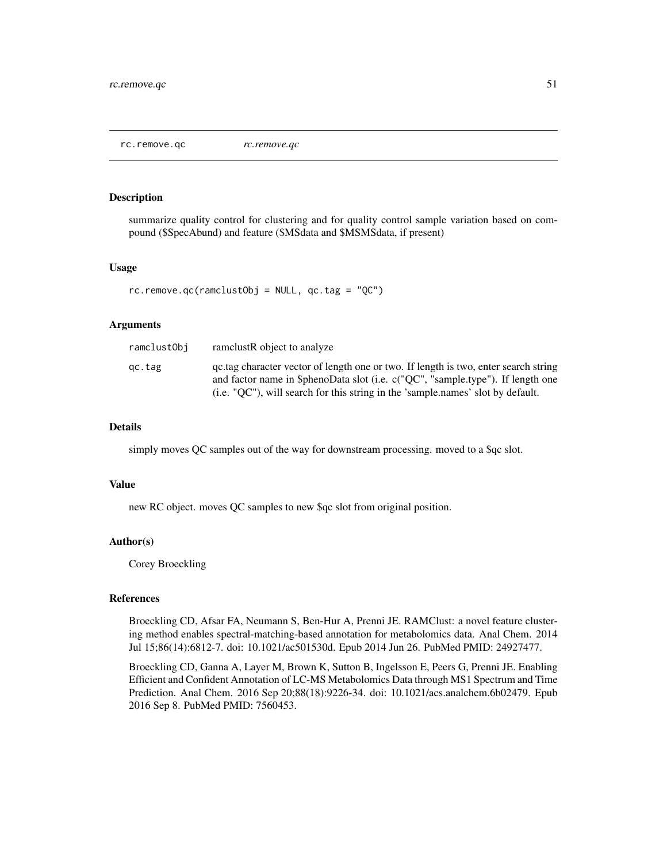<span id="page-50-0"></span>rc.remove.qc *rc.remove.qc*

## Description

summarize quality control for clustering and for quality control sample variation based on compound (\$SpecAbund) and feature (\$MSdata and \$MSMSdata, if present)

#### Usage

 $rc.$ remove.qc(ramclustObj = NULL, qc.tag = "QC")

#### Arguments

| ramclustObi | ramelustR object to analyze                                                                                                                                                                                                                               |
|-------------|-----------------------------------------------------------------------------------------------------------------------------------------------------------------------------------------------------------------------------------------------------------|
| qc.tag      | gc.tag character vector of length one or two. If length is two, enter search string<br>and factor name in \$phenoData slot (i.e. c("QC", "sample.type"). If length one<br>(i.e. "QC"), will search for this string in the 'sample.names' slot by default. |
|             |                                                                                                                                                                                                                                                           |

## Details

simply moves QC samples out of the way for downstream processing. moved to a \$qc slot.

#### Value

new RC object. moves QC samples to new \$qc slot from original position.

#### Author(s)

Corey Broeckling

## References

Broeckling CD, Afsar FA, Neumann S, Ben-Hur A, Prenni JE. RAMClust: a novel feature clustering method enables spectral-matching-based annotation for metabolomics data. Anal Chem. 2014 Jul 15;86(14):6812-7. doi: 10.1021/ac501530d. Epub 2014 Jun 26. PubMed PMID: 24927477.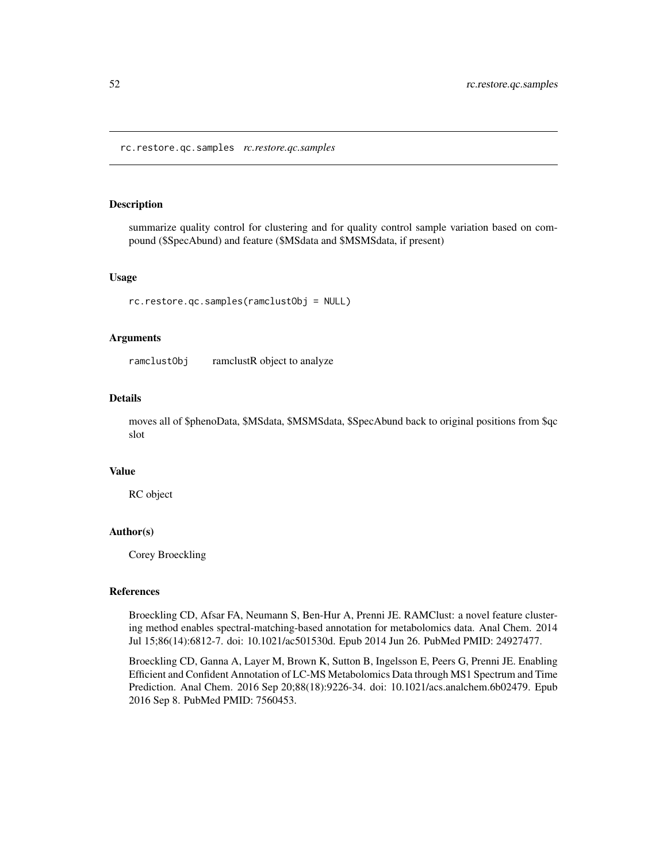<span id="page-51-0"></span>rc.restore.qc.samples *rc.restore.qc.samples*

#### Description

summarize quality control for clustering and for quality control sample variation based on compound (\$SpecAbund) and feature (\$MSdata and \$MSMSdata, if present)

#### Usage

rc.restore.qc.samples(ramclustObj = NULL)

#### Arguments

ramclustObj ramclustR object to analyze

## Details

moves all of \$phenoData, \$MSdata, \$MSMSdata, \$SpecAbund back to original positions from \$qc slot

#### Value

RC object

## Author(s)

Corey Broeckling

#### References

Broeckling CD, Afsar FA, Neumann S, Ben-Hur A, Prenni JE. RAMClust: a novel feature clustering method enables spectral-matching-based annotation for metabolomics data. Anal Chem. 2014 Jul 15;86(14):6812-7. doi: 10.1021/ac501530d. Epub 2014 Jun 26. PubMed PMID: 24927477.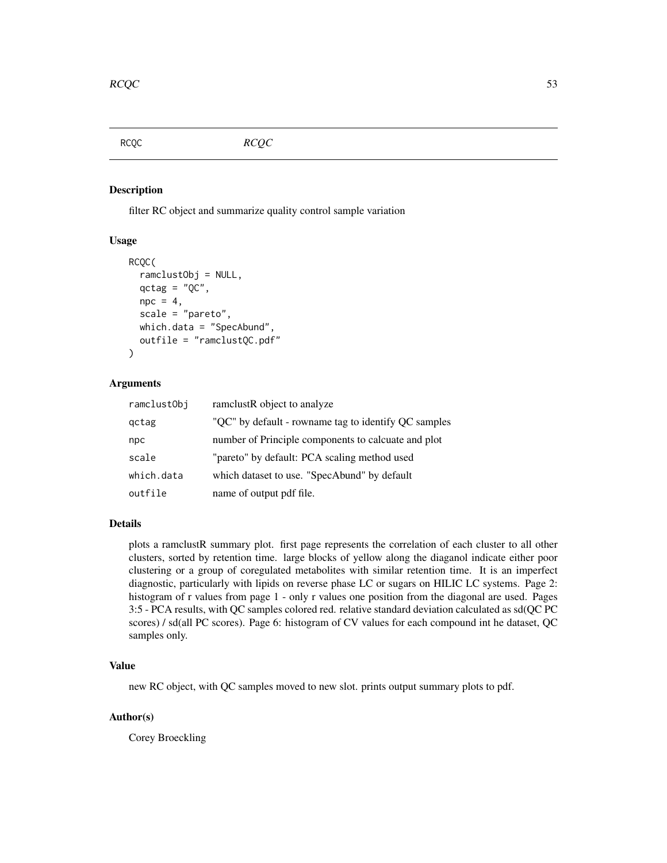<span id="page-52-0"></span>

#### Description

filter RC object and summarize quality control sample variation

## Usage

```
RCQC(
  ramclustObj = NULL,
  qctag = "QC",npc = 4,
  scale = "pareto",
  which.data = "SpecAbund",
  outfile = "ramclustQC.pdf"
)
```
## Arguments

| ramclustObj | ramelustR object to analyze                          |
|-------------|------------------------------------------------------|
| gctag       | "QC" by default - rowname tag to identify QC samples |
| npc         | number of Principle components to calcuate and plot  |
| scale       | "pareto" by default: PCA scaling method used         |
| which.data  | which dataset to use. "SpecAbund" by default         |
| outfile     | name of output pdf file.                             |

#### Details

plots a ramclustR summary plot. first page represents the correlation of each cluster to all other clusters, sorted by retention time. large blocks of yellow along the diaganol indicate either poor clustering or a group of coregulated metabolites with similar retention time. It is an imperfect diagnostic, particularly with lipids on reverse phase LC or sugars on HILIC LC systems. Page 2: histogram of r values from page 1 - only r values one position from the diagonal are used. Pages 3:5 - PCA results, with QC samples colored red. relative standard deviation calculated as sd(QC PC scores) / sd(all PC scores). Page 6: histogram of CV values for each compound int he dataset, QC samples only.

## Value

new RC object, with QC samples moved to new slot. prints output summary plots to pdf.

## Author(s)

Corey Broeckling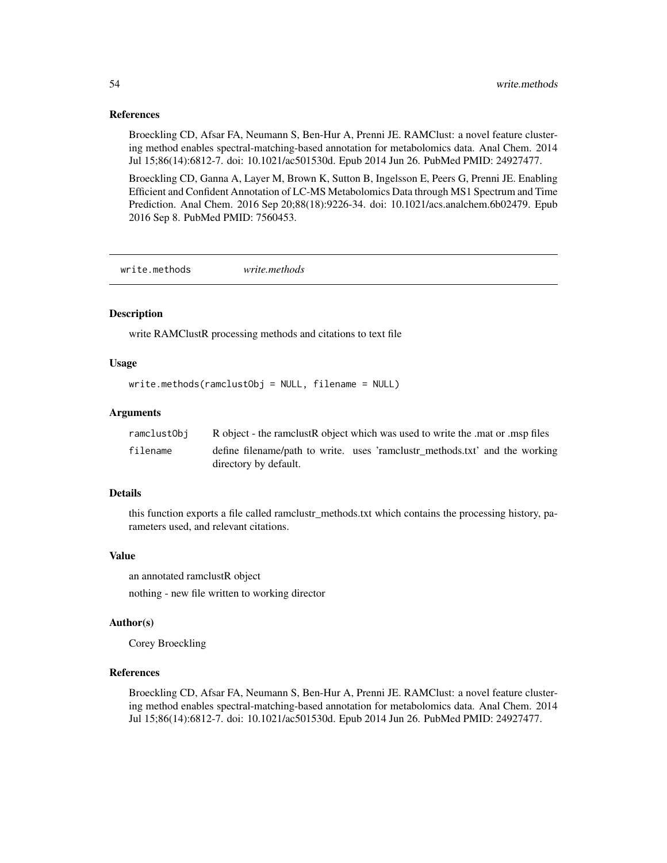#### <span id="page-53-0"></span>References

Broeckling CD, Afsar FA, Neumann S, Ben-Hur A, Prenni JE. RAMClust: a novel feature clustering method enables spectral-matching-based annotation for metabolomics data. Anal Chem. 2014 Jul 15;86(14):6812-7. doi: 10.1021/ac501530d. Epub 2014 Jun 26. PubMed PMID: 24927477.

Broeckling CD, Ganna A, Layer M, Brown K, Sutton B, Ingelsson E, Peers G, Prenni JE. Enabling Efficient and Confident Annotation of LC-MS Metabolomics Data through MS1 Spectrum and Time Prediction. Anal Chem. 2016 Sep 20;88(18):9226-34. doi: 10.1021/acs.analchem.6b02479. Epub 2016 Sep 8. PubMed PMID: 7560453.

write.methods *write.methods*

#### Description

write RAMClustR processing methods and citations to text file

#### Usage

```
write.methods(ramclustObj = NULL, filename = NULL)
```
#### Arguments

| ramclustObi | R object - the ramclust R object which was used to write the mat or msp files                        |  |
|-------------|------------------------------------------------------------------------------------------------------|--|
| filename    | define filename/path to write. uses 'ramclustr_methods.txt' and the working<br>directory by default. |  |

## Details

this function exports a file called ramclustr\_methods.txt which contains the processing history, parameters used, and relevant citations.

#### Value

an annotated ramclustR object

nothing - new file written to working director

#### Author(s)

Corey Broeckling

### References

Broeckling CD, Afsar FA, Neumann S, Ben-Hur A, Prenni JE. RAMClust: a novel feature clustering method enables spectral-matching-based annotation for metabolomics data. Anal Chem. 2014 Jul 15;86(14):6812-7. doi: 10.1021/ac501530d. Epub 2014 Jun 26. PubMed PMID: 24927477.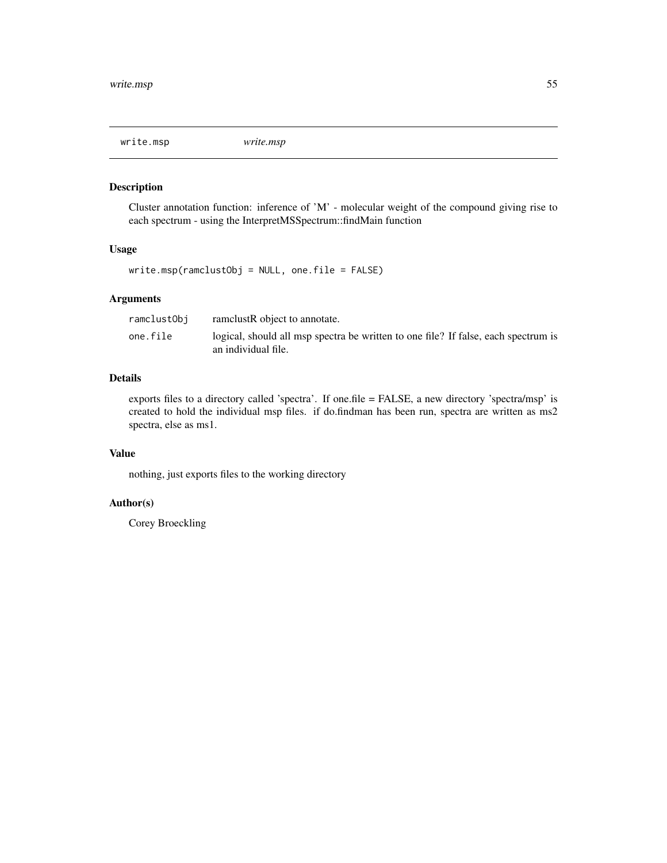<span id="page-54-0"></span>

## Description

Cluster annotation function: inference of 'M' - molecular weight of the compound giving rise to each spectrum - using the InterpretMSSpectrum::findMain function

#### Usage

write.msp(ramclustObj = NULL, one.file = FALSE)

## Arguments

| ramclustObi | ramelustR object to annotate.                                                      |
|-------------|------------------------------------------------------------------------------------|
| one.file    | logical, should all msp spectra be written to one file? If false, each spectrum is |
|             | an individual file.                                                                |

## Details

exports files to a directory called 'spectra'. If one.file = FALSE, a new directory 'spectra/msp' is created to hold the individual msp files. if do.findman has been run, spectra are written as ms2 spectra, else as ms1.

## Value

nothing, just exports files to the working directory

## Author(s)

Corey Broeckling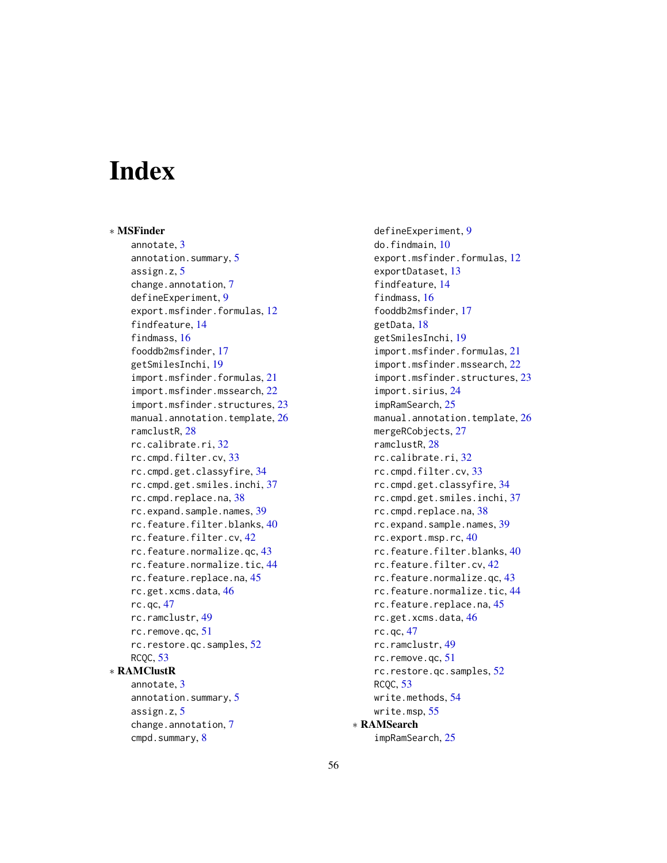# <span id="page-55-0"></span>**Index**

∗ MSFinder annotate, [3](#page-2-0) annotation.summary, [5](#page-4-0) assign.z, [5](#page-4-0) change.annotation, [7](#page-6-0) defineExperiment, [9](#page-8-0) export.msfinder.formulas, [12](#page-11-0) findfeature, [14](#page-13-0) findmass, [16](#page-15-0) fooddb2msfinder, [17](#page-16-0) getSmilesInchi, [19](#page-18-0) import.msfinder.formulas, [21](#page-20-0) import.msfinder.mssearch, [22](#page-21-0) import.msfinder.structures, [23](#page-22-0) manual.annotation.template, [26](#page-25-0) ramclustR, [28](#page-27-0) rc.calibrate.ri, [32](#page-31-0) rc.cmpd.filter.cv, [33](#page-32-0) rc.cmpd.get.classyfire, [34](#page-33-0) rc.cmpd.get.smiles.inchi, [37](#page-36-0) rc.cmpd.replace.na, [38](#page-37-0) rc.expand.sample.names, [39](#page-38-0) rc.feature.filter.blanks, [40](#page-39-0) rc.feature.filter.cv, [42](#page-41-0) rc.feature.normalize.qc, [43](#page-42-0) rc.feature.normalize.tic, [44](#page-43-0) rc.feature.replace.na, [45](#page-44-0) rc.get.xcms.data, [46](#page-45-0) rc.qc, [47](#page-46-0) rc.ramclustr, [49](#page-48-0) rc.remove.qc, [51](#page-50-0) rc.restore.qc.samples, [52](#page-51-0) RCQC, [53](#page-52-0) ∗ RAMClustR annotate, [3](#page-2-0) annotation.summary, [5](#page-4-0) assign.z, [5](#page-4-0) change.annotation, [7](#page-6-0)

cmpd.summary, [8](#page-7-0)

defineExperiment, [9](#page-8-0) do.findmain, [10](#page-9-0) export.msfinder.formulas, [12](#page-11-0) exportDataset, [13](#page-12-0) findfeature, [14](#page-13-0) findmass, [16](#page-15-0) fooddb2msfinder, [17](#page-16-0) getData, [18](#page-17-0) getSmilesInchi, [19](#page-18-0) import.msfinder.formulas, [21](#page-20-0) import.msfinder.mssearch, [22](#page-21-0) import.msfinder.structures, [23](#page-22-0) import.sirius, [24](#page-23-0) impRamSearch, [25](#page-24-0) manual.annotation.template, [26](#page-25-0) mergeRCobjects, [27](#page-26-0) ramclustR, [28](#page-27-0) rc.calibrate.ri, [32](#page-31-0) rc.cmpd.filter.cv, [33](#page-32-0) rc.cmpd.get.classyfire, [34](#page-33-0) rc.cmpd.get.smiles.inchi, [37](#page-36-0) rc.cmpd.replace.na, [38](#page-37-0) rc.expand.sample.names, [39](#page-38-0) rc.export.msp.rc, [40](#page-39-0) rc.feature.filter.blanks, [40](#page-39-0) rc.feature.filter.cv, [42](#page-41-0) rc.feature.normalize.qc, [43](#page-42-0) rc.feature.normalize.tic, [44](#page-43-0) rc.feature.replace.na, [45](#page-44-0) rc.get.xcms.data, [46](#page-45-0) rc.qc, [47](#page-46-0) rc.ramclustr, [49](#page-48-0) rc.remove.qc, [51](#page-50-0) rc.restore.qc.samples, [52](#page-51-0) RCQC, [53](#page-52-0) write.methods, [54](#page-53-0) write.msp, [55](#page-54-0) ∗ RAMSearch

impRamSearch, [25](#page-24-0)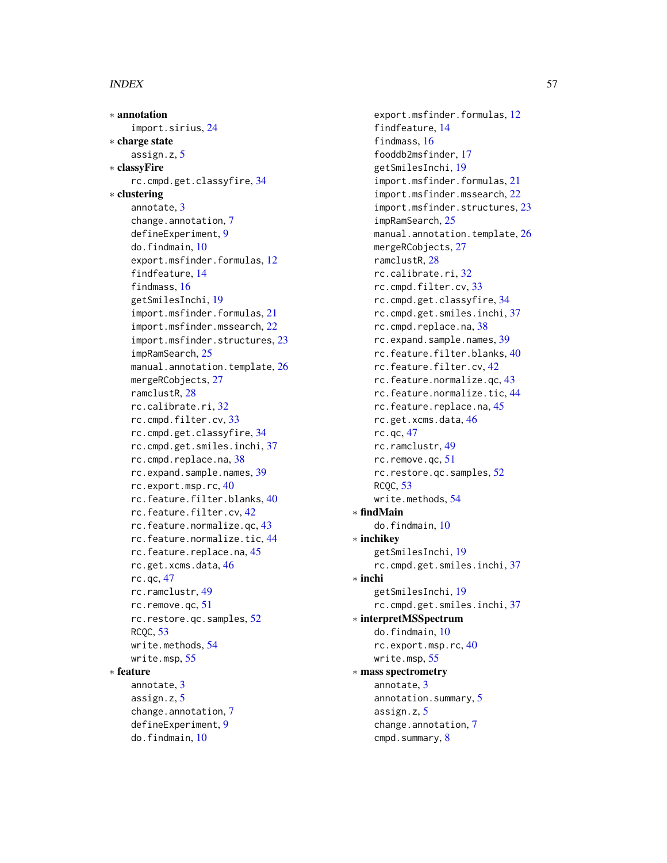#### INDEX 57

∗ annotation import.sirius, [24](#page-23-0) ∗ charge state assign.z, [5](#page-4-0) ∗ classyFire rc.cmpd.get.classyfire, [34](#page-33-0) ∗ clustering annotate, [3](#page-2-0) change.annotation, [7](#page-6-0) defineExperiment, [9](#page-8-0) do.findmain, [10](#page-9-0) export.msfinder.formulas, [12](#page-11-0) findfeature, [14](#page-13-0) findmass, [16](#page-15-0) getSmilesInchi, [19](#page-18-0) import.msfinder.formulas, [21](#page-20-0) import.msfinder.mssearch, [22](#page-21-0) import.msfinder.structures, [23](#page-22-0) impRamSearch, [25](#page-24-0) manual.annotation.template, [26](#page-25-0) mergeRCobjects, [27](#page-26-0) ramclustR, [28](#page-27-0) rc.calibrate.ri, [32](#page-31-0) rc.cmpd.filter.cv, [33](#page-32-0) rc.cmpd.get.classyfire, [34](#page-33-0) rc.cmpd.get.smiles.inchi, [37](#page-36-0) rc.cmpd.replace.na, [38](#page-37-0) rc.expand.sample.names, [39](#page-38-0) rc.export.msp.rc, [40](#page-39-0) rc.feature.filter.blanks, [40](#page-39-0) rc.feature.filter.cv, [42](#page-41-0) rc.feature.normalize.qc, [43](#page-42-0) rc.feature.normalize.tic, [44](#page-43-0) rc.feature.replace.na, [45](#page-44-0) rc.get.xcms.data, [46](#page-45-0) rc.qc, [47](#page-46-0) rc.ramclustr, [49](#page-48-0) rc.remove.qc, [51](#page-50-0) rc.restore.qc.samples, [52](#page-51-0) RCQC, [53](#page-52-0) write.methods, [54](#page-53-0) write.msp, [55](#page-54-0) ∗ feature annotate, [3](#page-2-0) assign.z, [5](#page-4-0) change.annotation, [7](#page-6-0) defineExperiment, [9](#page-8-0) do.findmain, [10](#page-9-0)

export.msfinder.formulas, [12](#page-11-0) findfeature, [14](#page-13-0) findmass, [16](#page-15-0) fooddb2msfinder, [17](#page-16-0) getSmilesInchi, [19](#page-18-0) import.msfinder.formulas, [21](#page-20-0) import.msfinder.mssearch, [22](#page-21-0) import.msfinder.structures, [23](#page-22-0) impRamSearch, [25](#page-24-0) manual.annotation.template, [26](#page-25-0) mergeRCobjects, [27](#page-26-0) ramclustR, [28](#page-27-0) rc.calibrate.ri, [32](#page-31-0) rc.cmpd.filter.cv, [33](#page-32-0) rc.cmpd.get.classyfire, [34](#page-33-0) rc.cmpd.get.smiles.inchi, [37](#page-36-0) rc.cmpd.replace.na, [38](#page-37-0) rc.expand.sample.names, [39](#page-38-0) rc.feature.filter.blanks, [40](#page-39-0) rc.feature.filter.cv, [42](#page-41-0) rc.feature.normalize.qc, [43](#page-42-0) rc.feature.normalize.tic, [44](#page-43-0) rc.feature.replace.na, [45](#page-44-0) rc.get.xcms.data, [46](#page-45-0) rc.qc, [47](#page-46-0) rc.ramclustr, [49](#page-48-0) rc.remove.qc, [51](#page-50-0) rc.restore.qc.samples, [52](#page-51-0) RCQC, [53](#page-52-0) write.methods, [54](#page-53-0) ∗ findMain do.findmain, [10](#page-9-0) ∗ inchikey getSmilesInchi, [19](#page-18-0) rc.cmpd.get.smiles.inchi, [37](#page-36-0) ∗ inchi getSmilesInchi, [19](#page-18-0) rc.cmpd.get.smiles.inchi, [37](#page-36-0) ∗ interpretMSSpectrum do.findmain, [10](#page-9-0) rc.export.msp.rc, [40](#page-39-0) write.msp, [55](#page-54-0) ∗ mass spectrometry annotate, [3](#page-2-0) annotation.summary, [5](#page-4-0) assign.z, [5](#page-4-0) change.annotation, [7](#page-6-0) cmpd.summary, [8](#page-7-0)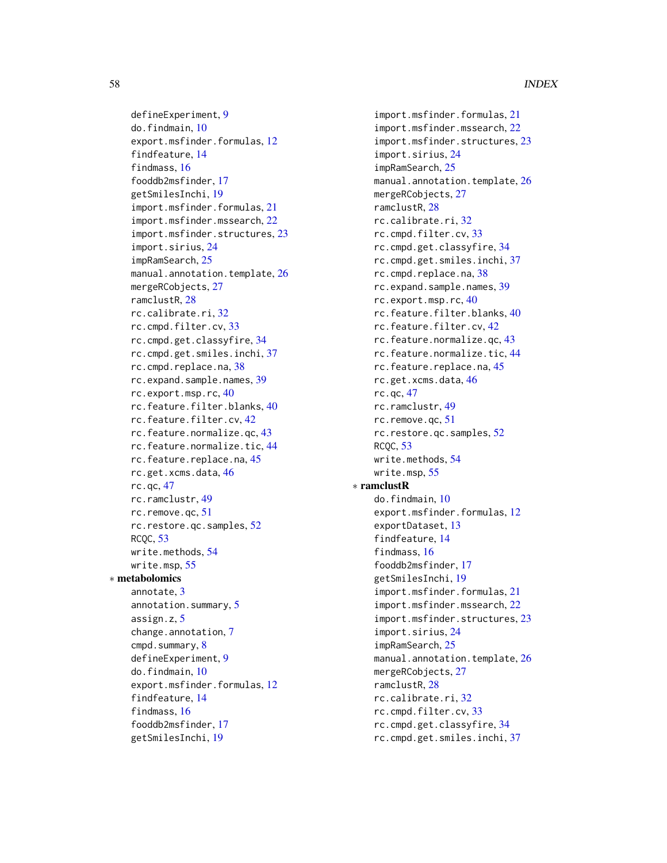defineExperiment, [9](#page-8-0) do.findmain, [10](#page-9-0) export.msfinder.formulas, [12](#page-11-0) findfeature, [14](#page-13-0) findmass, [16](#page-15-0) fooddb2msfinder, [17](#page-16-0) getSmilesInchi, [19](#page-18-0) import.msfinder.formulas, [21](#page-20-0) import.msfinder.mssearch, [22](#page-21-0) import.msfinder.structures, [23](#page-22-0) import.sirius, [24](#page-23-0) impRamSearch, [25](#page-24-0) manual.annotation.template, [26](#page-25-0) mergeRCobjects, [27](#page-26-0) ramclustR, [28](#page-27-0) rc.calibrate.ri, [32](#page-31-0) rc.cmpd.filter.cv, [33](#page-32-0) rc.cmpd.get.classyfire, [34](#page-33-0) rc.cmpd.get.smiles.inchi, [37](#page-36-0) rc.cmpd.replace.na, [38](#page-37-0) rc.expand.sample.names, [39](#page-38-0) rc.export.msp.rc, [40](#page-39-0) rc.feature.filter.blanks, [40](#page-39-0) rc.feature.filter.cv, [42](#page-41-0) rc.feature.normalize.qc, [43](#page-42-0) rc.feature.normalize.tic, [44](#page-43-0) rc.feature.replace.na, [45](#page-44-0) rc.get.xcms.data, [46](#page-45-0) rc.qc, [47](#page-46-0) rc.ramclustr, [49](#page-48-0) rc.remove.qc, [51](#page-50-0) rc.restore.qc.samples, [52](#page-51-0) RCQC, [53](#page-52-0) write.methods, [54](#page-53-0) write.msp, [55](#page-54-0) ∗ metabolomics annotate, [3](#page-2-0) annotation.summary, [5](#page-4-0) assign.z, [5](#page-4-0) change.annotation, [7](#page-6-0) cmpd.summary, [8](#page-7-0) defineExperiment, [9](#page-8-0) do.findmain, [10](#page-9-0) export.msfinder.formulas, [12](#page-11-0) findfeature, [14](#page-13-0) findmass, [16](#page-15-0) fooddb2msfinder, [17](#page-16-0) getSmilesInchi, [19](#page-18-0)

import.msfinder.formulas, [21](#page-20-0) import.msfinder.mssearch, [22](#page-21-0) import.msfinder.structures, [23](#page-22-0) import.sirius, [24](#page-23-0) impRamSearch, [25](#page-24-0) manual.annotation.template, [26](#page-25-0) mergeRCobjects, [27](#page-26-0) ramclustR, [28](#page-27-0) rc.calibrate.ri, [32](#page-31-0) rc.cmpd.filter.cv, [33](#page-32-0) rc.cmpd.get.classyfire, [34](#page-33-0) rc.cmpd.get.smiles.inchi, [37](#page-36-0) rc.cmpd.replace.na, [38](#page-37-0) rc.expand.sample.names, [39](#page-38-0) rc.export.msp.rc, [40](#page-39-0) rc.feature.filter.blanks, [40](#page-39-0) rc.feature.filter.cv, [42](#page-41-0) rc.feature.normalize.qc, [43](#page-42-0) rc.feature.normalize.tic, [44](#page-43-0) rc.feature.replace.na, [45](#page-44-0) rc.get.xcms.data, [46](#page-45-0) rc.qc, [47](#page-46-0) rc.ramclustr, [49](#page-48-0) rc.remove.qc, [51](#page-50-0) rc.restore.qc.samples, [52](#page-51-0) RCQC, [53](#page-52-0) write.methods, [54](#page-53-0) write.msp, [55](#page-54-0) ∗ ramclustR do.findmain, [10](#page-9-0) export.msfinder.formulas, [12](#page-11-0) exportDataset, [13](#page-12-0) findfeature, [14](#page-13-0) findmass, [16](#page-15-0) fooddb2msfinder, [17](#page-16-0) getSmilesInchi, [19](#page-18-0) import.msfinder.formulas, [21](#page-20-0) import.msfinder.mssearch, [22](#page-21-0) import.msfinder.structures, [23](#page-22-0) import.sirius, [24](#page-23-0) impRamSearch, [25](#page-24-0) manual.annotation.template, [26](#page-25-0) mergeRCobjects, [27](#page-26-0) ramclustR, [28](#page-27-0) rc.calibrate.ri, [32](#page-31-0) rc.cmpd.filter.cv, [33](#page-32-0) rc.cmpd.get.classyfire, [34](#page-33-0) rc.cmpd.get.smiles.inchi, [37](#page-36-0)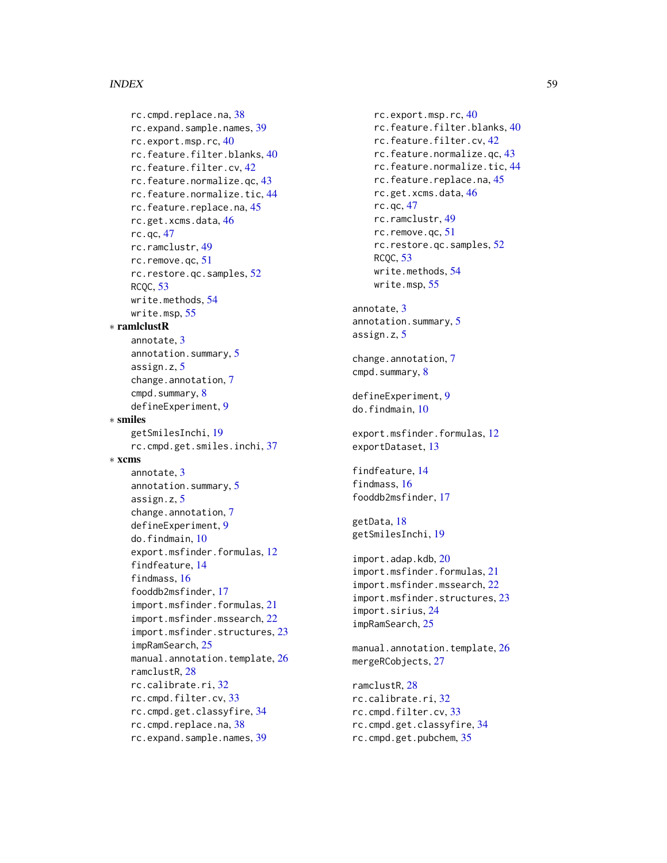#### INDEX 59

rc.cmpd.replace.na , [38](#page-37-0) rc.expand.sample.names , [39](#page-38-0) rc.export.msp.rc , [40](#page-39-0) rc.feature.filter.blanks , [40](#page-39-0) rc.feature.filter.cv , [42](#page-41-0) rc.feature.normalize.qc , [43](#page-42-0) rc.feature.normalize.tic , [44](#page-43-0) rc.feature.replace.na , [45](#page-44-0) rc.get.xcms.data , [46](#page-45-0) rc.qc , [47](#page-46-0) rc.ramclustr , [49](#page-48-0) rc.remove.qc , [51](#page-50-0) rc.restore.qc.samples , [52](#page-51-0) RCQC , [53](#page-52-0) write.methods , [54](#page-53-0) write.msp , [55](#page-54-0) ∗ ramlclustR annotate , [3](#page-2-0) annotation.summary, [5](#page-4-0) assign.z , [5](#page-4-0) change.annotation, [7](#page-6-0) cmpd.summary, [8](#page-7-0) defineExperiment , [9](#page-8-0) ∗ smiles getSmilesInchi , [19](#page-18-0) rc.cmpd.get.smiles.inchi , [37](#page-36-0) ∗ xcms annotate , [3](#page-2-0) annotation.summary, [5](#page-4-0) assign.z , [5](#page-4-0) change.annotation, [7](#page-6-0) defineExperiment , [9](#page-8-0) do.findmain, [10](#page-9-0) export.msfinder.formulas , [12](#page-11-0) findfeature , [14](#page-13-0) findmass , [16](#page-15-0) fooddb2msfinder , [17](#page-16-0) import.msfinder.formulas , [21](#page-20-0) import.msfinder.mssearch , [22](#page-21-0) import.msfinder.structures , [23](#page-22-0) impRamSearch , [25](#page-24-0) <code>manual.annotation.template,  $26$ </code> ramclustR , [28](#page-27-0) rc.calibrate.ri , [32](#page-31-0) rc.cmpd.filter.cv , [33](#page-32-0) rc.cmpd.get.classyfire , [34](#page-33-0) rc.cmpd.replace.na , [38](#page-37-0) rc.expand.sample.names , [39](#page-38-0)

rc.export.msp.rc , [40](#page-39-0) rc.feature.filter.blanks , [40](#page-39-0) rc.feature.filter.cv , [42](#page-41-0) rc.feature.normalize.qc , [43](#page-42-0) rc.feature.normalize.tic , [44](#page-43-0) rc.feature.replace.na , [45](#page-44-0) rc.get.xcms.data , [46](#page-45-0) rc.qc , [47](#page-46-0) rc.ramclustr , [49](#page-48-0) rc.remove.qc , [51](#page-50-0) rc.restore.qc.samples , [52](#page-51-0) RCQC , [53](#page-52-0) write.methods , [54](#page-53-0) write.msp , [55](#page-54-0) annotate , [3](#page-2-0) annotation.summary, [5](#page-4-0) assign.z, [5](#page-4-0) change.annotation, [7](#page-6-0) cmpd.summary, [8](#page-7-0) defineExperiment , [9](#page-8-0) do.findmain, $10$ export.msfinder.formulas , [12](#page-11-0) exportDataset, [13](#page-12-0) findfeature , [14](#page-13-0) findmass , [16](#page-15-0) fooddb2msfinder , [17](#page-16-0) getData , [18](#page-17-0) getSmilesInchi , [19](#page-18-0) import.adap.kdb , [20](#page-19-0) import.msfinder.formulas , [21](#page-20-0) import.msfinder.mssearch , [22](#page-21-0) import.msfinder.structures , [23](#page-22-0) import.sirius , [24](#page-23-0) impRamSearch , [25](#page-24-0) <code>manual.annotation.template,  $26$ </code> mergeRCobjects, [27](#page-26-0) ramclustR , [28](#page-27-0) rc.calibrate.ri , [32](#page-31-0) rc.cmpd.filter.cv , [33](#page-32-0) rc.cmpd.get.classyfire , [34](#page-33-0) rc.cmpd.get.pubchem , [35](#page-34-0)